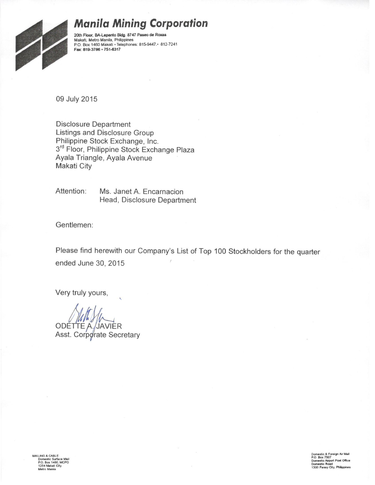## **Manila Mining Corporation**



20th Floor, BA-Lepanto Bldg. 8747 Paseo de Roxas<br>Makati, Metro Manila, Philippines<br>P.O. Box 1460 Makati • Telephones: 815-9447.• 812-7241 Fax: 819-3786 · 751-6317

09 July 2015

**Disclosure Department** Listings and Disclosure Group Philippine Stock Exchange, Inc. 3rd Floor, Philippine Stock Exchange Plaza Ayala Triangle, Ayala Avenue **Makati City** 

Attention: Ms. Janet A. Encarnacion Head, Disclosure Department

Gentlemen:

Please find herewith our Company's List of Top 100 Stockholders for the quarter ended June 30, 2015

Very truly yours,

**ODETTE A./JAVIER** 

Asst. Corporate Secretary

MAILING & CABLE:<br>Domestic Surface Mail<br>P.O. Box 1460, MCPO<br>1254 Makati City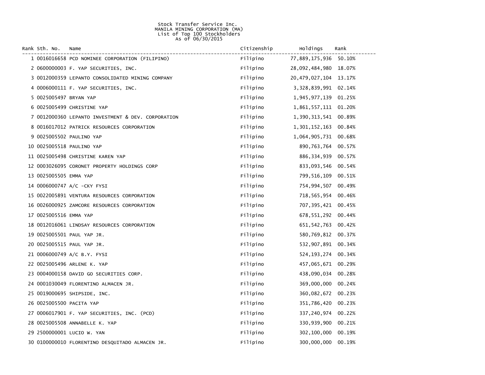## Stock Transfer Service Inc. MANILA MINING CORPORATION (MA) List of Top 100 Stockholders As of 06/30/2015

| Rank Sth. No.            | Name                                               | Citizenship | Holdings              | Rank   |
|--------------------------|----------------------------------------------------|-------------|-----------------------|--------|
|                          | 1 0016016658 PCD NOMINEE CORPORATION (FILIPINO)    | Filipino    | 77,889,175,936 50.10% |        |
|                          | 2 0600000003 F. YAP SECURITIES, INC.               | Filipino    | 28,092,484,980        | 18.07% |
|                          | 3 0012000359 LEPANTO CONSOLIDATED MINING COMPANY   | Filipino    | 20,479,027,104        | 13.17% |
|                          | 4 0006000111 F. YAP SECURITIES, INC.               | Filipino    | 3,328,839,991 02.14%  |        |
| 5 0025005497 BRYAN YAP   |                                                    | Filipino    | 1,945,977,139         | 01.25% |
|                          | 6 0025005499 CHRISTINE YAP                         | Filipino    | 1,861,557,111 01.20%  |        |
|                          | 7 0012000360 LEPANTO INVESTMENT & DEV. CORPORATION | Filipino    | 1,390,313,541         | 00.89% |
|                          | 8 0016017012 PATRICK RESOURCES CORPORATION         | Filipino    | 1,301,152,163         | 00.84% |
|                          | 9 0025005502 PAULINO YAP                           | Filipino    | 1,064,905,731         | 00.68% |
|                          | 10 0025005518 PAULINO YAP                          | Filipino    | 890,763,764           | 00.57% |
|                          | 11 0025005498 CHRISTINE KAREN YAP                  | Filipino    | 886, 334, 939         | 00.57% |
|                          | 12 0003026095 CORONET PROPERTY HOLDINGS CORP       | Filipino    | 833,093,546           | 00.54% |
| 13 0025005505 EMMA YAP   |                                                    | Filipino    | 799, 516, 109         | 00.51% |
|                          | 14 0006000747 A/C -CKY FYSI                        | Filipino    | 754,994,507           | 00.49% |
|                          | 15 0022005891 VENTURA RESOURCES CORPORATION        | Filipino    | 718,565,954           | 00.46% |
|                          | 16 0026000925 ZAMCORE RESOURCES CORPORATION        | Filipino    | 707, 395, 421 00.45%  |        |
| 17 0025005516 EMMA YAP   |                                                    | Filipino    | 678,551,292           | 00.44% |
|                          | 18 0012016061 LINDSAY RESOURCES CORPORATION        | Filipino    | 651, 542, 763         | 00.42% |
|                          | 19 0025005501 PAUL YAP JR.                         | Filipino    | 580,769,812           | 00.37% |
|                          | 20 0025005515 PAUL YAP JR.                         | Filipino    | 532,907,891 00.34%    |        |
|                          | 21 0006000749 A/C B.Y. FYSI                        | Filipino    | 524, 193, 274 00. 34% |        |
|                          | 22 0025005496 ARLENE K. YAP                        | Filipino    | 457,065,671           | 00.29% |
|                          | 23 0004000158 DAVID GO SECURITIES CORP.            | Filipino    | 438,090,034           | 00.28% |
|                          | 24 0001030049 FLORENTINO ALMACEN JR.               | Filipino    | 369,000,000           | 00.24% |
|                          | 25 0019000695 SHIPSIDE, INC.                       | Filipino    | 360,082,672           | 00.23% |
| 26 0025005500 PACITA YAP |                                                    | Filipino    | 351,786,420           | 00.23% |
|                          | 27 0006017901 F. YAP SECURITIES, INC. (PCD)        | Filipino    | 337,240,974           | 00.22% |
|                          | 28 0025005508 ANNABELLE K. YAP                     | Filipino    | 330,939,900           | 00.21% |
|                          | 29 2500000001 LUCIO W. YAN                         | Filipino    | 302,100,000           | 00.19% |
|                          | 30 0100000010 FLORENTINO DESQUITADO ALMACEN JR.    | Filipino    | 300,000,000           | 00.19% |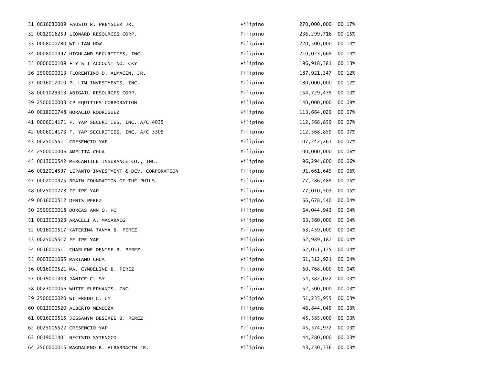| 31 0016030009 FAUSTO R. PREYSLER JR.                | Filipino | 270,000,000   | 00.17% |
|-----------------------------------------------------|----------|---------------|--------|
| 32 0012016259 LEONARD RESOURCES CORP.               | Filipino | 236, 299, 716 | 00.15% |
| 33 0008000780 WILLIAM HOW                           | Filipino | 220,500,000   | 00.14% |
| 34 0008000497 HIGHLAND SECURITIES, INC.             | Filipino | 210,023,669   | 00.14% |
| 35 0006000109 F Y S I ACCOUNT NO. CKY               | Filipino | 196, 918, 381 | 00.13% |
| 36 2500000013 FLORENTINO D. ALMACEN, JR.            | Filipino | 187, 921, 347 | 00.12% |
| 37 0016017010 PL LIM INVESTMENTS, INC.              | Filipino | 180,000,000   | 00.12% |
| 38 0001029313 ABIGAIL RESOURCES CORP.               | Filipino | 154,729,479   | 00.10% |
| 39 2500000003 CP EQUITIES CORPORATION               | Filipino | 140,000,000   | 00.09% |
| 40 0018000748 HORACIO RODRIGUEZ                     | Filipino | 113,664,029   | 00.07% |
| 41 0006014171 F. YAP SECURITIES, INC. A/C 4035      | Filipino | 112,568,859   | 00.07% |
| 42 0006014173 F. YAP SECURITIES, INC. A/C 3305      | Filipino | 112,568,859   | 00.07% |
| 43 0025005511 CRESENCIO YAP                         | Filipino | 107, 242, 261 | 00.07% |
| 44 2500000006 AMELITA CHUA                          | Filipino | 100,000,000   | 00.06% |
| 45 0013000542 MERCANTILE INSURANCE CO., INC.        | Filipino | 96,294,800    | 00.06% |
| 46 0012014597 LEPANTO INVESTMENT & DEV. CORPORATION | Filipino | 91,661,649    | 00.06% |
| 47 0002000475 BRAIN FOUNDATION OF THE PHILS.        | Filipino | 77,286,489    | 00.05% |
| 48 0025000278 FELIPE YAP                            | Filipino | 77,010,503    | 00.05% |
| 49 0016000512 DENIS PEREZ                           | Filipino | 66,678,540    | 00.04% |
| 50 2500000018 DORCAS ANN O. HO                      | Filipino | 64,044,943    | 00.04% |
| 51 0013000323 ARACELI A. MACARAIG                   | Filipino | 63,560,000    | 00.04% |
| 52 0016000517 KATERINA TANYA B. PEREZ               | Filipino | 63,459,000    | 00.04% |
| 53 0025005517 FELIPE YAP                            | Filipino | 62,989,187    | 00.04% |
| 54 0016000511 CHARLENE DENISE B. PEREZ              | Filipino | 62,051,175    | 00.04% |
| 55 0003001065 MARIANO CHUA                          | Filipino | 61, 312, 921  | 00.04% |
| 56 0016000521 MA. CYMBELINE B. PEREZ                | Filipino | 60,768,000    | 00.04% |
| 57 0019001343 JANICE C. SY                          | Filipino | 54, 382, 022  | 00.03% |
| 58 0023000056 WHITE ELEPHANTS, INC.                 | Filipino | 52,500,000    | 00.03% |
| 59 2500000020 WILFREDO C. UY                        | Filipino | 51, 235, 955  | 00.03% |
| 60 0013000520 ALBERTO MENDOZA                       | Filipino | 46, 844, 045  | 00.03% |
| 61 0016000515 JESSAMYN DESIREE B. PEREZ             | Filipino | 45,585,000    | 00.03% |
| 62 0025005522 CRESENCIO YAP                         | Filipino | 45, 574, 972  | 00.03% |
| 63 0019001401 NECISTO SYTENGCO                      | Filipino | 44,280,000    | 00.03% |
| 64 2500000015 MAGDALENO B. ALBARRACIN JR.           | Filipino | 43,230,336    | 00.03% |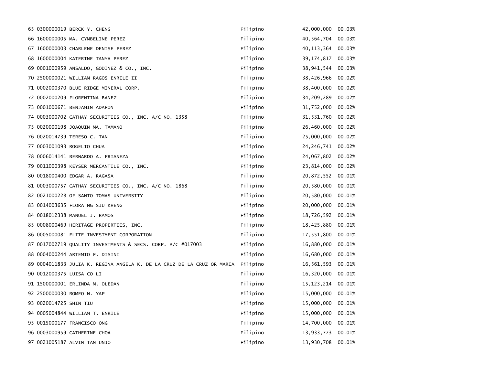| 65 0300000019 BERCK Y. CHENG                                           | Filipino | 42,000,000   | 00.03% |
|------------------------------------------------------------------------|----------|--------------|--------|
| 66 1600000005 MA. CYMBELINE PEREZ                                      | Filipino | 40,564,704   | 00.03% |
| 67 1600000003 CHARLENE DENISE PEREZ                                    | Filipino | 40, 113, 364 | 00.03% |
| 68 1600000004 KATERINE TANYA PEREZ                                     | Filipino | 39, 174, 817 | 00.03% |
| 69 0001000959 ANSALDO, GODINEZ & CO., INC.                             | Filipino | 38, 941, 544 | 00.03% |
| 70 2500000021 WILLIAM RAGOS ENRILE II                                  | Filipino | 38,426,966   | 00.02% |
| 71 0002000370 BLUE RIDGE MINERAL CORP.                                 | Filipino | 38,400,000   | 00.02% |
| 72 0002000209 FLORENTINA BANEZ                                         | Filipino | 34,209,289   | 00.02% |
| 73 0001000671 BENJAMIN ADAPON                                          | Filipino | 31,752,000   | 00.02% |
| 74 0003000702 CATHAY SECURITIES CO., INC. A/C NO. 1358                 | Filipino | 31,531,760   | 00.02% |
| 75 0020000198 JOAQUIN MA. TAMANO                                       | Filipino | 26,460,000   | 00.02% |
| 76 0020014739 TERESO C. TAN                                            | Filipino | 25,000,000   | 00.02% |
| 77 0003001093 ROGELIO CHUA                                             | Filipino | 24, 246, 741 | 00.02% |
| 78 0006014141 BERNARDO A. FRIANEZA                                     | Filipino | 24,067,802   | 00.02% |
| 79 0011000398 KEYSER MERCANTILE CO., INC.                              | Filipino | 23,814,000   | 00.02% |
| 80 0018000400 EDGAR A. RAGASA                                          | Filipino | 20,872,552   | 00.01% |
| 81 0003000757 CATHAY SECURITIES CO., INC. A/C NO. 1868                 | Filipino | 20,580,000   | 00.01% |
| 82 0021000228 OF SANTO TOMAS UNIVERSITY                                | Filipino | 20,580,000   | 00.01% |
| 83 0014003635 FLORA NG SIU KHENG                                       | Filipino | 20,000,000   | 00.01% |
| 84 0018012338 MANUEL J. RAMOS                                          | Filipino | 18,726,592   | 00.01% |
| 85 0008000469 HERITAGE PROPERTIES, INC.                                | Filipino | 18,425,880   | 00.01% |
| 86 0005000081 ELITE INVESTMENT CORPORATION                             | Filipino | 17,551,800   | 00.01% |
| 87 0017002719 QUALITY INVESTMENTS & SECS. CORP. A/C #017003            | Filipino | 16,880,000   | 00.01% |
| 88 0004000244 ARTEMIO F. DISINI                                        | Filipino | 16,680,000   | 00.01% |
| 89 0004011833 JULIA K. REGINA ANGELA K. DE LA CRUZ DE LA CRUZ OR MARIA | Filipino | 16,561,593   | 00.01% |
| 90 0012000375 LUISA CO LI                                              | Filipino | 16,320,000   | 00.01% |
| 91 1500000001 ERLINDA M. OLEDAN                                        | Filipino | 15, 123, 214 | 00.01% |
| 92 2500000030 ROMEO N. YAP                                             | Filipino | 15,000,000   | 00.01% |
| 93 0020014725 SHIN TIU                                                 | Filipino | 15,000,000   | 00.01% |
| 94 0005004844 WILLIAM T. ENRILE                                        | Filipino | 15,000,000   | 00.01% |
| 95 0015000177 FRANCISCO ONG                                            | Filipino | 14,700,000   | 00.01% |
| 96 0003000959 CATHERINE CHOA                                           | Filipino | 13,933,773   | 00.01% |
| 97 0021005187 ALVIN TAN UNJO                                           | Filipino | 13,930,708   | 00.01% |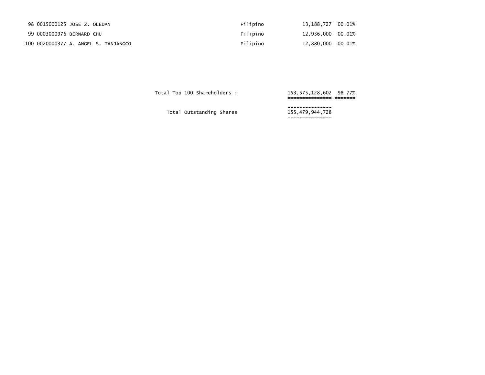| 98 0015000125 JOSE Z. OLEDAN         | Filipino | 13.188.727 00.01% |  |
|--------------------------------------|----------|-------------------|--|
| 99 0003000976 BERNARD CHU            | Filipino | 12.936.000 00.01% |  |
| 100 0020000377 A. ANGEL S. TANJANGCO | Filipino | 12,880,000 00.01% |  |

Total Top 100 Shareholders :

=============== =======

Total Outstanding Shares

 --------------- 155,479,944,728<br>================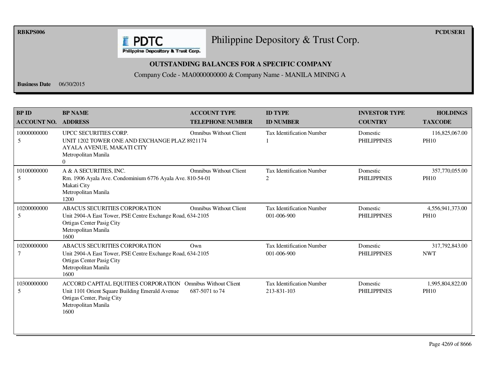**RBKPS006 PCDUSER1** 

## Philippine Depository & Trust Corp.

Philippine Depository & Trust Corp.

**E** PDTC

## **OUTSTANDING BALANCES FOR A SPECIFIC COMPANY**

Company Code - MA0000000000 & Company Name - MANILA MINING A

**Business Date** 06/30/2015

| <b>BP ID</b><br><b>ACCOUNT NO.</b> | <b>BP NAME</b><br><b>ADDRESS</b>                                                                                                                                           | <b>ACCOUNT TYPE</b><br><b>TELEPHONE NUMBER</b> | <b>ID TYPE</b><br><b>ID NUMBER</b>              | <b>INVESTOR TYPE</b><br><b>COUNTRY</b> | <b>HOLDINGS</b><br><b>TAXCODE</b> |
|------------------------------------|----------------------------------------------------------------------------------------------------------------------------------------------------------------------------|------------------------------------------------|-------------------------------------------------|----------------------------------------|-----------------------------------|
| 10000000000<br>5                   | UPCC SECURITIES CORP.<br>UNIT 1202 TOWER ONE AND EXCHANGE PLAZ 8921174<br>AYALA AVENUE, MAKATI CITY<br>Metropolitan Manila<br>$\Omega$                                     | <b>Omnibus Without Client</b>                  | <b>Tax Identification Number</b>                | Domestic<br><b>PHILIPPINES</b>         | 116,825,067.00<br><b>PH10</b>     |
| 10100000000<br>5                   | A & A SECURITIES, INC.<br>Rm. 1906 Ayala Ave. Condominium 6776 Ayala Ave. 810-54-01<br>Makati City<br>Metropolitan Manila<br>1200                                          | <b>Omnibus Without Client</b>                  | Tax Identification Number<br>2                  | Domestic<br><b>PHILIPPINES</b>         | 357,770,055.00<br><b>PH10</b>     |
| 10200000000<br>5                   | ABACUS SECURITIES CORPORATION<br>Unit 2904-A East Tower, PSE Centre Exchange Road, 634-2105<br>Ortigas Center Pasig City<br>Metropolitan Manila<br>1600                    | <b>Omnibus Without Client</b>                  | <b>Tax Identification Number</b><br>001-006-900 | Domestic<br><b>PHILIPPINES</b>         | 4,556,941,373.00<br><b>PH10</b>   |
| 10200000000<br>7                   | ABACUS SECURITIES CORPORATION<br>Unit 2904-A East Tower, PSE Centre Exchange Road, 634-2105<br>Ortigas Center Pasig City<br>Metropolitan Manila<br>1600                    | Own                                            | Tax Identification Number<br>001-006-900        | Domestic<br><b>PHILIPPINES</b>         | 317,792,843.00<br><b>NWT</b>      |
| 10300000000<br>5                   | ACCORD CAPITAL EQUITIES CORPORATION Omnibus Without Client<br>Unit 1101 Orient Square Building Emerald Avenue<br>Ortigas Center, Pasig City<br>Metropolitan Manila<br>1600 | 687-5071 to 74                                 | <b>Tax Identification Number</b><br>213-831-103 | Domestic<br><b>PHILIPPINES</b>         | 1,995,804,822.00<br><b>PH10</b>   |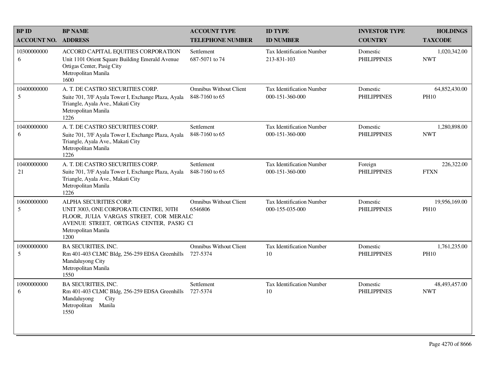| <b>BP ID</b>       | <b>BP NAME</b>                                                                                                                                                                      | <b>ACCOUNT TYPE</b>                             | <b>ID TYPE</b>                                      | <b>INVESTOR TYPE</b>           | <b>HOLDINGS</b>              |
|--------------------|-------------------------------------------------------------------------------------------------------------------------------------------------------------------------------------|-------------------------------------------------|-----------------------------------------------------|--------------------------------|------------------------------|
| <b>ACCOUNT NO.</b> | <b>ADDRESS</b>                                                                                                                                                                      | <b>TELEPHONE NUMBER</b>                         | <b>ID NUMBER</b>                                    | <b>COUNTRY</b>                 | <b>TAXCODE</b>               |
| 10300000000<br>6   | ACCORD CAPITAL EQUITIES CORPORATION<br>Unit 1101 Orient Square Building Emerald Avenue<br>Ortigas Center, Pasig City<br>Metropolitan Manila<br>1600                                 | Settlement<br>687-5071 to 74                    | Tax Identification Number<br>213-831-103            | Domestic<br><b>PHILIPPINES</b> | 1,020,342.00<br><b>NWT</b>   |
| 10400000000<br>5   | A. T. DE CASTRO SECURITIES CORP.<br>Suite 701, 7/F Ayala Tower I, Exchange Plaza, Ayala<br>Triangle, Ayala Ave., Makati City<br>Metropolitan Manila<br>1226                         | <b>Omnibus Without Client</b><br>848-7160 to 65 | Tax Identification Number<br>000-151-360-000        | Domestic<br><b>PHILIPPINES</b> | 64,852,430.00<br><b>PH10</b> |
| 10400000000<br>6   | A. T. DE CASTRO SECURITIES CORP.<br>Suite 701, 7/F Ayala Tower I, Exchange Plaza, Ayala<br>Triangle, Ayala Ave., Makati City<br>Metropolitan Manila<br>1226                         | Settlement<br>848-7160 to 65                    | <b>Tax Identification Number</b><br>000-151-360-000 | Domestic<br><b>PHILIPPINES</b> | 1,280,898.00<br><b>NWT</b>   |
| 10400000000<br>21  | A. T. DE CASTRO SECURITIES CORP.<br>Suite 701, 7/F Ayala Tower I, Exchange Plaza, Ayala<br>Triangle, Ayala Ave., Makati City<br>Metropolitan Manila<br>1226                         | Settlement<br>848-7160 to 65                    | <b>Tax Identification Number</b><br>000-151-360-000 | Foreign<br><b>PHILIPPINES</b>  | 226,322.00<br><b>FTXN</b>    |
| 10600000000<br>5   | ALPHA SECURITIES CORP.<br>UNIT 3003, ONE CORPORATE CENTRE, 30TH<br>FLOOR, JULIA VARGAS STREET, COR MERALC<br>AVENUE STREET, ORTIGAS CENTER, PASIG CI<br>Metropolitan Manila<br>1200 | <b>Omnibus Without Client</b><br>6546806        | <b>Tax Identification Number</b><br>000-155-035-000 | Domestic<br><b>PHILIPPINES</b> | 19,956,169.00<br><b>PH10</b> |
| 10900000000<br>5   | <b>BA SECURITIES, INC.</b><br>Rm 401-403 CLMC Bldg, 256-259 EDSA Greenhills<br>Mandaluyong City<br>Metropolitan Manila<br>1550                                                      | <b>Omnibus Without Client</b><br>727-5374       | Tax Identification Number<br>10                     | Domestic<br><b>PHILIPPINES</b> | 1,761,235.00<br><b>PH10</b>  |
| 10900000000<br>6   | <b>BA SECURITIES, INC.</b><br>Rm 401-403 CLMC Bldg, 256-259 EDSA Greenhills<br>Mandaluyong<br>City<br>Metropolitan<br>Manila<br>1550                                                | Settlement<br>727-5374                          | Tax Identification Number<br>10                     | Domestic<br><b>PHILIPPINES</b> | 48,493,457.00<br><b>NWT</b>  |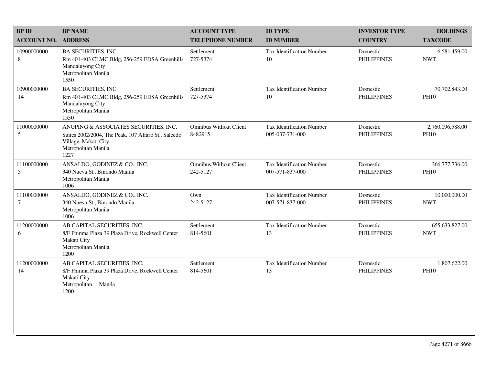| <b>BPID</b>                | <b>BP NAME</b>                                                                                                                                      | <b>ACCOUNT TYPE</b>                       | <b>ID TYPE</b>                                      | <b>INVESTOR TYPE</b>           | <b>HOLDINGS</b>                 |
|----------------------------|-----------------------------------------------------------------------------------------------------------------------------------------------------|-------------------------------------------|-----------------------------------------------------|--------------------------------|---------------------------------|
| <b>ACCOUNT NO. ADDRESS</b> |                                                                                                                                                     | <b>TELEPHONE NUMBER</b>                   | <b>ID NUMBER</b>                                    | <b>COUNTRY</b>                 | <b>TAXCODE</b>                  |
| 10900000000<br>8           | <b>BA SECURITIES, INC.</b><br>Rm 401-403 CLMC Bldg, 256-259 EDSA Greenhills<br>Mandaluyong City<br>Metropolitan Manila<br>1550                      | Settlement<br>727-5374                    | <b>Tax Identification Number</b><br>10              | Domestic<br><b>PHILIPPINES</b> | 6,581,459.00<br><b>NWT</b>      |
| 10900000000<br>14          | <b>BA SECURITIES, INC.</b><br>Rm 401-403 CLMC Bldg, 256-259 EDSA Greenhills<br>Mandaluyong City<br>Metropolitan Manila<br>1550                      | Settlement<br>727-5374                    | Tax Identification Number<br>10                     | Domestic<br><b>PHILIPPINES</b> | 70,702,843.00<br><b>PH10</b>    |
| 11000000000<br>5           | ANGPING & ASSOCIATES SECURITIES, INC.<br>Suites 2002/2004, The Peak, 107 Alfaro St., Salcedo<br>Village, Makati City<br>Metropolitan Manila<br>1227 | <b>Omnibus Without Client</b><br>8482915  | <b>Tax Identification Number</b><br>005-037-731-000 | Domestic<br><b>PHILIPPINES</b> | 2,760,096,588.00<br><b>PH10</b> |
| 11100000000<br>5           | ANSALDO, GODINEZ & CO., INC.<br>340 Nueva St., Binondo Manila<br>Metropolitan Manila<br>1006                                                        | <b>Omnibus Without Client</b><br>242-5127 | <b>Tax Identification Number</b><br>007-571-837-000 | Domestic<br><b>PHILIPPINES</b> | 366,777,736.00<br><b>PH10</b>   |
| 11100000000<br>7           | ANSALDO, GODINEZ & CO., INC.<br>340 Nueva St., Binondo Manila<br>Metropolitan Manila<br>1006                                                        | Own<br>242-5127                           | Tax Identification Number<br>007-571-837-000        | Domestic<br><b>PHILIPPINES</b> | 10,000,000.00<br><b>NWT</b>     |
| 11200000000<br>6           | AB CAPITAL SECURITIES, INC.<br>8/F Phinma Plaza 39 Plaza Drive, Rockwell Center<br>Makati City<br>Metropolitan Manila<br>1200                       | Settlement<br>814-5601                    | <b>Tax Identification Number</b><br>13              | Domestic<br><b>PHILIPPINES</b> | 655, 633, 827.00<br><b>NWT</b>  |
| 11200000000<br>14          | AB CAPITAL SECURITIES, INC.<br>8/F Phinma Plaza 39 Plaza Drive, Rockwell Center<br>Makati City<br>Metropolitan<br>Manila<br>1200                    | Settlement<br>814-5601                    | <b>Tax Identification Number</b><br>13              | Domestic<br><b>PHILIPPINES</b> | 1,807,622.00<br><b>PH10</b>     |
|                            |                                                                                                                                                     |                                           |                                                     |                                |                                 |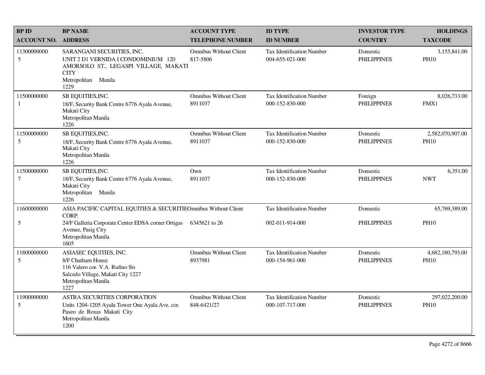| <b>BPID</b><br><b>ACCOUNT NO.</b> | <b>BP NAME</b><br><b>ADDRESS</b>                                                                                                                         | <b>ACCOUNT TYPE</b><br><b>TELEPHONE NUMBER</b> | <b>ID TYPE</b><br><b>ID NUMBER</b>                  | <b>INVESTOR TYPE</b><br><b>COUNTRY</b> | <b>HOLDINGS</b><br><b>TAXCODE</b> |
|-----------------------------------|----------------------------------------------------------------------------------------------------------------------------------------------------------|------------------------------------------------|-----------------------------------------------------|----------------------------------------|-----------------------------------|
| 11300000000<br>5                  | SARANGANI SECURITIES, INC.<br>UNIT 2 D1 VERNIDA I CONDOMINIUM 120<br>AMORSOLO ST., LEGASPI VILLAGE, MAKATI<br><b>CITY</b><br>Metropolitan Manila<br>1229 | <b>Omnibus Without Client</b><br>817-5806      | <b>Tax Identification Number</b><br>004-655-021-000 | Domestic<br><b>PHILIPPINES</b>         | 3,155,841.00<br><b>PH10</b>       |
| 11500000000<br>-1                 | SB EQUITIES, INC.<br>18/F, Security Bank Centre 6776 Ayala Avenue,<br>Makati City<br>Metropolitan Manila<br>1226                                         | <b>Omnibus Without Client</b><br>8911037       | <b>Tax Identification Number</b><br>000-152-830-000 | Foreign<br><b>PHILIPPINES</b>          | 8,026,733.00<br>FMX1              |
| 11500000000<br>5                  | SB EQUITIES, INC.<br>18/F, Security Bank Centre 6776 Ayala Avenue,<br>Makati City<br>Metropolitan Manila<br>1226                                         | <b>Omnibus Without Client</b><br>8911037       | Tax Identification Number<br>000-152-830-000        | Domestic<br><b>PHILIPPINES</b>         | 2,582,070,907.00<br><b>PH10</b>   |
| 11500000000<br>7                  | SB EQUITIES, INC.<br>18/F, Security Bank Centre 6776 Ayala Avenue,<br>Makati City<br>Metropolitan Manila<br>1226                                         | Own<br>8911037                                 | Tax Identification Number<br>000-152-830-000        | Domestic<br><b>PHILIPPINES</b>         | 6,351.00<br><b>NWT</b>            |
| 11600000000                       | ASIA PACIFIC CAPITAL EQUITIES & SECURITIEOmnibus Without Client<br>CORP.                                                                                 |                                                | <b>Tax Identification Number</b>                    | Domestic                               | 65,769,389.00                     |
| 5                                 | 24/F Galleria Corporate Center EDSA corner Ortigas<br>Avenue, Pasig City<br>Metropolitan Manila<br>1605                                                  | 6345621 to 26                                  | 002-011-914-000                                     | <b>PHILIPPINES</b>                     | <b>PH10</b>                       |
| 11800000000<br>5                  | ASIASEC EQUITIES, INC.<br>8/F Chatham House<br>116 Valero cor. V.A. Rufino Sts<br>Salcedo Village, Makati City 1227<br>Metropolitan Manila<br>1227       | <b>Omnibus Without Client</b><br>8937981       | <b>Tax Identification Number</b><br>000-154-961-000 | Domestic<br><b>PHILIPPINES</b>         | 4,682,180,793.00<br><b>PH10</b>   |
| 11900000000<br>5                  | ASTRA SECURITIES CORPORATION<br>Units 1204-1205 Ayala Tower One Ayala Ave. cor.<br>Paseo de Roxas Makati City<br>Metropolitan Manila<br>1200             | <b>Omnibus Without Client</b><br>848-6421/27   | <b>Tax Identification Number</b><br>000-107-717-000 | Domestic<br><b>PHILIPPINES</b>         | 297,022,200.00<br><b>PH10</b>     |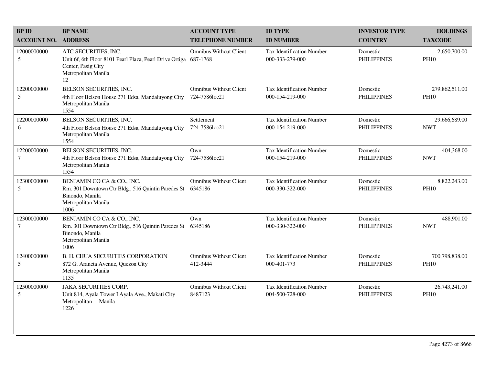| <b>BP ID</b>                    | <b>BP NAME</b>                                                                                                                     | <b>ACCOUNT TYPE</b>                            | <b>ID TYPE</b>                                      | <b>INVESTOR TYPE</b>           | <b>HOLDINGS</b>               |
|---------------------------------|------------------------------------------------------------------------------------------------------------------------------------|------------------------------------------------|-----------------------------------------------------|--------------------------------|-------------------------------|
| <b>ACCOUNT NO.</b>              | <b>ADDRESS</b>                                                                                                                     | <b>TELEPHONE NUMBER</b>                        | <b>ID NUMBER</b>                                    | <b>COUNTRY</b>                 | <b>TAXCODE</b>                |
| 12000000000<br>$5\overline{)}$  | ATC SECURITIES, INC.<br>Unit 6f, 6th Floor 8101 Pearl Plaza, Pearl Drive Ortiga<br>Center, Pasig City<br>Metropolitan Manila<br>12 | <b>Omnibus Without Client</b><br>687-1768      | <b>Tax Identification Number</b><br>000-333-279-000 | Domestic<br><b>PHILIPPINES</b> | 2,650,700.00<br><b>PH10</b>   |
| 12200000000<br>5                | BELSON SECURITIES, INC.<br>4th Floor Belson House 271 Edsa, Mandaluyong City<br>Metropolitan Manila<br>1554                        | <b>Omnibus Without Client</b><br>724-7586loc21 | Tax Identification Number<br>000-154-219-000        | Domestic<br><b>PHILIPPINES</b> | 279,862,511.00<br><b>PH10</b> |
| 12200000000<br>6                | BELSON SECURITIES, INC.<br>4th Floor Belson House 271 Edsa, Mandaluyong City<br>Metropolitan Manila<br>1554                        | Settlement<br>724-7586loc21                    | <b>Tax Identification Number</b><br>000-154-219-000 | Domestic<br><b>PHILIPPINES</b> | 29,666,689.00<br><b>NWT</b>   |
| 12200000000<br>$\boldsymbol{7}$ | BELSON SECURITIES, INC.<br>4th Floor Belson House 271 Edsa, Mandaluyong City<br>Metropolitan Manila<br>1554                        | Own<br>724-7586loc21                           | <b>Tax Identification Number</b><br>000-154-219-000 | Domestic<br><b>PHILIPPINES</b> | 404,368.00<br><b>NWT</b>      |
| 12300000000<br>5                | BENJAMIN CO CA & CO., INC.<br>Rm. 301 Downtown Ctr Bldg., 516 Quintin Paredes St<br>Binondo, Manila<br>Metropolitan Manila<br>1006 | <b>Omnibus Without Client</b><br>6345186       | <b>Tax Identification Number</b><br>000-330-322-000 | Domestic<br><b>PHILIPPINES</b> | 8,822,243.00<br><b>PH10</b>   |
| 12300000000<br>$\tau$           | BENJAMIN CO CA & CO., INC.<br>Rm. 301 Downtown Ctr Bldg., 516 Quintin Paredes St<br>Binondo, Manila<br>Metropolitan Manila<br>1006 | Own<br>6345186                                 | <b>Tax Identification Number</b><br>000-330-322-000 | Domestic<br><b>PHILIPPINES</b> | 488,901.00<br><b>NWT</b>      |
| 12400000000<br>$\mathfrak s$    | <b>B. H. CHUA SECURITIES CORPORATION</b><br>872 G. Araneta Avenue, Quezon City<br>Metropolitan Manila<br>1135                      | <b>Omnibus Without Client</b><br>412-3444      | <b>Tax Identification Number</b><br>000-401-773     | Domestic<br><b>PHILIPPINES</b> | 700,798,838.00<br><b>PH10</b> |
| 12500000000<br>5                | <b>JAKA SECURITIES CORP.</b><br>Unit 814, Ayala Tower I Ayala Ave., Makati City<br>Metropolitan Manila<br>1226                     | <b>Omnibus Without Client</b><br>8487123       | <b>Tax Identification Number</b><br>004-500-728-000 | Domestic<br><b>PHILIPPINES</b> | 26,743,241.00<br><b>PH10</b>  |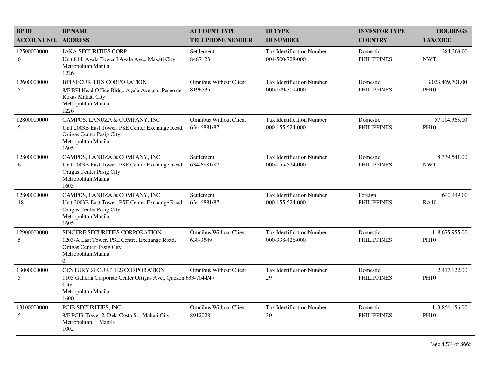| <b>BPID</b>        | <b>BP NAME</b>                                                                                                                                   | <b>ACCOUNT TYPE</b>                       | <b>ID TYPE</b>                                      | <b>INVESTOR TYPE</b>           | <b>HOLDINGS</b>                 |
|--------------------|--------------------------------------------------------------------------------------------------------------------------------------------------|-------------------------------------------|-----------------------------------------------------|--------------------------------|---------------------------------|
| <b>ACCOUNT NO.</b> | <b>ADDRESS</b>                                                                                                                                   | <b>TELEPHONE NUMBER</b>                   | <b>ID NUMBER</b>                                    | <b>COUNTRY</b>                 | <b>TAXCODE</b>                  |
| 12500000000<br>6   | <b>JAKA SECURITIES CORP.</b><br>Unit 814, Ayala Tower I Ayala Ave., Makati City<br>Metropolitan Manila<br>1226                                   | Settlement<br>8487123                     | <b>Tax Identification Number</b><br>004-500-728-000 | Domestic<br><b>PHILIPPINES</b> | 384,269.00<br><b>NWT</b>        |
| 12600000000<br>5   | BPI SECURITIES CORPORATION<br>8/F BPI Head Office Bldg., Ayala Ave., cor. Paseo de<br>Roxas Makati City<br>Metropolitan Manila<br>1226           | <b>Omnibus Without Client</b><br>8196535  | <b>Tax Identification Number</b><br>000-109-309-000 | Domestic<br><b>PHILIPPINES</b> | 3,023,469,701.00<br><b>PH10</b> |
| 12800000000<br>5   | CAMPOS, LANUZA & COMPANY, INC.<br>Unit 2003B East Tower, PSE Center Exchange Road,<br>Ortigas Center Pasig City<br>Metropolitan Manila<br>1605   | Omnibus Without Client<br>634-6881/87     | <b>Tax Identification Number</b><br>000-155-524-000 | Domestic<br><b>PHILIPPINES</b> | 57,104,363.00<br><b>PH10</b>    |
| 12800000000<br>6   | CAMPOS, LANUZA & COMPANY, INC.<br>Unit 2003B East Tower, PSE Center Exchange Road,<br>Ortigas Center Pasig City<br>Metropolitan Manila<br>1605   | Settlement<br>634-6881/87                 | <b>Tax Identification Number</b><br>000-155-524-000 | Domestic<br><b>PHILIPPINES</b> | 8,339,541.00<br><b>NWT</b>      |
| 12800000000<br>18  | CAMPOS, LANUZA & COMPANY, INC.<br>Unit 2003B East Tower, PSE Center Exchange Road,<br>Ortigas Center Pasig City<br>Metropolitan Manila<br>1605   | <b>Settlement</b><br>634-6881/87          | <b>Tax Identification Number</b><br>000-155-524-000 | Foreign<br><b>PHILIPPINES</b>  | 640,449.00<br><b>RA10</b>       |
| 12900000000<br>5   | SINCERE SECURITIES CORPORATION<br>1203-A East Tower, PSE Centre, Exchange Road,<br>Ortigas Center, Pasig City<br>Metropolitan Manila<br>$\Omega$ | <b>Omnibus Without Client</b><br>638-3549 | <b>Tax Identification Number</b><br>000-338-426-000 | Domestic<br><b>PHILIPPINES</b> | 118,675,955.00<br><b>PH10</b>   |
| 13000000000<br>5   | CENTURY SECURITIES CORPORATION<br>1105 Galleria Corporate Center Ortigas Ave., Quezon 633-7044/47<br>City<br>Metropolitan Manila<br>1600         | <b>Omnibus Without Client</b>             | <b>Tax Identification Number</b><br>29              | Domestic<br><b>PHILIPPINES</b> | 2,417,122.00<br><b>PH10</b>     |
| 13100000000<br>5   | PCIB SECURITIES, INC.<br>8/F PCIB Tower 2, Dela Costa St., Makati City<br>Metropolitan Manila<br>1002                                            | <b>Omnibus Without Client</b><br>8912028  | <b>Tax Identification Number</b><br>30              | Domestic<br><b>PHILIPPINES</b> | 113,854,156.00<br><b>PH10</b>   |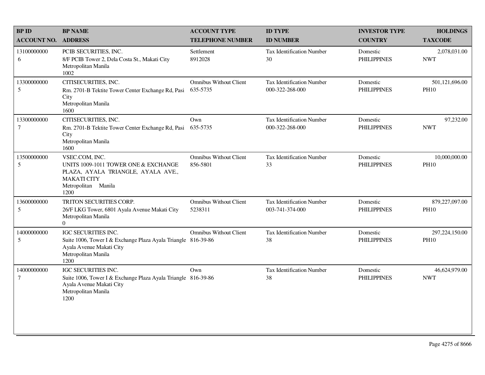| <b>BPID</b>                | <b>BP NAME</b>                                                                                                                                         | <b>ACCOUNT TYPE</b>                       | <b>ID TYPE</b>                                      | <b>INVESTOR TYPE</b>           | <b>HOLDINGS</b>               |
|----------------------------|--------------------------------------------------------------------------------------------------------------------------------------------------------|-------------------------------------------|-----------------------------------------------------|--------------------------------|-------------------------------|
| <b>ACCOUNT NO. ADDRESS</b> |                                                                                                                                                        | <b>TELEPHONE NUMBER</b>                   | <b>ID NUMBER</b>                                    | <b>COUNTRY</b>                 | <b>TAXCODE</b>                |
| 13100000000<br>6           | PCIB SECURITIES, INC.<br>8/F PCIB Tower 2, Dela Costa St., Makati City<br>Metropolitan Manila<br>1002                                                  | Settlement<br>8912028                     | <b>Tax Identification Number</b><br>30              | Domestic<br><b>PHILIPPINES</b> | 2,078,031.00<br><b>NWT</b>    |
| 13300000000<br>5           | CITISECURITIES, INC.<br>Rm. 2701-B Tektite Tower Center Exchange Rd, Pasi<br>City<br>Metropolitan Manila<br>1600                                       | Omnibus Without Client<br>635-5735        | <b>Tax Identification Number</b><br>000-322-268-000 | Domestic<br><b>PHILIPPINES</b> | 501,121,696.00<br><b>PH10</b> |
| 13300000000<br>7           | CITISECURITIES, INC.<br>Rm. 2701-B Tektite Tower Center Exchange Rd, Pasi<br>City<br>Metropolitan Manila<br>1600                                       | Own<br>635-5735                           | Tax Identification Number<br>000-322-268-000        | Domestic<br><b>PHILIPPINES</b> | 97,232.00<br><b>NWT</b>       |
| 13500000000<br>5           | VSEC.COM, INC.<br>UNITS 1009-1011 TOWER ONE & EXCHANGE<br>PLAZA, AYALA TRIANGLE, AYALA AVE.,<br><b>MAKATI CITY</b><br>Metropolitan Manila<br>1200      | <b>Omnibus Without Client</b><br>856-5801 | <b>Tax Identification Number</b><br>33              | Domestic<br><b>PHILIPPINES</b> | 10,000,000.00<br><b>PH10</b>  |
| 13600000000<br>5           | TRITON SECURITIES CORP.<br>26/F LKG Tower, 6801 Ayala Avenue Makati City<br>Metropolitan Manila<br>$\overline{0}$                                      | <b>Omnibus Without Client</b><br>5238311  | <b>Tax Identification Number</b><br>003-741-374-000 | Domestic<br><b>PHILIPPINES</b> | 879,227,097.00<br><b>PH10</b> |
| 14000000000<br>5           | IGC SECURITIES INC.<br>Suite 1006, Tower I & Exchange Plaza Ayala Triangle 816-39-86<br>Ayala Avenue Makati City<br>Metropolitan Manila<br>1200        | <b>Omnibus Without Client</b>             | Tax Identification Number<br>38                     | Domestic<br><b>PHILIPPINES</b> | 297,224,150.00<br><b>PH10</b> |
| 14000000000<br>$\tau$      | <b>IGC SECURITIES INC.</b><br>Suite 1006, Tower I & Exchange Plaza Ayala Triangle 816-39-86<br>Ayala Avenue Makati City<br>Metropolitan Manila<br>1200 | Own                                       | Tax Identification Number<br>38                     | Domestic<br><b>PHILIPPINES</b> | 46,624,979.00<br><b>NWT</b>   |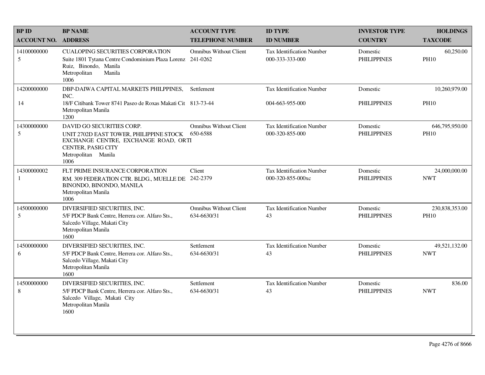| <b>BPID</b>            | <b>BP NAME</b>                                                                                                                                                    | <b>ACCOUNT TYPE</b>                          | <b>ID TYPE</b>                                        | <b>INVESTOR TYPE</b>           | <b>HOLDINGS</b>               |
|------------------------|-------------------------------------------------------------------------------------------------------------------------------------------------------------------|----------------------------------------------|-------------------------------------------------------|--------------------------------|-------------------------------|
| <b>ACCOUNT NO.</b>     | <b>ADDRESS</b>                                                                                                                                                    | <b>TELEPHONE NUMBER</b>                      | <b>ID NUMBER</b>                                      | <b>COUNTRY</b>                 | <b>TAXCODE</b>                |
| 14100000000<br>5       | <b>CUALOPING SECURITIES CORPORATION</b><br>Suite 1801 Tytana Centre Condominium Plaza Lorenz 241-0262<br>Ruiz, Binondo, Manila<br>Metropolitan<br>Manila<br>1006  | <b>Omnibus Without Client</b>                | <b>Tax Identification Number</b><br>000-333-333-000   | Domestic<br><b>PHILIPPINES</b> | 60,250.00<br><b>PH10</b>      |
| 14200000000<br>14      | DBP-DAIWA CAPITAL MARKETS PHILPPINES,<br>INC.<br>18/F Citibank Tower 8741 Paseo de Roxas Makati Cit 813-73-44<br>Metropolitan Manila<br>1200                      | Settlement                                   | Tax Identification Number<br>004-663-955-000          | Domestic<br><b>PHILIPPINES</b> | 10,260,979.00<br><b>PH10</b>  |
| 14300000000<br>5       | DAVID GO SECURITIES CORP.<br>UNIT 2702D EAST TOWER, PHILIPPINE STOCK<br>EXCHANGE CENTRE, EXCHANGE ROAD, ORTI<br>CENTER, PASIG CITY<br>Metropolitan Manila<br>1006 | Omnibus Without Client<br>650-6588           | Tax Identification Number<br>000-320-855-000          | Domestic<br><b>PHILIPPINES</b> | 646,795,950.00<br><b>PH10</b> |
| 14300000002<br>1       | FLT PRIME INSURANCE CORPORATION<br>RM. 309 FEDERATION CTR. BLDG., MUELLE DE 242-2379<br>BINONDO, BINONDO, MANILA<br>Metropolitan Manila<br>1006                   | Client                                       | <b>Tax Identification Number</b><br>000-320-855-000xc | Domestic<br><b>PHILIPPINES</b> | 24,000,000.00<br><b>NWT</b>   |
| 14500000000<br>5       | DIVERSIFIED SECURITIES, INC.<br>5/F PDCP Bank Centre, Herrera cor. Alfaro Sts.,<br>Salcedo Village, Makati City<br>Metropolitan Manila<br>1600                    | <b>Omnibus Without Client</b><br>634-6630/31 | Tax Identification Number<br>43                       | Domestic<br><b>PHILIPPINES</b> | 230,838,353.00<br><b>PH10</b> |
| 14500000000<br>6       | DIVERSIFIED SECURITIES, INC.<br>5/F PDCP Bank Centre, Herrera cor. Alfaro Sts.,<br>Salcedo Village, Makati City<br>Metropolitan Manila<br>1600                    | Settlement<br>634-6630/31                    | <b>Tax Identification Number</b><br>43                | Domestic<br><b>PHILIPPINES</b> | 49,521,132.00<br><b>NWT</b>   |
| 14500000000<br>$\,8\,$ | DIVERSIFIED SECURITIES, INC.<br>5/F PDCP Bank Centre, Herrera cor. Alfaro Sts.,<br>Salcedo Village, Makati City<br>Metropolitan Manila<br>1600                    | Settlement<br>634-6630/31                    | Tax Identification Number<br>43                       | Domestic<br><b>PHILIPPINES</b> | 836.00<br><b>NWT</b>          |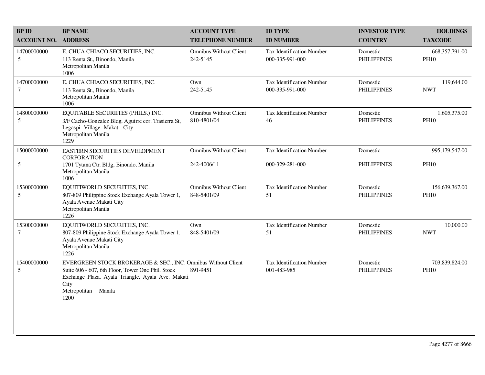| <b>BPID</b>                | <b>BP NAME</b>                                                                                                                                                                                                    | <b>ACCOUNT TYPE</b>                          | <b>ID TYPE</b>                                      | <b>INVESTOR TYPE</b>           | <b>HOLDINGS</b>                 |
|----------------------------|-------------------------------------------------------------------------------------------------------------------------------------------------------------------------------------------------------------------|----------------------------------------------|-----------------------------------------------------|--------------------------------|---------------------------------|
| <b>ACCOUNT NO. ADDRESS</b> |                                                                                                                                                                                                                   | <b>TELEPHONE NUMBER</b>                      | <b>ID NUMBER</b>                                    | <b>COUNTRY</b>                 | <b>TAXCODE</b>                  |
| 14700000000<br>5           | E. CHUA CHIACO SECURITIES, INC.<br>113 Renta St., Binondo, Manila<br>Metropolitan Manila<br>1006                                                                                                                  | <b>Omnibus Without Client</b><br>242-5145    | <b>Tax Identification Number</b><br>000-335-991-000 | Domestic<br><b>PHILIPPINES</b> | 668, 357, 791.00<br><b>PH10</b> |
| 14700000000<br>$\tau$      | E. CHUA CHIACO SECURITIES, INC.<br>113 Renta St., Binondo, Manila<br>Metropolitan Manila<br>1006                                                                                                                  | Own<br>242-5145                              | Tax Identification Number<br>000-335-991-000        | Domestic<br><b>PHILIPPINES</b> | 119,644.00<br><b>NWT</b>        |
| 14800000000<br>5           | EQUITABLE SECURIITES (PHILS.) INC.<br>3/F Cacho-Gonzalez Bldg, Aguirre cor. Trasierra St,<br>Legaspi Village Makati City<br>Metropolitan Manila<br>1229                                                           | <b>Omnibus Without Client</b><br>810-4801/04 | <b>Tax Identification Number</b><br>46              | Domestic<br><b>PHILIPPINES</b> | 1,605,375.00<br><b>PH10</b>     |
| 15000000000                | EASTERN SECURITIES DEVELOPMENT<br><b>CORPORATION</b>                                                                                                                                                              | <b>Omnibus Without Client</b>                | <b>Tax Identification Number</b>                    | Domestic                       | 995,179,547.00                  |
| 5                          | 1701 Tytana Ctr. Bldg, Binondo, Manila<br>Metropolitan Manila<br>1006                                                                                                                                             | 242-4006/11                                  | 000-329-281-000                                     | <b>PHILIPPINES</b>             | <b>PH10</b>                     |
| 15300000000<br>5           | EQUITIWORLD SECURITIES, INC.<br>807-809 Philippine Stock Exchange Ayala Tower 1,<br>Ayala Avenue Makati City<br>Metropolitan Manila<br>1226                                                                       | <b>Omnibus Without Client</b><br>848-5401/09 | Tax Identification Number<br>51                     | Domestic<br><b>PHILIPPINES</b> | 156,639,367.00<br><b>PH10</b>   |
| 15300000000<br>7           | EQUITIWORLD SECURITIES, INC.<br>807-809 Philippine Stock Exchange Ayala Tower 1,<br>Ayala Avenue Makati City<br>Metropolitan Manila<br>1226                                                                       | Own<br>848-5401/09                           | Tax Identification Number<br>51                     | Domestic<br><b>PHILIPPINES</b> | 10,000.00<br><b>NWT</b>         |
| 15400000000<br>5           | EVERGREEN STOCK BROKERAGE & SEC., INC. Omnibus Without Client<br>Suite 606 - 607, 6th Floor, Tower One Phil. Stock<br>Exchange Plaza, Ayala Triangle, Ayala Ave. Makati<br>City<br>Metropolitan<br>Manila<br>1200 | 891-9451                                     | <b>Tax Identification Number</b><br>001-483-985     | Domestic<br><b>PHILIPPINES</b> | 703,839,824.00<br><b>PH10</b>   |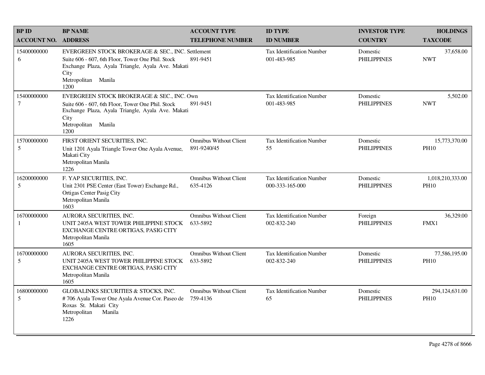| <b>BP ID</b>          | <b>BP NAME</b>                                                                                                                                                                                     | <b>ACCOUNT TYPE</b>                          | <b>ID TYPE</b>                                      | <b>INVESTOR TYPE</b>           | <b>HOLDINGS</b>                 |
|-----------------------|----------------------------------------------------------------------------------------------------------------------------------------------------------------------------------------------------|----------------------------------------------|-----------------------------------------------------|--------------------------------|---------------------------------|
| <b>ACCOUNT NO.</b>    | <b>ADDRESS</b>                                                                                                                                                                                     | <b>TELEPHONE NUMBER</b>                      | <b>ID NUMBER</b>                                    | <b>COUNTRY</b>                 | <b>TAXCODE</b>                  |
| 15400000000<br>6      | EVERGREEN STOCK BROKERAGE & SEC., INC. Settlement<br>Suite 606 - 607, 6th Floor, Tower One Phil. Stock<br>Exchange Plaza, Ayala Triangle, Ayala Ave. Makati<br>City<br>Metropolitan Manila<br>1200 | 891-9451                                     | Tax Identification Number<br>001-483-985            | Domestic<br><b>PHILIPPINES</b> | 37,658.00<br><b>NWT</b>         |
| 15400000000<br>$\tau$ | EVERGREEN STOCK BROKERAGE & SEC., INC. Own<br>Suite 606 - 607, 6th Floor, Tower One Phil. Stock<br>Exchange Plaza, Ayala Triangle, Ayala Ave. Makati<br>City<br>Metropolitan Manila<br>1200        | 891-9451                                     | <b>Tax Identification Number</b><br>001-483-985     | Domestic<br><b>PHILIPPINES</b> | 5,502.00<br><b>NWT</b>          |
| 15700000000<br>5      | FIRST ORIENT SECURITIES, INC.<br>Unit 1201 Ayala Triangle Tower One Ayala Avenue,<br>Makati City<br>Metropolitan Manila<br>1226                                                                    | <b>Omnibus Without Client</b><br>891-9240/45 | <b>Tax Identification Number</b><br>55              | Domestic<br><b>PHILIPPINES</b> | 15,773,370.00<br><b>PH10</b>    |
| 16200000000<br>5      | F. YAP SECURITIES, INC.<br>Unit 2301 PSE Center (East Tower) Exchange Rd.,<br>Ortigas Center Pasig City<br>Metropolitan Manila<br>1603                                                             | <b>Omnibus Without Client</b><br>635-4126    | <b>Tax Identification Number</b><br>000-333-165-000 | Domestic<br><b>PHILIPPINES</b> | 1,018,210,333.00<br><b>PH10</b> |
| 16700000000<br>1      | AURORA SECURITIES, INC.<br>UNIT 2405A WEST TOWER PHILIPPINE STOCK<br>EXCHANGE CENTRE ORTIGAS, PASIG CITY<br>Metropolitan Manila<br>1605                                                            | <b>Omnibus Without Client</b><br>633-5892    | <b>Tax Identification Number</b><br>002-832-240     | Foreign<br><b>PHILIPPINES</b>  | 36,329.00<br>FMX1               |
| 16700000000<br>5      | AURORA SECURITIES, INC.<br>UNIT 2405A WEST TOWER PHILIPPINE STOCK<br>EXCHANGE CENTRE ORTIGAS, PASIG CITY<br>Metropolitan Manila<br>1605                                                            | <b>Omnibus Without Client</b><br>633-5892    | <b>Tax Identification Number</b><br>002-832-240     | Domestic<br><b>PHILIPPINES</b> | 77,586,195.00<br><b>PH10</b>    |
| 16800000000<br>5      | GLOBALINKS SECURITIES & STOCKS, INC.<br>#706 Ayala Tower One Ayala Avenue Cor. Paseo de<br>Roxas St. Makati City<br>Metropolitan<br>Manila<br>1226                                                 | <b>Omnibus Without Client</b><br>759-4136    | <b>Tax Identification Number</b><br>65              | Domestic<br><b>PHILIPPINES</b> | 294,124,631.00<br><b>PH10</b>   |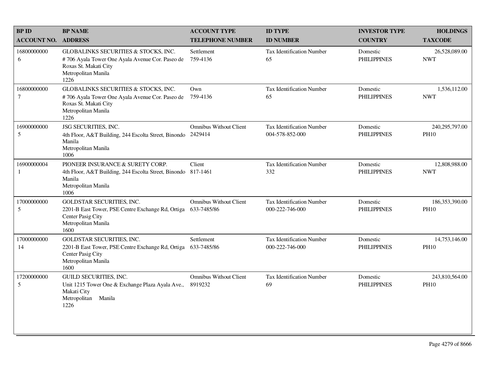| <b>BP ID</b>                | <b>BP NAME</b>                                                                                                                                  | <b>ACCOUNT TYPE</b>                          | <b>ID TYPE</b>                                      | <b>INVESTOR TYPE</b>           | <b>HOLDINGS</b>                 |
|-----------------------------|-------------------------------------------------------------------------------------------------------------------------------------------------|----------------------------------------------|-----------------------------------------------------|--------------------------------|---------------------------------|
| <b>ACCOUNT NO.</b>          | <b>ADDRESS</b>                                                                                                                                  | <b>TELEPHONE NUMBER</b>                      | <b>ID NUMBER</b>                                    | <b>COUNTRY</b>                 | <b>TAXCODE</b>                  |
| 16800000000<br>6            | GLOBALINKS SECURITIES & STOCKS, INC.<br>#706 Ayala Tower One Ayala Avenue Cor. Paseo de<br>Roxas St. Makati City<br>Metropolitan Manila<br>1226 | Settlement<br>759-4136                       | Tax Identification Number<br>65                     | Domestic<br><b>PHILIPPINES</b> | 26,528,089.00<br><b>NWT</b>     |
| 16800000000<br>$\tau$       | GLOBALINKS SECURITIES & STOCKS, INC.<br>#706 Ayala Tower One Ayala Avenue Cor. Paseo de<br>Roxas St. Makati City<br>Metropolitan Manila<br>1226 | Own<br>759-4136                              | Tax Identification Number<br>65                     | Domestic<br><b>PHILIPPINES</b> | 1,536,112.00<br><b>NWT</b>      |
| 16900000000<br>5            | JSG SECURITIES, INC.<br>4th Floor, A&T Building, 244 Escolta Street, Binondo<br>Manila<br>Metropolitan Manila<br>1006                           | <b>Omnibus Without Client</b><br>2429414     | <b>Tax Identification Number</b><br>004-578-852-000 | Domestic<br><b>PHILIPPINES</b> | 240,295,797.00<br><b>PH10</b>   |
| 16900000004<br>$\mathbf{1}$ | PIONEER INSURANCE & SURETY CORP.<br>4th Floor, A&T Building, 244 Escolta Street, Binondo 817-1461<br>Manila<br>Metropolitan Manila<br>1006      | Client                                       | <b>Tax Identification Number</b><br>332             | Domestic<br><b>PHILIPPINES</b> | 12,808,988.00<br><b>NWT</b>     |
| 17000000000<br>5            | <b>GOLDSTAR SECURITIES, INC.</b><br>2201-B East Tower, PSE Centre Exchange Rd, Ortiga<br>Center Pasig City<br>Metropolitan Manila<br>1600       | <b>Omnibus Without Client</b><br>633-7485/86 | <b>Tax Identification Number</b><br>000-222-746-000 | Domestic<br><b>PHILIPPINES</b> | 186, 353, 390.00<br><b>PH10</b> |
| 17000000000<br>14           | GOLDSTAR SECURITIES, INC.<br>2201-B East Tower, PSE Centre Exchange Rd, Ortiga<br>Center Pasig City<br>Metropolitan Manila<br>1600              | Settlement<br>633-7485/86                    | <b>Tax Identification Number</b><br>000-222-746-000 | Domestic<br><b>PHILIPPINES</b> | 14,753,146.00<br><b>PH10</b>    |
| 17200000000<br>5            | <b>GUILD SECURITIES, INC.</b><br>Unit 1215 Tower One & Exchange Plaza Ayala Ave.,<br>Makati City<br>Metropolitan<br>Manila<br>1226              | <b>Omnibus Without Client</b><br>8919232     | <b>Tax Identification Number</b><br>69              | Domestic<br><b>PHILIPPINES</b> | 243,810,564.00<br><b>PH10</b>   |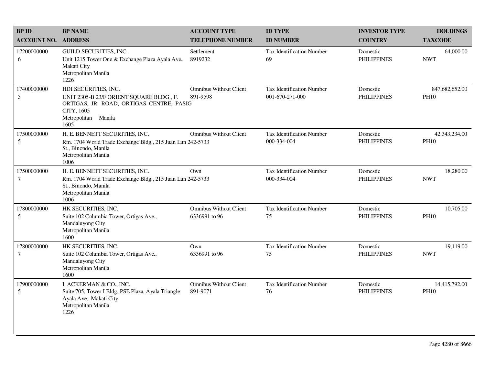| <b>BPID</b>                    | <b>BP NAME</b>                                                                                                                                            | <b>ACCOUNT TYPE</b>                            | <b>ID TYPE</b>                                      | <b>INVESTOR TYPE</b>           | <b>HOLDINGS</b>               |
|--------------------------------|-----------------------------------------------------------------------------------------------------------------------------------------------------------|------------------------------------------------|-----------------------------------------------------|--------------------------------|-------------------------------|
| <b>ACCOUNT NO.</b>             | <b>ADDRESS</b>                                                                                                                                            | <b>TELEPHONE NUMBER</b>                        | <b>ID NUMBER</b>                                    | <b>COUNTRY</b>                 | <b>TAXCODE</b>                |
| 17200000000<br>6               | <b>GUILD SECURITIES, INC.</b><br>Unit 1215 Tower One & Exchange Plaza Ayala Ave.,<br>Makati City<br>Metropolitan Manila<br>1226                           | Settlement<br>8919232                          | <b>Tax Identification Number</b><br>69              | Domestic<br><b>PHILIPPINES</b> | 64,000.00<br><b>NWT</b>       |
| 17400000000<br>5               | HDI SECURITIES, INC.<br>UNIT 2305-B 23/F ORIENT SQUARE BLDG., F.<br>ORTIGAS, JR. ROAD, ORTIGAS CENTRE, PASIG<br>CITY, 1605<br>Metropolitan Manila<br>1605 | <b>Omnibus Without Client</b><br>891-9598      | <b>Tax Identification Number</b><br>001-670-271-000 | Domestic<br><b>PHILIPPINES</b> | 847,682,652.00<br><b>PH10</b> |
| 17500000000<br>$5\overline{)}$ | H. E. BENNETT SECURITIES, INC.<br>Rm. 1704 World Trade Exchange Bldg., 215 Juan Lun 242-5733<br>St., Binondo, Manila<br>Metropolitan Manila<br>1006       | <b>Omnibus Without Client</b>                  | <b>Tax Identification Number</b><br>000-334-004     | Domestic<br><b>PHILIPPINES</b> | 42,343,234.00<br><b>PH10</b>  |
| 17500000000<br>$\tau$          | H. E. BENNETT SECURITIES, INC.<br>Rm. 1704 World Trade Exchange Bldg., 215 Juan Lun 242-5733<br>St., Binondo, Manila<br>Metropolitan Manila<br>1006       | Own                                            | Tax Identification Number<br>000-334-004            | Domestic<br><b>PHILIPPINES</b> | 18,280.00<br><b>NWT</b>       |
| 17800000000<br>$5\overline{)}$ | HK SECURITIES, INC.<br>Suite 102 Columbia Tower, Ortigas Ave.,<br>Mandaluyong City<br>Metropolitan Manila<br>1600                                         | <b>Omnibus Without Client</b><br>6336991 to 96 | <b>Tax Identification Number</b><br>75              | Domestic<br><b>PHILIPPINES</b> | 10,705.00<br><b>PH10</b>      |
| 17800000000<br>$\tau$          | HK SECURITIES, INC.<br>Suite 102 Columbia Tower, Ortigas Ave.,<br>Mandaluyong City<br>Metropolitan Manila<br>1600                                         | Own<br>6336991 to 96                           | <b>Tax Identification Number</b><br>75              | Domestic<br><b>PHILIPPINES</b> | 19,119.00<br><b>NWT</b>       |
| 17900000000<br>5               | I. ACKERMAN & CO., INC.<br>Suite 705, Tower I Bldg. PSE Plaza, Ayala Triangle<br>Ayala Ave., Makati City<br>Metropolitan Manila<br>1226                   | <b>Omnibus Without Client</b><br>891-9071      | <b>Tax Identification Number</b><br>76              | Domestic<br><b>PHILIPPINES</b> | 14,415,792.00<br><b>PH10</b>  |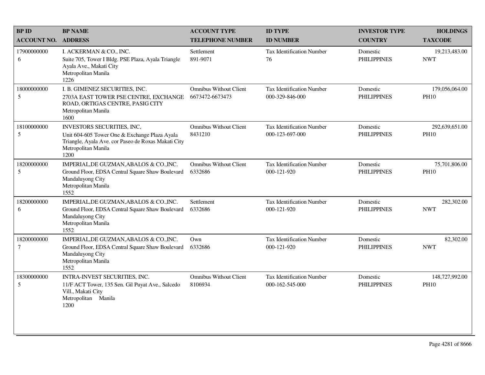| <b>BP ID</b>                    | <b>BP NAME</b>                                                                                                                                                    | <b>ACCOUNT TYPE</b>                              | <b>ID TYPE</b>                                      | <b>INVESTOR TYPE</b>           | <b>HOLDINGS</b>               |
|---------------------------------|-------------------------------------------------------------------------------------------------------------------------------------------------------------------|--------------------------------------------------|-----------------------------------------------------|--------------------------------|-------------------------------|
| <b>ACCOUNT NO.</b>              | <b>ADDRESS</b>                                                                                                                                                    | <b>TELEPHONE NUMBER</b>                          | <b>ID NUMBER</b>                                    | <b>COUNTRY</b>                 | <b>TAXCODE</b>                |
| 17900000000<br>6                | I. ACKERMAN & CO., INC.<br>Suite 705, Tower I Bldg. PSE Plaza, Ayala Triangle<br>Ayala Ave., Makati City<br>Metropolitan Manila<br>1226                           | Settlement<br>891-9071                           | <b>Tax Identification Number</b><br>76              | Domestic<br><b>PHILIPPINES</b> | 19,213,483.00<br><b>NWT</b>   |
| 18000000000<br>5                | I. B. GIMENEZ SECURITIES, INC.<br>2703A EAST TOWER PSE CENTRE, EXCHANGE<br>ROAD, ORTIGAS CENTRE, PASIG CITY<br>Metropolitan Manila<br>1600                        | <b>Omnibus Without Client</b><br>6673472-6673473 | <b>Tax Identification Number</b><br>000-329-846-000 | Domestic<br><b>PHILIPPINES</b> | 179,056,064.00<br><b>PH10</b> |
| 18100000000<br>5                | INVESTORS SECURITIES, INC,<br>Unit 604-605 Tower One & Exchange Plaza Ayala<br>Triangle, Ayala Ave. cor Paseo de Roxas Makati City<br>Metropolitan Manila<br>1200 | <b>Omnibus Without Client</b><br>8431210         | <b>Tax Identification Number</b><br>000-123-697-000 | Domestic<br><b>PHILIPPINES</b> | 292,639,651.00<br><b>PH10</b> |
| 18200000000<br>5                | IMPERIAL, DE GUZMAN, ABALOS & CO., INC.<br>Ground Floor, EDSA Central Square Shaw Boulevard<br>Mandaluyong City<br>Metropolitan Manila<br>1552                    | <b>Omnibus Without Client</b><br>6332686         | <b>Tax Identification Number</b><br>000-121-920     | Domestic<br><b>PHILIPPINES</b> | 75,701,806.00<br><b>PH10</b>  |
| 18200000000<br>6                | IMPERIAL, DE GUZMAN, ABALOS & CO., INC.<br>Ground Floor, EDSA Central Square Shaw Boulevard<br>Mandaluyong City<br>Metropolitan Manila<br>1552                    | Settlement<br>6332686                            | <b>Tax Identification Number</b><br>000-121-920     | Domestic<br><b>PHILIPPINES</b> | 282,302.00<br><b>NWT</b>      |
| 18200000000<br>$\boldsymbol{7}$ | IMPERIAL, DE GUZMAN, ABALOS & CO., INC.<br>Ground Floor, EDSA Central Square Shaw Boulevard<br>Mandaluyong City<br>Metropolitan Manila<br>1552                    | Own<br>6332686                                   | <b>Tax Identification Number</b><br>000-121-920     | Domestic<br><b>PHILIPPINES</b> | 82,302.00<br><b>NWT</b>       |
| 18300000000<br>5                | INTRA-INVEST SECURITIES, INC.<br>11/F ACT Tower, 135 Sen. Gil Puyat Ave., Salcedo<br>Vill., Makati City<br>Metropolitan Manila<br>1200                            | <b>Omnibus Without Client</b><br>8106934         | <b>Tax Identification Number</b><br>000-162-545-000 | Domestic<br><b>PHILIPPINES</b> | 148,727,992.00<br><b>PH10</b> |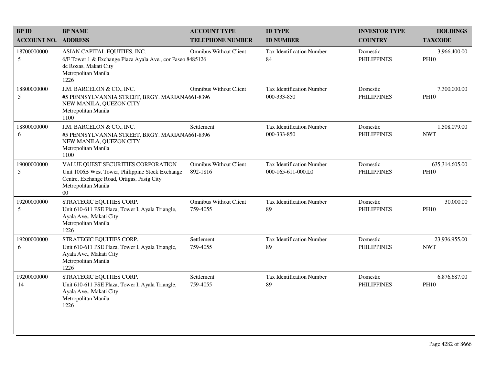| <b>BPID</b>        | <b>BP NAME</b>                                                                                                                                                        | <b>ACCOUNT TYPE</b>                       | <b>ID TYPE</b>                                         | <b>INVESTOR TYPE</b>           | <b>HOLDINGS</b>               |
|--------------------|-----------------------------------------------------------------------------------------------------------------------------------------------------------------------|-------------------------------------------|--------------------------------------------------------|--------------------------------|-------------------------------|
| <b>ACCOUNT NO.</b> | <b>ADDRESS</b>                                                                                                                                                        | <b>TELEPHONE NUMBER</b>                   | <b>ID NUMBER</b>                                       | <b>COUNTRY</b>                 | <b>TAXCODE</b>                |
| 18700000000<br>5   | ASIAN CAPITAL EQUITIES, INC.<br>6/F Tower 1 & Exchange Plaza Ayala Ave., cor Paseo 8485126<br>de Roxas, Makati City<br>Metropolitan Manila<br>1226                    | <b>Omnibus Without Client</b>             | <b>Tax Identification Number</b><br>84                 | Domestic<br><b>PHILIPPINES</b> | 3,966,400.00<br><b>PH10</b>   |
| 18800000000<br>5   | J.M. BARCELON & CO., INC.<br>#5 PENNSYLVANNIA STREET, BRGY. MARIANA661-8396<br>NEW MANILA, QUEZON CITY<br>Metropolitan Manila<br>1100                                 | <b>Omnibus Without Client</b>             | Tax Identification Number<br>000-333-850               | Domestic<br><b>PHILIPPINES</b> | 7,300,000.00<br><b>PH10</b>   |
| 18800000000<br>6   | J.M. BARCELON & CO., INC.<br>#5 PENNSYLVANNIA STREET, BRGY. MARIANA661-8396<br>NEW MANILA, QUEZON CITY<br>Metropolitan Manila<br>1100                                 | Settlement                                | <b>Tax Identification Number</b><br>000-333-850        | Domestic<br><b>PHILIPPINES</b> | 1,508,079.00<br><b>NWT</b>    |
| 19000000000<br>5   | VALUE QUEST SECURITIES CORPORATION<br>Unit 1006B West Tower, Philippine Stock Exchange<br>Centre, Exchange Road, Ortigas, Pasig City<br>Metropolitan Manila<br>$00\,$ | <b>Omnibus Without Client</b><br>892-1816 | <b>Tax Identification Number</b><br>000-165-611-000.L0 | Domestic<br><b>PHILIPPINES</b> | 635,314,605.00<br><b>PH10</b> |
| 19200000000<br>5   | STRATEGIC EQUITIES CORP.<br>Unit 610-611 PSE Plaza, Tower I, Ayala Triangle,<br>Ayala Ave., Makati City<br>Metropolitan Manila<br>1226                                | <b>Omnibus Without Client</b><br>759-4055 | Tax Identification Number<br>89                        | Domestic<br><b>PHILIPPINES</b> | 30,000.00<br><b>PH10</b>      |
| 19200000000<br>6   | STRATEGIC EQUITIES CORP.<br>Unit 610-611 PSE Plaza, Tower I, Ayala Triangle,<br>Ayala Ave., Makati City<br>Metropolitan Manila<br>1226                                | Settlement<br>759-4055                    | <b>Tax Identification Number</b><br>89                 | Domestic<br><b>PHILIPPINES</b> | 23,936,955.00<br><b>NWT</b>   |
| 19200000000<br>14  | STRATEGIC EQUITIES CORP.<br>Unit 610-611 PSE Plaza, Tower I, Ayala Triangle,<br>Ayala Ave., Makati City<br>Metropolitan Manila<br>1226                                | Settlement<br>759-4055                    | Tax Identification Number<br>89                        | Domestic<br><b>PHILIPPINES</b> | 6,876,687.00<br><b>PH10</b>   |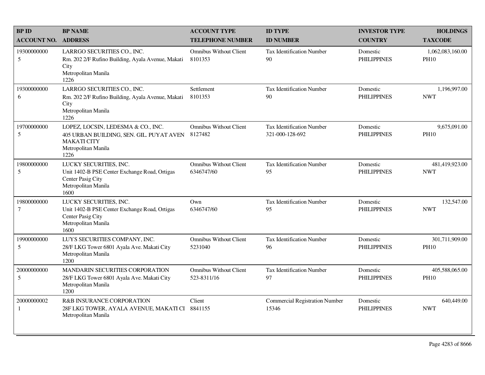| <b>BPID</b>        | <b>BP NAME</b>                                                                                                                      | <b>ACCOUNT TYPE</b>                          | <b>ID TYPE</b>                                 | <b>INVESTOR TYPE</b>           | <b>HOLDINGS</b>                 |
|--------------------|-------------------------------------------------------------------------------------------------------------------------------------|----------------------------------------------|------------------------------------------------|--------------------------------|---------------------------------|
| <b>ACCOUNT NO.</b> | <b>ADDRESS</b>                                                                                                                      | <b>TELEPHONE NUMBER</b>                      | <b>ID NUMBER</b>                               | <b>COUNTRY</b>                 | <b>TAXCODE</b>                  |
| 19300000000<br>5   | LARRGO SECURITIES CO., INC.<br>Rm. 202 2/F Rufino Building, Ayala Avenue, Makati<br>City<br>Metropolitan Manila<br>1226             | <b>Omnibus Without Client</b><br>8101353     | <b>Tax Identification Number</b><br>90         | Domestic<br><b>PHILIPPINES</b> | 1,062,083,160.00<br><b>PH10</b> |
| 19300000000<br>6   | LARRGO SECURITIES CO., INC.<br>Rm. 202 2/F Rufino Building, Ayala Avenue, Makati<br>City<br>Metropolitan Manila<br>1226             | Settlement<br>8101353                        | <b>Tax Identification Number</b><br>90         | Domestic<br><b>PHILIPPINES</b> | 1,196,997.00<br><b>NWT</b>      |
| 19700000000<br>5   | LOPEZ, LOCSIN, LEDESMA & CO., INC.<br>405 URBAN BUILDING, SEN. GIL. PUYAT AVEN<br><b>MAKATI CITY</b><br>Metropolitan Manila<br>1226 | <b>Omnibus Without Client</b><br>8127482     | Tax Identification Number<br>321-000-128-692   | Domestic<br><b>PHILIPPINES</b> | 9,675,091.00<br><b>PH10</b>     |
| 19800000000<br>5   | LUCKY SECURITIES, INC.<br>Unit 1402-B PSE Center Exchange Road, Ortigas<br>Center Pasig City<br>Metropolitan Manila<br>1600         | <b>Omnibus Without Client</b><br>6346747/60  | Tax Identification Number<br>95                | Domestic<br><b>PHILIPPINES</b> | 481,419,923.00<br><b>NWT</b>    |
| 19800000000<br>7   | LUCKY SECURITIES, INC.<br>Unit 1402-B PSE Center Exchange Road, Ortigas<br>Center Pasig City<br>Metropolitan Manila<br>1600         | Own<br>6346747/60                            | Tax Identification Number<br>95                | Domestic<br><b>PHILIPPINES</b> | 132,547.00<br><b>NWT</b>        |
| 19900000000<br>5   | LUYS SECURITIES COMPANY, INC.<br>28/F LKG Tower 6801 Ayala Ave. Makati City<br>Metropolitan Manila<br>1200                          | <b>Omnibus Without Client</b><br>5231040     | <b>Tax Identification Number</b><br>96         | Domestic<br><b>PHILIPPINES</b> | 301,711,909.00<br><b>PH10</b>   |
| 20000000000<br>5   | MANDARIN SECURITIES CORPORATION<br>28/F LKG Tower 6801 Ayala Ave. Makati City<br>Metropolitan Manila<br>1200                        | <b>Omnibus Without Client</b><br>523-8311/16 | <b>Tax Identification Number</b><br>97         | Domestic<br><b>PHILIPPINES</b> | 405,588,065.00<br><b>PH10</b>   |
| 20000000002<br>1   | R&B INSURANCE CORPORATION<br>28F LKG TOWER, AYALA AVENUE, MAKATI CI 8841155<br>Metropolitan Manila                                  | Client                                       | <b>Commercial Registration Number</b><br>15346 | Domestic<br><b>PHILIPPINES</b> | 640,449.00<br><b>NWT</b>        |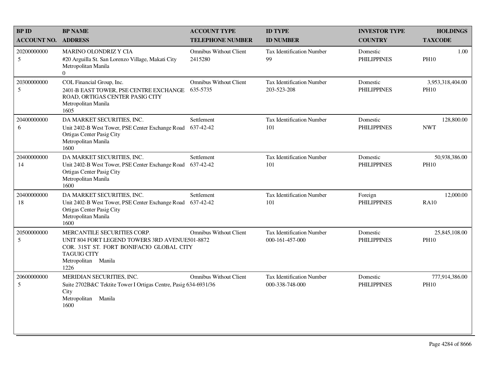| <b>BP ID</b>       | <b>BP NAME</b>                                                                                                                                                                 | <b>ACCOUNT TYPE</b>                       | <b>ID TYPE</b>                                      | <b>INVESTOR TYPE</b>           | <b>HOLDINGS</b>                 |
|--------------------|--------------------------------------------------------------------------------------------------------------------------------------------------------------------------------|-------------------------------------------|-----------------------------------------------------|--------------------------------|---------------------------------|
| <b>ACCOUNT NO.</b> | <b>ADDRESS</b>                                                                                                                                                                 | <b>TELEPHONE NUMBER</b>                   | <b>ID NUMBER</b>                                    | <b>COUNTRY</b>                 | <b>TAXCODE</b>                  |
| 20200000000<br>5   | <b>MARINO OLONDRIZ Y CIA</b><br>#20 Arguilla St. San Lorenzo Village, Makati City<br>Metropolitan Manila<br>$\Omega$                                                           | <b>Omnibus Without Client</b><br>2415280  | <b>Tax Identification Number</b><br>99              | Domestic<br><b>PHILIPPINES</b> | 1.00<br><b>PH10</b>             |
| 20300000000<br>5   | COL Financial Group, Inc.<br>2401-B EAST TOWER, PSE CENTRE EXCHANGE<br>ROAD, ORTIGAS CENTER PASIG CITY<br>Metropolitan Manila<br>1605                                          | <b>Omnibus Without Client</b><br>635-5735 | <b>Tax Identification Number</b><br>203-523-208     | Domestic<br><b>PHILIPPINES</b> | 3,953,318,404.00<br><b>PH10</b> |
| 20400000000<br>6   | DA MARKET SECURITIES, INC.<br>Unit 2402-B West Tower, PSE Center Exchange Road<br>Ortigas Center Pasig City<br>Metropolitan Manila<br>1600                                     | Settlement<br>637-42-42                   | <b>Tax Identification Number</b><br>101             | Domestic<br><b>PHILIPPINES</b> | 128,800.00<br><b>NWT</b>        |
| 20400000000<br>14  | DA MARKET SECURITIES, INC.<br>Unit 2402-B West Tower, PSE Center Exchange Road<br>Ortigas Center Pasig City<br>Metropolitan Manila<br>1600                                     | Settlement<br>637-42-42                   | <b>Tax Identification Number</b><br>101             | Domestic<br><b>PHILIPPINES</b> | 50,938,386.00<br><b>PH10</b>    |
| 20400000000<br>18  | DA MARKET SECURITIES, INC.<br>Unit 2402-B West Tower, PSE Center Exchange Road<br>Ortigas Center Pasig City<br>Metropolitan Manila<br>1600                                     | Settlement<br>637-42-42                   | Tax Identification Number<br>101                    | Foreign<br><b>PHILIPPINES</b>  | 12,000.00<br><b>RA10</b>        |
| 20500000000<br>5   | MERCANTILE SECURITIES CORP.<br>UNIT 804 FORT LEGEND TOWERS 3RD AVENUE501-8872<br>COR. 31ST ST. FORT BONIFACIO GLOBAL CITY<br><b>TAGUIG CITY</b><br>Metropolitan Manila<br>1226 | <b>Omnibus Without Client</b>             | <b>Tax Identification Number</b><br>000-161-457-000 | Domestic<br><b>PHILIPPINES</b> | 25,845,108.00<br><b>PH10</b>    |
| 20600000000<br>5   | MERIDIAN SECURITIES, INC.<br>Suite 2702B&C Tektite Tower I Ortigas Centre, Pasig 634-6931/36<br>City<br>Metropolitan Manila<br>1600                                            | <b>Omnibus Without Client</b>             | <b>Tax Identification Number</b><br>000-338-748-000 | Domestic<br><b>PHILIPPINES</b> | 777,914,386.00<br><b>PH10</b>   |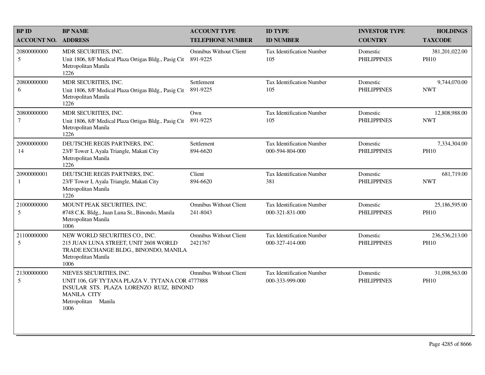| <b>BP ID</b>          | <b>BP NAME</b>                                                                                                                                                              | <b>ACCOUNT TYPE</b>                       | <b>ID TYPE</b>                                      | <b>INVESTOR TYPE</b>           | <b>HOLDINGS</b>               |
|-----------------------|-----------------------------------------------------------------------------------------------------------------------------------------------------------------------------|-------------------------------------------|-----------------------------------------------------|--------------------------------|-------------------------------|
| <b>ACCOUNT NO.</b>    | <b>ADDRESS</b>                                                                                                                                                              | <b>TELEPHONE NUMBER</b>                   | <b>ID NUMBER</b>                                    | <b>COUNTRY</b>                 | <b>TAXCODE</b>                |
| 20800000000<br>5      | MDR SECURITIES, INC.<br>Unit 1806, 8/F Medical Plaza Ortigas Bldg., Pasig Cit<br>Metropolitan Manila<br>1226                                                                | <b>Omnibus Without Client</b><br>891-9225 | Tax Identification Number<br>105                    | Domestic<br><b>PHILIPPINES</b> | 381,201,022.00<br><b>PH10</b> |
| 20800000000<br>6      | MDR SECURITIES, INC.<br>Unit 1806, 8/F Medical Plaza Ortigas Bldg., Pasig Cit<br>Metropolitan Manila<br>1226                                                                | Settlement<br>891-9225                    | Tax Identification Number<br>105                    | Domestic<br><b>PHILIPPINES</b> | 9,744,070.00<br><b>NWT</b>    |
| 20800000000<br>$\tau$ | MDR SECURITIES, INC.<br>Unit 1806, 8/F Medical Plaza Ortigas Bldg., Pasig Cit<br>Metropolitan Manila<br>1226                                                                | Own<br>891-9225                           | Tax Identification Number<br>105                    | Domestic<br><b>PHILIPPINES</b> | 12,808,988.00<br><b>NWT</b>   |
| 20900000000<br>14     | DEUTSCHE REGIS PARTNERS, INC.<br>23/F Tower I, Ayala Triangle, Makati City<br>Metropolitan Manila<br>1226                                                                   | Settlement<br>894-6620                    | Tax Identification Number<br>000-594-804-000        | Domestic<br><b>PHILIPPINES</b> | 7,334,304.00<br><b>PH10</b>   |
| 20900000001<br>1      | DEUTSCHE REGIS PARTNERS, INC.<br>23/F Tower I, Ayala Triangle, Makati City<br>Metropolitan Manila<br>1226                                                                   | Client<br>894-6620                        | <b>Tax Identification Number</b><br>381             | Domestic<br><b>PHILIPPINES</b> | 681,719.00<br><b>NWT</b>      |
| 21000000000<br>5      | MOUNT PEAK SECURITIES, INC.<br>#748 C.K. Bldg., Juan Luna St., Binondo, Manila<br>Metropolitan Manila<br>1006                                                               | <b>Omnibus Without Client</b><br>241-8043 | Tax Identification Number<br>000-321-831-000        | Domestic<br><b>PHILIPPINES</b> | 25,186,595.00<br><b>PH10</b>  |
| 21100000000<br>5      | NEW WORLD SECURITIES CO., INC.<br>215 JUAN LUNA STREET, UNIT 2608 WORLD<br>TRADE EXCHANGE BLDG., BINONDO, MANILA<br>Metropolitan Manila<br>1006                             | <b>Omnibus Without Client</b><br>2421767  | Tax Identification Number<br>000-327-414-000        | Domestic<br><b>PHILIPPINES</b> | 236,536,213.00<br><b>PH10</b> |
| 21300000000<br>5      | NIEVES SECURITIES, INC.<br>UNIT 106, G/F TYTANA PLAZA V. TYTANA COR 4777888<br>INSULAR STS. PLAZA LORENZO RUIZ, BINOND<br><b>MANILA CITY</b><br>Metropolitan Manila<br>1006 | <b>Omnibus Without Client</b>             | <b>Tax Identification Number</b><br>000-333-999-000 | Domestic<br><b>PHILIPPINES</b> | 31,098,563.00<br><b>PH10</b>  |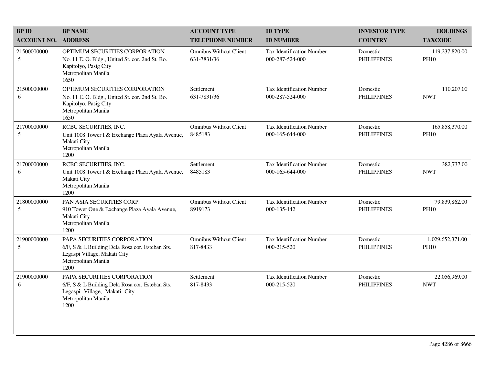| <b>BP ID</b>       | <b>BP NAME</b>                                                                                                                                | <b>ACCOUNT TYPE</b>                          | <b>ID TYPE</b>                                      | <b>INVESTOR TYPE</b>           | <b>HOLDINGS</b>                 |
|--------------------|-----------------------------------------------------------------------------------------------------------------------------------------------|----------------------------------------------|-----------------------------------------------------|--------------------------------|---------------------------------|
| <b>ACCOUNT NO.</b> | <b>ADDRESS</b>                                                                                                                                | <b>TELEPHONE NUMBER</b>                      | <b>ID NUMBER</b>                                    | <b>COUNTRY</b>                 | <b>TAXCODE</b>                  |
| 21500000000<br>5   | OPTIMUM SECURITIES CORPORATION<br>No. 11 E. O. Bldg., United St. cor. 2nd St. Bo.<br>Kapitolyo, Pasig City<br>Metropolitan Manila<br>1650     | <b>Omnibus Without Client</b><br>631-7831/36 | <b>Tax Identification Number</b><br>000-287-524-000 | Domestic<br><b>PHILIPPINES</b> | 119,237,820.00<br><b>PH10</b>   |
| 21500000000<br>6   | OPTIMUM SECURITIES CORPORATION<br>No. 11 E.O. Bldg., United St. cor. 2nd St. Bo.<br>Kapitolyo, Pasig City<br>Metropolitan Manila<br>1650      | Settlement<br>631-7831/36                    | Tax Identification Number<br>000-287-524-000        | Domestic<br><b>PHILIPPINES</b> | 110,207.00<br><b>NWT</b>        |
| 21700000000<br>5   | RCBC SECURITIES, INC.<br>Unit 1008 Tower I & Exchange Plaza Ayala Avenue,<br>Makati City<br>Metropolitan Manila<br>1200                       | <b>Omnibus Without Client</b><br>8485183     | <b>Tax Identification Number</b><br>000-165-644-000 | Domestic<br><b>PHILIPPINES</b> | 165,858,370.00<br><b>PH10</b>   |
| 21700000000<br>6   | RCBC SECURITIES, INC.<br>Unit 1008 Tower I & Exchange Plaza Ayala Avenue,<br>Makati City<br>Metropolitan Manila<br>1200                       | Settlement<br>8485183                        | <b>Tax Identification Number</b><br>000-165-644-000 | Domestic<br><b>PHILIPPINES</b> | 382,737.00<br><b>NWT</b>        |
| 21800000000<br>5   | PAN ASIA SECURITIES CORP.<br>910 Tower One & Exchange Plaza Ayala Avenue,<br>Makati City<br>Metropolitan Manila<br>1200                       | <b>Omnibus Without Client</b><br>8919173     | <b>Tax Identification Number</b><br>000-135-142     | Domestic<br><b>PHILIPPINES</b> | 79,839,862.00<br><b>PH10</b>    |
| 21900000000<br>5   | PAPA SECURITIES CORPORATION<br>6/F, S & L Building Dela Rosa cor. Esteban Sts.<br>Legaspi Village, Makati City<br>Metropolitan Manila<br>1200 | <b>Omnibus Without Client</b><br>817-8433    | <b>Tax Identification Number</b><br>000-215-520     | Domestic<br><b>PHILIPPINES</b> | 1,029,652,371.00<br><b>PH10</b> |
| 21900000000<br>6   | PAPA SECURITIES CORPORATION<br>6/F, S & L Building Dela Rosa cor. Esteban Sts.<br>Legaspi Village, Makati City<br>Metropolitan Manila<br>1200 | Settlement<br>817-8433                       | <b>Tax Identification Number</b><br>000-215-520     | Domestic<br><b>PHILIPPINES</b> | 22,056,969.00<br><b>NWT</b>     |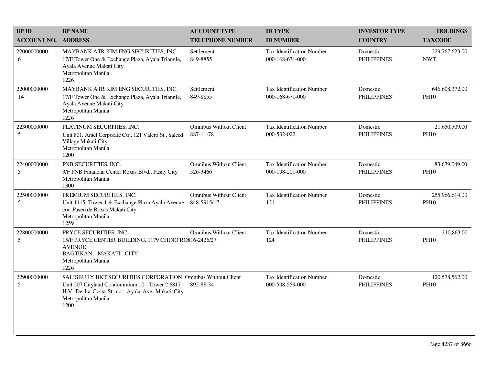| <b>BPID</b>        | <b>BP NAME</b>                                                                                                                                                                                    | <b>ACCOUNT TYPE</b>                          | <b>ID TYPE</b>                                      | <b>INVESTOR TYPE</b>           | <b>HOLDINGS</b>               |
|--------------------|---------------------------------------------------------------------------------------------------------------------------------------------------------------------------------------------------|----------------------------------------------|-----------------------------------------------------|--------------------------------|-------------------------------|
| <b>ACCOUNT NO.</b> | <b>ADDRESS</b>                                                                                                                                                                                    | <b>TELEPHONE NUMBER</b>                      | <b>ID NUMBER</b>                                    | <b>COUNTRY</b>                 | <b>TAXCODE</b>                |
| 22000000000<br>6   | MAYBANK ATR KIM ENG SECURITIES, INC.<br>17/F Tower One & Exchange Plaza, Ayala Triangle,<br>Ayala Avenue Makati City<br>Metropolitan Manila<br>1226                                               | Settlement<br>849-8855                       | <b>Tax Identification Number</b><br>000-168-671-000 | Domestic<br><b>PHILIPPINES</b> | 229,767,623.00<br><b>NWT</b>  |
| 22000000000<br>14  | MAYBANK ATR KIM ENG SECURITIES, INC.<br>17/F Tower One & Exchange Plaza, Ayala Triangle,<br>Ayala Avenue Makati City<br>Metropolitan Manila<br>1226                                               | Settlement<br>849-8855                       | <b>Tax Identification Number</b><br>000-168-671-000 | Domestic<br><b>PHILIPPINES</b> | 646,608,372.00<br><b>PH10</b> |
| 22300000000<br>5   | PLATINUM SECURITIES, INC.<br>Unit 801, Antel Corporate Ctr., 121 Valero St., Salced<br>Village Makati City<br>Metropolitan Manila<br>1200                                                         | <b>Omnibus Without Client</b><br>887-11-78   | <b>Tax Identification Number</b><br>000-532-022     | Domestic<br><b>PHILIPPINES</b> | 21,650,509.00<br><b>PH10</b>  |
| 22400000000<br>5   | PNB SECURITIES, INC.<br>3/F PNB Financial Center Roxas Blvd., Pasay City<br>Metropolitan Manila<br>1300                                                                                           | <b>Omnibus Without Client</b><br>526-3466    | <b>Tax Identification Number</b><br>000-198-201-000 | Domestic<br><b>PHILIPPINES</b> | 83,679,049.00<br><b>PH10</b>  |
| 22500000000<br>5   | PREMIUM SECURITIES, INC.<br>Unit 1415, Tower 1 & Exchange Plaza Ayala Avenue<br>cor. Paseo de Roxas Makati City<br>Metropolitan Manila<br>1259                                                    | <b>Omnibus Without Client</b><br>848-5915/17 | Tax Identification Number<br>121                    | Domestic<br><b>PHILIPPINES</b> | 255,966,614.00<br><b>PH10</b> |
| 22800000000<br>5   | PRYCE SECURITIES, INC.<br>15/F PRYCE CENTER BUILDING, 1179 CHINO RO816-2426/27<br><b>AVENUE</b><br>BAGTIKAN, MAKATI CITY<br>Metropolitan Manila<br>1226                                           | <b>Omnibus Without Client</b>                | Tax Identification Number<br>124                    | Domestic<br><b>PHILIPPINES</b> | 310,863.00<br><b>PH10</b>     |
| 22900000000<br>5   | SALISBURY BKT SECURITIES CORPORATION Omnibus Without Client<br>Unit 207 Cityland Condominium 10 - Tower 2 6817<br>H.V. De La Costa St. cor. Ayala Ave. Makati City<br>Metropolitan Manila<br>1200 | 892-88-34                                    | <b>Tax Identification Number</b><br>000-598-559-000 | Domestic<br><b>PHILIPPINES</b> | 120,578,562.00<br><b>PH10</b> |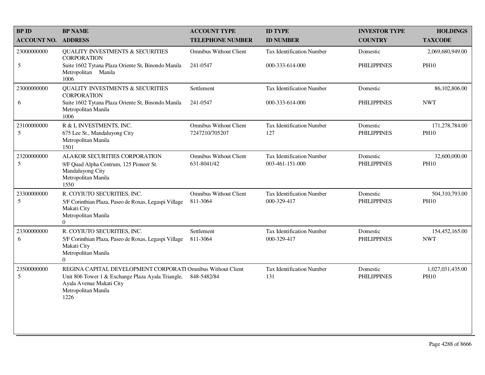| <b>BPID</b>        | <b>BP NAME</b>                                                                                               | <b>ACCOUNT TYPE</b>           | <b>ID TYPE</b>                   | <b>INVESTOR TYPE</b> | <b>HOLDINGS</b>                 |
|--------------------|--------------------------------------------------------------------------------------------------------------|-------------------------------|----------------------------------|----------------------|---------------------------------|
| <b>ACCOUNT NO.</b> | <b>ADDRESS</b>                                                                                               | <b>TELEPHONE NUMBER</b>       | <b>ID NUMBER</b>                 | <b>COUNTRY</b>       | <b>TAXCODE</b>                  |
| 23000000000        | <b>QUALITY INVESTMENTS &amp; SECURITIES</b><br><b>CORPORATION</b>                                            | <b>Omnibus Without Client</b> | <b>Tax Identification Number</b> | Domestic             | 2,069,680,949.00                |
| 5                  | Suite 1602 Tytana Plaza Oriente St, Binondo Manila<br>Metropolitan Manila<br>1006                            | 241-0547                      | 000-333-614-000                  | <b>PHILIPPINES</b>   | <b>PH10</b>                     |
| 23000000000        | <b>QUALITY INVESTMENTS &amp; SECURITIES</b><br><b>CORPORATION</b>                                            | Settlement                    | Tax Identification Number        | Domestic             | 86,102,806.00                   |
| 6                  | Suite 1602 Tytana Plaza Oriente St, Binondo Manila<br>Metropolitan Manila<br>1006                            | 241-0547                      | 000-333-614-000                  | <b>PHILIPPINES</b>   | <b>NWT</b>                      |
| 23100000000        | R & L INVESTMENTS, INC.                                                                                      | <b>Omnibus Without Client</b> | <b>Tax Identification Number</b> | Domestic             | 171,278,784.00                  |
| 5                  | 675 Lee St., Mandaluyong City<br>Metropolitan Manila<br>1501                                                 | 7247210/705207                | 127                              | <b>PHILIPPINES</b>   | <b>PH10</b>                     |
| 23200000000        | ALAKOR SECURITIES CORPORATION                                                                                | <b>Omnibus Without Client</b> | <b>Tax Identification Number</b> | Domestic             | 32,600,000.00                   |
| 5                  | 9/F Quad Alpha Centrum, 125 Pioneer St.<br>Mandaluyong City                                                  | 631-8041/42                   | 003-461-151-000                  | <b>PHILIPPINES</b>   | <b>PH10</b>                     |
|                    | Metropolitan Manila<br>1550                                                                                  |                               |                                  |                      |                                 |
| 23300000000        | R. COYIUTO SECURITIES, INC.                                                                                  | <b>Omnibus Without Client</b> | <b>Tax Identification Number</b> | Domestic             | 504,310,793.00                  |
| 5                  | 5/F Corinthian Plaza, Paseo de Roxas, Legaspi Village<br>Makati City                                         | 811-3064                      | 000-329-417                      | <b>PHILIPPINES</b>   | <b>PH10</b>                     |
|                    | Metropolitan Manila<br>$\overline{0}$                                                                        |                               |                                  |                      |                                 |
| 23300000000        | R. COYIUTO SECURITIES, INC.                                                                                  | Settlement                    | <b>Tax Identification Number</b> | Domestic             | 154,452,165.00                  |
| 6                  | 5/F Corinthian Plaza, Paseo de Roxas, Legaspi Village<br>Makati City                                         | 811-3064                      | 000-329-417                      | <b>PHILIPPINES</b>   | <b>NWT</b>                      |
|                    | Metropolitan Manila<br>$\Omega$                                                                              |                               |                                  |                      |                                 |
| 23500000000        | REGINA CAPITAL DEVELOPMENT CORPORATI Omnibus Without Client                                                  |                               | Tax Identification Number        | Domestic             | 1,027,031,435.00<br><b>PH10</b> |
| 5                  | Unit 806 Tower 1 & Exchange Plaza Ayala Triangle,<br>Ayala Avenue Makati City<br>Metropolitan Manila<br>1226 | 848-5482/84                   | 131                              | <b>PHILIPPINES</b>   |                                 |
|                    |                                                                                                              |                               |                                  |                      |                                 |
|                    |                                                                                                              |                               |                                  |                      |                                 |
|                    |                                                                                                              |                               |                                  |                      |                                 |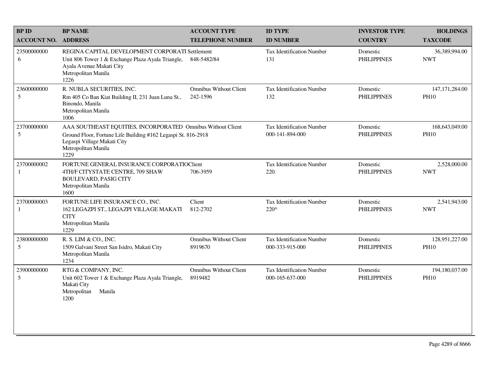| <b>BPID</b>                 | <b>BP NAME</b>                                                                                                                                                                             | <b>ACCOUNT TYPE</b>                      | <b>ID TYPE</b>                                      | <b>INVESTOR TYPE</b>           | <b>HOLDINGS</b>                 |
|-----------------------------|--------------------------------------------------------------------------------------------------------------------------------------------------------------------------------------------|------------------------------------------|-----------------------------------------------------|--------------------------------|---------------------------------|
| <b>ACCOUNT NO.</b>          | <b>ADDRESS</b>                                                                                                                                                                             | <b>TELEPHONE NUMBER</b>                  | <b>ID NUMBER</b>                                    | <b>COUNTRY</b>                 | <b>TAXCODE</b>                  |
| 23500000000<br>6            | REGINA CAPITAL DEVELOPMENT CORPORATI Settlement<br>Unit 806 Tower 1 & Exchange Plaza Ayala Triangle,<br>Ayala Avenue Makati City<br>Metropolitan Manila<br>1226                            | 848-5482/84                              | <b>Tax Identification Number</b><br>131             | Domestic<br><b>PHILIPPINES</b> | 36,389,994.00<br><b>NWT</b>     |
| 23600000000<br>5            | R. NUBLA SECURITIES, INC.<br>Rm 405 Co Ban Kiat Building II, 231 Juan Luna St.,<br>Binondo, Manila<br>Metropolitan Manila<br>1006                                                          | Omnibus Without Client<br>242-1596       | Tax Identification Number<br>132                    | Domestic<br><b>PHILIPPINES</b> | 147, 171, 284.00<br><b>PH10</b> |
| 23700000000<br>5            | AAA SOUTHEAST EQUITIES, INCORPORATED Omnibus Without Client<br>Ground Floor, Fortune Life Building #162 Legaspi St. 816-2918<br>Legaspi Village Makati City<br>Metropolitan Manila<br>1229 |                                          | <b>Tax Identification Number</b><br>000-141-894-000 | Domestic<br><b>PHILIPPINES</b> | 168,643,049.00<br><b>PH10</b>   |
| 23700000002<br>$\mathbf{1}$ | FORTUNE GENERAL INSURANCE CORPORATIOClient<br>4TH/F CITYSTATE CENTRE, 709 SHAW<br><b>BOULEVARD, PASIG CITY</b><br>Metropolitan Manila<br>1600                                              | 706-3959                                 | <b>Tax Identification Number</b><br>220.            | Domestic<br><b>PHILIPPINES</b> | 2,528,000.00<br><b>NWT</b>      |
| 23700000003<br>1            | FORTUNE LIFE INSURANCE CO., INC.<br>162 LEGAZPI ST., LEGAZPI VILLAGE MAKATI<br><b>CITY</b><br>Metropolitan Manila<br>1229                                                                  | Client<br>812-2702                       | <b>Tax Identification Number</b><br>$220^{\circ}$   | Domestic<br><b>PHILIPPINES</b> | 2,541,943.00<br><b>NWT</b>      |
| 23800000000<br>5            | R. S. LIM & CO., INC.<br>1509 Galvani Street San Isidro, Makati City<br>Metropolitan Manila<br>1234                                                                                        | <b>Omnibus Without Client</b><br>8919670 | <b>Tax Identification Number</b><br>000-333-915-000 | Domestic<br><b>PHILIPPINES</b> | 128,951,227.00<br><b>PH10</b>   |
| 23900000000<br>5            | RTG & COMPANY, INC.<br>Unit 602 Tower 1 & Exchange Plaza Ayala Triangle,<br>Makati City<br>Metropolitan<br>Manila<br>1200                                                                  | <b>Omnibus Without Client</b><br>8919482 | <b>Tax Identification Number</b><br>000-165-637-000 | Domestic<br><b>PHILIPPINES</b> | 194,180,037.00<br><b>PH10</b>   |
|                             |                                                                                                                                                                                            |                                          |                                                     |                                |                                 |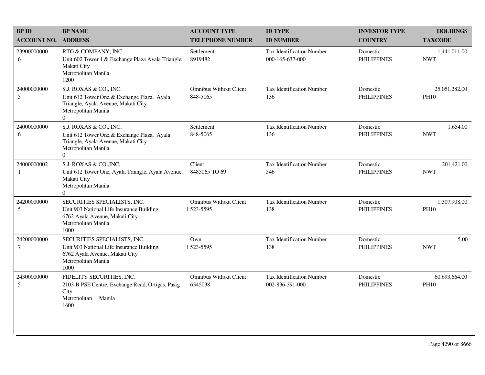| <b>BP ID</b>                    | <b>BP NAME</b>                                                                                                                                  | <b>ACCOUNT TYPE</b>                       | <b>ID TYPE</b>                                      | <b>INVESTOR TYPE</b>           | <b>HOLDINGS</b>              |
|---------------------------------|-------------------------------------------------------------------------------------------------------------------------------------------------|-------------------------------------------|-----------------------------------------------------|--------------------------------|------------------------------|
| <b>ACCOUNT NO.</b>              | <b>ADDRESS</b>                                                                                                                                  | <b>TELEPHONE NUMBER</b>                   | <b>ID NUMBER</b>                                    | <b>COUNTRY</b>                 | <b>TAXCODE</b>               |
| 23900000000<br>6                | RTG & COMPANY, INC.<br>Unit 602 Tower 1 & Exchange Plaza Ayala Triangle,<br>Makati City<br>Metropolitan Manila<br>1200                          | Settlement<br>8919482                     | <b>Tax Identification Number</b><br>000-165-637-000 | Domestic<br><b>PHILIPPINES</b> | 1,441,011.00<br><b>NWT</b>   |
| 24000000000<br>5                | S.J. ROXAS & CO., INC.<br>Unit 612 Tower One, & Exchange Plaza, Ayala<br>Triangle, Ayala Avenue, Makati City<br>Metropolitan Manila<br>$\Omega$ | <b>Omnibus Without Client</b><br>848-5065 | Tax Identification Number<br>136                    | Domestic<br><b>PHILIPPINES</b> | 25,051,282.00<br><b>PH10</b> |
| 24000000000<br>6                | S.J. ROXAS & CO., INC.<br>Unit 612 Tower One, & Exchange Plaza, Ayala<br>Triangle, Ayala Avenue, Makati City<br>Metropolitan Manila<br>$\Omega$ | Settlement<br>848-5065                    | <b>Tax Identification Number</b><br>136             | Domestic<br><b>PHILIPPINES</b> | 1,654.00<br><b>NWT</b>       |
| 24000000002<br>-1               | S.J. ROXAS & CO., INC.<br>Unit 612 Tower One, Ayala Triangle, Ayala Avenue,<br>Makati City<br>Metropolitan Manila<br>$\Omega$                   | Client<br>8485065 TO 69                   | Tax Identification Number<br>546                    | Domestic<br><b>PHILIPPINES</b> | 201,421.00<br><b>NWT</b>     |
| 24200000000<br>5                | SECURITIES SPECIALISTS, INC.<br>Unit 903 National Life Insurance Building,<br>6762 Ayala Avenue, Makati City<br>Metropolitan Manila<br>1000     | <b>Omnibus Without Client</b><br>523-5595 | <b>Tax Identification Number</b><br>138             | Domestic<br><b>PHILIPPINES</b> | 1,307,908.00<br><b>PH10</b>  |
| 24200000000<br>$\boldsymbol{7}$ | SECURITIES SPECIALISTS, INC.<br>Unit 903 National Life Insurance Building,<br>6762 Ayala Avenue, Makati City<br>Metropolitan Manila<br>1000     | Own<br>  523-5595                         | <b>Tax Identification Number</b><br>138             | Domestic<br><b>PHILIPPINES</b> | 5.00<br><b>NWT</b>           |
| 24300000000<br>5                | FIDELITY SECURITIES, INC.<br>2103-B PSE Centre, Exchange Road, Ortigas, Pasig<br>City<br>Metropolitan Manila<br>1600                            | <b>Omnibus Without Client</b><br>6345038  | <b>Tax Identification Number</b><br>002-836-391-000 | Domestic<br><b>PHILIPPINES</b> | 60,693,664.00<br><b>PH10</b> |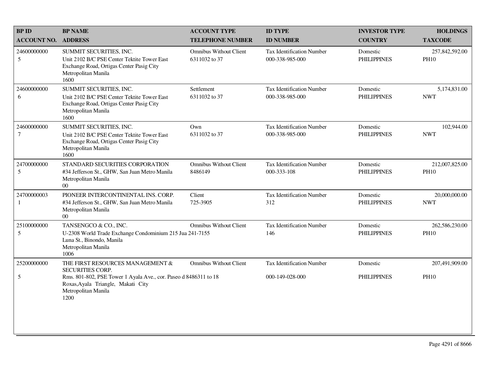| <b>BPID</b>                   | <b>BP NAME</b>                                                                                                                                    | <b>ACCOUNT TYPE</b>                            | <b>ID TYPE</b>                                      | <b>INVESTOR TYPE</b>           | <b>HOLDINGS</b>               |
|-------------------------------|---------------------------------------------------------------------------------------------------------------------------------------------------|------------------------------------------------|-----------------------------------------------------|--------------------------------|-------------------------------|
| <b>ACCOUNT NO.</b>            | <b>ADDRESS</b>                                                                                                                                    | <b>TELEPHONE NUMBER</b>                        | <b>ID NUMBER</b>                                    | <b>COUNTRY</b>                 | <b>TAXCODE</b>                |
| 24600000000<br>5              | SUMMIT SECURITIES, INC.<br>Unit 2102 B/C PSE Center Tektite Tower East<br>Exchange Road, Ortigas Center Pasig City<br>Metropolitan Manila<br>1600 | <b>Omnibus Without Client</b><br>6311032 to 37 | <b>Tax Identification Number</b><br>000-338-985-000 | Domestic<br><b>PHILIPPINES</b> | 257,842,592.00<br><b>PH10</b> |
| 24600000000<br>6              | SUMMIT SECURITIES, INC.<br>Unit 2102 B/C PSE Center Tektite Tower East<br>Exchange Road, Ortigas Center Pasig City<br>Metropolitan Manila<br>1600 | Settlement<br>6311032 to 37                    | <b>Tax Identification Number</b><br>000-338-985-000 | Domestic<br><b>PHILIPPINES</b> | 5,174,831.00<br><b>NWT</b>    |
| 24600000000<br>$\overline{7}$ | SUMMIT SECURITIES, INC.<br>Unit 2102 B/C PSE Center Tektite Tower East<br>Exchange Road, Ortigas Center Pasig City<br>Metropolitan Manila<br>1600 | Own<br>6311032 to 37                           | Tax Identification Number<br>000-338-985-000        | Domestic<br><b>PHILIPPINES</b> | 102,944.00<br><b>NWT</b>      |
| 24700000000<br>5              | STANDARD SECURITIES CORPORATION<br>#34 Jefferson St., GHW, San Juan Metro Manila<br>Metropolitan Manila<br>00 <sup>1</sup>                        | <b>Omnibus Without Client</b><br>8486149       | Tax Identification Number<br>000-333-108            | Domestic<br><b>PHILIPPINES</b> | 212,007,825.00<br><b>PH10</b> |
| 24700000003<br>1              | PIONEER INTERCONTINENTAL INS. CORP.<br>#34 Jefferson St., GHW, San Juan Metro Manila<br>Metropolitan Manila<br>00 <sup>1</sup>                    | Client<br>725-3905                             | Tax Identification Number<br>312                    | Domestic<br><b>PHILIPPINES</b> | 20,000,000.00<br><b>NWT</b>   |
| 25100000000<br>5              | TANSENGCO & CO., INC.<br>U-2308 World Trade Exchange Condominium 215 Jua 241-7155<br>Luna St., Binondo, Manila<br>Metropolitan Manila<br>1006     | <b>Omnibus Without Client</b>                  | <b>Tax Identification Number</b><br>146             | Domestic<br><b>PHILIPPINES</b> | 262,586,230.00<br><b>PH10</b> |
| 25200000000                   | THE FIRST RESOURCES MANAGEMENT &<br><b>SECURITIES CORP.</b>                                                                                       | <b>Omnibus Without Client</b>                  | Tax Identification Number                           | Domestic                       | 207,491,909.00                |
| 5                             | Rms. 801-802, PSE Tower 1 Ayala Ave., cor. Paseo d 8486311 to 18<br>Roxas, Ayala Triangle, Makati City<br>Metropolitan Manila<br>1200             |                                                | 000-149-028-000                                     | <b>PHILIPPINES</b>             | <b>PH10</b>                   |
|                               |                                                                                                                                                   |                                                |                                                     |                                |                               |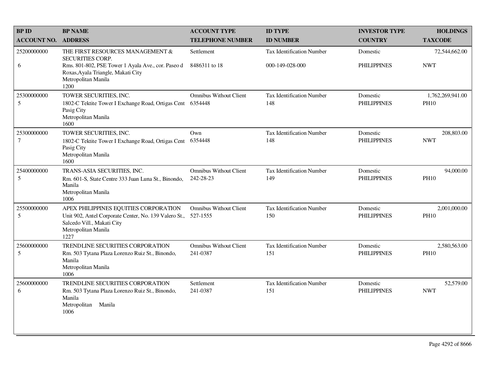| <b>BP ID</b>                  | <b>BP NAME</b>                                                                                                                                                                         | <b>ACCOUNT TYPE</b>                        | <b>ID TYPE</b>                               | <b>INVESTOR TYPE</b>           | <b>HOLDINGS</b>                 |
|-------------------------------|----------------------------------------------------------------------------------------------------------------------------------------------------------------------------------------|--------------------------------------------|----------------------------------------------|--------------------------------|---------------------------------|
| <b>ACCOUNT NO.</b>            | <b>ADDRESS</b>                                                                                                                                                                         | <b>TELEPHONE NUMBER</b>                    | <b>ID NUMBER</b>                             | <b>COUNTRY</b>                 | <b>TAXCODE</b>                  |
| 25200000000<br>6              | THE FIRST RESOURCES MANAGEMENT &<br><b>SECURITIES CORP.</b><br>Rms. 801-802, PSE Tower 1 Ayala Ave., cor. Paseo d<br>Roxas, Ayala Triangle, Makati City<br>Metropolitan Manila<br>1200 | Settlement<br>8486311 to 18                | Tax Identification Number<br>000-149-028-000 | Domestic<br><b>PHILIPPINES</b> | 72,544,662.00<br><b>NWT</b>     |
| 25300000000<br>5              | TOWER SECURITIES, INC.<br>1802-C Tektite Tower I Exchange Road, Ortigas Cent<br>Pasig City<br>Metropolitan Manila<br>1600                                                              | <b>Omnibus Without Client</b><br>6354448   | Tax Identification Number<br>148             | Domestic<br><b>PHILIPPINES</b> | 1,762,269,941.00<br><b>PH10</b> |
| 25300000000<br>$\overline{7}$ | TOWER SECURITIES, INC.<br>1802-C Tektite Tower I Exchange Road, Ortigas Cent<br>Pasig City<br>Metropolitan Manila<br>1600                                                              | Own<br>6354448                             | <b>Tax Identification Number</b><br>148      | Domestic<br><b>PHILIPPINES</b> | 208,803.00<br><b>NWT</b>        |
| 25400000000<br>5              | TRANS-ASIA SECURITIES, INC.<br>Rm. 601-S, State Centre 333 Juan Luna St., Binondo,<br>Manila<br>Metropolitan Manila<br>1006                                                            | <b>Omnibus Without Client</b><br>242-28-23 | <b>Tax Identification Number</b><br>149      | Domestic<br><b>PHILIPPINES</b> | 94,000.00<br><b>PH10</b>        |
| 25500000000<br>5              | APEX PHILIPPINES EQUITIES CORPORATION<br>Unit 902, Antel Corporate Center, No. 139 Valero St.,<br>Salcedo Vill., Makati City<br>Metropolitan Manila<br>1227                            | <b>Omnibus Without Client</b><br>527-1555  | <b>Tax Identification Number</b><br>150      | Domestic<br><b>PHILIPPINES</b> | 2,001,000.00<br><b>PH10</b>     |
| 25600000000<br>5              | TRENDLINE SECURITIES CORPORATION<br>Rm. 503 Tytana Plaza Lorenzo Ruiz St., Binondo,<br>Manila<br>Metropolitan Manila<br>1006                                                           | Omnibus Without Client<br>241-0387         | <b>Tax Identification Number</b><br>151      | Domestic<br><b>PHILIPPINES</b> | 2,580,563.00<br><b>PH10</b>     |
| 25600000000<br>6              | TRENDLINE SECURITIES CORPORATION<br>Rm. 503 Tytana Plaza Lorenzo Ruiz St., Binondo,<br>Manila<br>Metropolitan<br>Manila<br>1006                                                        | Settlement<br>241-0387                     | <b>Tax Identification Number</b><br>151      | Domestic<br><b>PHILIPPINES</b> | 52,579.00<br><b>NWT</b>         |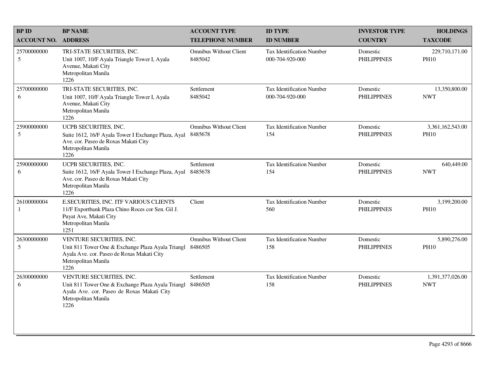| <b>BPID</b>        | <b>BP NAME</b>                                                                                                                                             | <b>ACCOUNT TYPE</b>                      | <b>ID TYPE</b>                                      | <b>INVESTOR TYPE</b>           | <b>HOLDINGS</b>                 |
|--------------------|------------------------------------------------------------------------------------------------------------------------------------------------------------|------------------------------------------|-----------------------------------------------------|--------------------------------|---------------------------------|
| <b>ACCOUNT NO.</b> | <b>ADDRESS</b>                                                                                                                                             | <b>TELEPHONE NUMBER</b>                  | <b>ID NUMBER</b>                                    | <b>COUNTRY</b>                 | <b>TAXCODE</b>                  |
| 25700000000<br>5   | TRI-STATE SECURITIES, INC.<br>Unit 1007, 10/F Ayala Triangle Tower I, Ayala<br>Avenue, Makati City<br>Metropolitan Manila<br>1226                          | <b>Omnibus Without Client</b><br>8485042 | <b>Tax Identification Number</b><br>000-704-920-000 | Domestic<br><b>PHILIPPINES</b> | 229,710,171.00<br><b>PH10</b>   |
| 25700000000<br>6   | TRI-STATE SECURITIES, INC.<br>Unit 1007, 10/F Ayala Triangle Tower I, Ayala<br>Avenue, Makati City<br>Metropolitan Manila<br>1226                          | Settlement<br>8485042                    | <b>Tax Identification Number</b><br>000-704-920-000 | Domestic<br><b>PHILIPPINES</b> | 13,350,800.00<br><b>NWT</b>     |
| 25900000000<br>5   | UCPB SECURITIES, INC.<br>Suite 1612, 16/F Ayala Tower I Exchange Plaza, Ayal<br>Ave. cor. Paseo de Roxas Makati City<br>Metropolitan Manila<br>1226        | <b>Omnibus Without Client</b><br>8485678 | <b>Tax Identification Number</b><br>154             | Domestic<br><b>PHILIPPINES</b> | 3,361,162,543.00<br><b>PH10</b> |
| 25900000000<br>6   | UCPB SECURITIES, INC.<br>Suite 1612, 16/F Ayala Tower I Exchange Plaza, Ayal<br>Ave. cor. Paseo de Roxas Makati City<br>Metropolitan Manila<br>1226        | Settlement<br>8485678                    | <b>Tax Identification Number</b><br>154             | Domestic<br><b>PHILIPPINES</b> | 640,449.00<br><b>NWT</b>        |
| 26100000004<br>-1  | E.SECURITIES, INC. ITF VARIOUS CLIENTS<br>11/F Exportbank Plaza Chino Roces cor Sen. Gil J.<br>Puyat Ave, Makati City<br>Metropolitan Manila<br>1251       | Client                                   | <b>Tax Identification Number</b><br>560             | Domestic<br><b>PHILIPPINES</b> | 3,199,200.00<br><b>PH10</b>     |
| 26300000000<br>5   | VENTURE SECURITIES, INC.<br>Unit 811 Tower One & Exchange Plaza Ayala Triangl<br>Ayala Ave. cor. Paseo de Roxas Makati City<br>Metropolitan Manila<br>1226 | <b>Omnibus Without Client</b><br>8486505 | Tax Identification Number<br>158                    | Domestic<br><b>PHILIPPINES</b> | 5,890,276.00<br><b>PH10</b>     |
| 26300000000<br>6   | VENTURE SECURITIES, INC.<br>Unit 811 Tower One & Exchange Plaza Ayala Triangl<br>Ayala Ave. cor. Paseo de Roxas Makati City<br>Metropolitan Manila<br>1226 | Settlement<br>8486505                    | Tax Identification Number<br>158                    | Domestic<br><b>PHILIPPINES</b> | 1,391,377,026.00<br><b>NWT</b>  |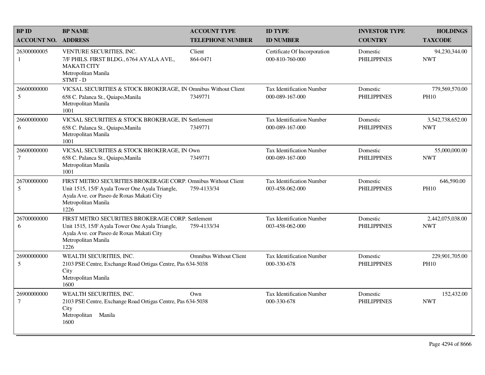| <b>BP ID</b>          | <b>BP NAME</b>                                                                                                                                                                               | <b>ACCOUNT TYPE</b>           | <b>ID TYPE</b>                                      | <b>INVESTOR TYPE</b>           | <b>HOLDINGS</b>                |
|-----------------------|----------------------------------------------------------------------------------------------------------------------------------------------------------------------------------------------|-------------------------------|-----------------------------------------------------|--------------------------------|--------------------------------|
| <b>ACCOUNT NO.</b>    | <b>ADDRESS</b>                                                                                                                                                                               | <b>TELEPHONE NUMBER</b>       | <b>ID NUMBER</b>                                    | <b>COUNTRY</b>                 | <b>TAXCODE</b>                 |
| 26300000005<br>1      | VENTURE SECURITIES, INC.<br>7/F PHILS. FIRST BLDG., 6764 AYALA AVE.,<br><b>MAKATI CITY</b><br>Metropolitan Manila<br>STMT-D                                                                  | Client<br>864-0471            | Certificate Of Incorporation<br>000-810-760-000     | Domestic<br><b>PHILIPPINES</b> | 94,230,344.00<br><b>NWT</b>    |
| 26600000000<br>5      | VICSAL SECURITIES & STOCK BROKERAGE, IN Omnibus Without Client<br>658 C. Palanca St., Quiapo, Manila<br>Metropolitan Manila<br>1001                                                          | 7349771                       | <b>Tax Identification Number</b><br>000-089-167-000 | Domestic<br><b>PHILIPPINES</b> | 779,569,570.00<br><b>PH10</b>  |
| 26600000000<br>6      | VICSAL SECURITIES & STOCK BROKERAGE, IN Settlement<br>658 C. Palanca St., Quiapo, Manila<br>Metropolitan Manila<br>1001                                                                      | 7349771                       | Tax Identification Number<br>000-089-167-000        | Domestic<br><b>PHILIPPINES</b> | 3,542,738,652.00<br><b>NWT</b> |
| 26600000000<br>$\tau$ | VICSAL SECURITIES & STOCK BROKERAGE, IN Own<br>658 C. Palanca St., Quiapo, Manila<br>Metropolitan Manila<br>1001                                                                             | 7349771                       | <b>Tax Identification Number</b><br>000-089-167-000 | Domestic<br><b>PHILIPPINES</b> | 55,000,000.00<br><b>NWT</b>    |
| 26700000000<br>5      | FIRST METRO SECURITIES BROKERAGE CORP. Omnibus Without Client<br>Unit 1515, 15/F Ayala Tower One Ayala Triangle,<br>Ayala Ave. cor Paseo de Roxas Makati City<br>Metropolitan Manila<br>1226 | 759-4133/34                   | Tax Identification Number<br>003-458-062-000        | Domestic<br><b>PHILIPPINES</b> | 646,590.00<br><b>PH10</b>      |
| 26700000000<br>6      | FIRST METRO SECURITIES BROKERAGE CORP. Settlement<br>Unit 1515, 15/F Ayala Tower One Ayala Triangle,<br>Ayala Ave. cor Paseo de Roxas Makati City<br>Metropolitan Manila<br>1226             | 759-4133/34                   | Tax Identification Number<br>003-458-062-000        | Domestic<br><b>PHILIPPINES</b> | 2,442,075,038.00<br><b>NWT</b> |
| 26900000000<br>5      | WEALTH SECURITIES, INC.<br>2103 PSE Centre, Exchange Road Ortigas Centre, Pas 634-5038<br>City<br>Metropolitan Manila<br>1600                                                                | <b>Omnibus Without Client</b> | <b>Tax Identification Number</b><br>000-330-678     | Domestic<br><b>PHILIPPINES</b> | 229,901,705.00<br><b>PH10</b>  |
| 26900000000<br>$\tau$ | WEALTH SECURITIES, INC.<br>2103 PSE Centre, Exchange Road Ortigas Centre, Pas 634-5038<br>City<br>Metropolitan Manila<br>1600                                                                | $Qw$ n                        | Tax Identification Number<br>000-330-678            | Domestic<br><b>PHILIPPINES</b> | 152,432.00<br><b>NWT</b>       |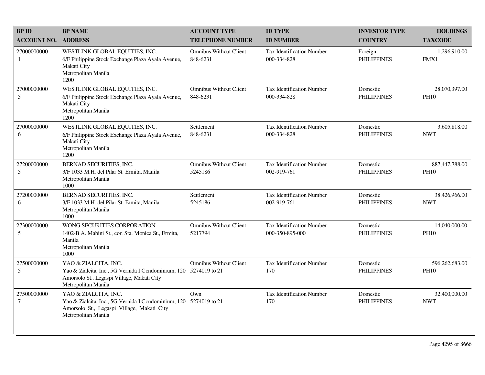| <b>BPID</b>                   | <b>BP NAME</b>                                                                                                                                                 | <b>ACCOUNT TYPE</b>                       | <b>ID TYPE</b>                                  | <b>INVESTOR TYPE</b>           | <b>HOLDINGS</b>               |
|-------------------------------|----------------------------------------------------------------------------------------------------------------------------------------------------------------|-------------------------------------------|-------------------------------------------------|--------------------------------|-------------------------------|
| <b>ACCOUNT NO.</b>            | <b>ADDRESS</b>                                                                                                                                                 | <b>TELEPHONE NUMBER</b>                   | <b>ID NUMBER</b>                                | <b>COUNTRY</b>                 | <b>TAXCODE</b>                |
| 27000000000<br>-1             | WESTLINK GLOBAL EQUITIES, INC.<br>6/F Philippine Stock Exchange Plaza Ayala Avenue,<br>Makati City<br>Metropolitan Manila<br>1200                              | <b>Omnibus Without Client</b><br>848-6231 | <b>Tax Identification Number</b><br>000-334-828 | Foreign<br><b>PHILIPPINES</b>  | 1,296,910.00<br>FMX1          |
| 27000000000<br>5              | WESTLINK GLOBAL EQUITIES, INC.<br>6/F Philippine Stock Exchange Plaza Ayala Avenue,<br>Makati City<br>Metropolitan Manila<br>1200                              | <b>Omnibus Without Client</b><br>848-6231 | Tax Identification Number<br>000-334-828        | Domestic<br><b>PHILIPPINES</b> | 28,070,397.00<br><b>PH10</b>  |
| 27000000000<br>6              | WESTLINK GLOBAL EQUITIES, INC.<br>6/F Philippine Stock Exchange Plaza Ayala Avenue,<br>Makati City<br>Metropolitan Manila<br>1200                              | Settlement<br>848-6231                    | <b>Tax Identification Number</b><br>000-334-828 | Domestic<br><b>PHILIPPINES</b> | 3,605,818.00<br><b>NWT</b>    |
| 27200000000<br>5              | BERNAD SECURITIES, INC.<br>3/F 1033 M.H. del Pilar St. Ermita, Manila<br>Metropolitan Manila<br>1000                                                           | <b>Omnibus Without Client</b><br>5245186  | Tax Identification Number<br>002-919-761        | Domestic<br><b>PHILIPPINES</b> | 887,447,788.00<br><b>PH10</b> |
| 27200000000<br>6              | BERNAD SECURITIES, INC.<br>3/F 1033 M.H. del Pilar St. Ermita, Manila<br>Metropolitan Manila<br>1000                                                           | Settlement<br>5245186                     | Tax Identification Number<br>002-919-761        | Domestic<br><b>PHILIPPINES</b> | 38,426,966.00<br><b>NWT</b>   |
| 27300000000<br>5              | WONG SECURITIES CORPORATION<br>1402-B A. Mabini St., cor. Sta. Monica St., Ermita,<br>Manila<br>Metropolitan Manila<br>1000                                    | <b>Omnibus Without Client</b><br>5217794  | Tax Identification Number<br>000-350-895-000    | Domestic<br><b>PHILIPPINES</b> | 14,040,000.00<br><b>PH10</b>  |
| 27500000000<br>5              | YAO & ZIALCITA, INC.<br>Yao & Zialcita, Inc., 5G Vernida I Condominium, 120 5274019 to 21<br>Amorsolo St., Legaspi Village, Makati City<br>Metropolitan Manila | <b>Omnibus Without Client</b>             | Tax Identification Number<br>170                | Domestic<br><b>PHILIPPINES</b> | 596,262,683.00<br><b>PH10</b> |
| 27500000000<br>$\overline{7}$ | YAO & ZIALCITA, INC.<br>Yao & Zialcita, Inc., 5G Vernida I Condominium, 120 5274019 to 21<br>Amorsolo St., Legaspi Village, Makati City<br>Metropolitan Manila | $Qw$ n                                    | <b>Tax Identification Number</b><br>170         | Domestic<br><b>PHILIPPINES</b> | 32,400,000.00<br><b>NWT</b>   |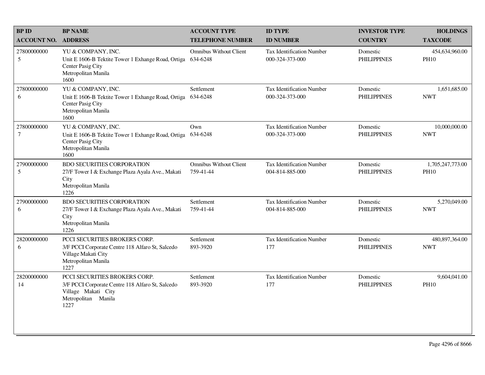| <b>BP ID</b>                  | <b>BP NAME</b>                                                                                                                          | <b>ACCOUNT TYPE</b>                        | <b>ID TYPE</b>                                      | <b>INVESTOR TYPE</b>           | <b>HOLDINGS</b>                 |
|-------------------------------|-----------------------------------------------------------------------------------------------------------------------------------------|--------------------------------------------|-----------------------------------------------------|--------------------------------|---------------------------------|
| <b>ACCOUNT NO.</b>            | <b>ADDRESS</b>                                                                                                                          | <b>TELEPHONE NUMBER</b>                    | <b>ID NUMBER</b>                                    | <b>COUNTRY</b>                 | <b>TAXCODE</b>                  |
| 27800000000<br>$\mathfrak{S}$ | YU & COMPANY, INC.<br>Unit E 1606-B Tektite Tower 1 Exhange Road, Ortiga<br>Center Pasig City<br>Metropolitan Manila<br>1600            | <b>Omnibus Without Client</b><br>634-6248  | <b>Tax Identification Number</b><br>000-324-373-000 | Domestic<br><b>PHILIPPINES</b> | 454,634,960.00<br><b>PH10</b>   |
| 27800000000<br>6              | YU & COMPANY, INC.<br>Unit E 1606-B Tektite Tower 1 Exhange Road, Ortiga<br>Center Pasig City<br>Metropolitan Manila<br>1600            | Settlement<br>634-6248                     | <b>Tax Identification Number</b><br>000-324-373-000 | Domestic<br><b>PHILIPPINES</b> | 1,651,685.00<br><b>NWT</b>      |
| 27800000000<br>$\overline{7}$ | YU & COMPANY, INC.<br>Unit E 1606-B Tektite Tower 1 Exhange Road, Ortiga<br>Center Pasig City<br>Metropolitan Manila<br>1600            | Own<br>634-6248                            | <b>Tax Identification Number</b><br>000-324-373-000 | Domestic<br><b>PHILIPPINES</b> | 10,000,000.00<br><b>NWT</b>     |
| 27900000000<br>5              | <b>BDO SECURITIES CORPORATION</b><br>27/F Tower I & Exchange Plaza Ayala Ave., Makati<br>City<br>Metropolitan Manila<br>1226            | <b>Omnibus Without Client</b><br>759-41-44 | <b>Tax Identification Number</b><br>004-814-885-000 | Domestic<br><b>PHILIPPINES</b> | 1,705,247,773.00<br><b>PH10</b> |
| 27900000000<br>6              | <b>BDO SECURITIES CORPORATION</b><br>27/F Tower I & Exchange Plaza Ayala Ave., Makati<br>City<br>Metropolitan Manila<br>1226            | Settlement<br>759-41-44                    | <b>Tax Identification Number</b><br>004-814-885-000 | Domestic<br><b>PHILIPPINES</b> | 5,270,049.00<br><b>NWT</b>      |
| 28200000000<br>6              | PCCI SECURITIES BROKERS CORP.<br>3/F PCCI Corporate Centre 118 Alfaro St, Salcedo<br>Village Makati City<br>Metropolitan Manila<br>1227 | Settlement<br>893-3920                     | <b>Tax Identification Number</b><br>177             | Domestic<br><b>PHILIPPINES</b> | 480,897,364.00<br><b>NWT</b>    |
| 28200000000<br>14             | PCCI SECURITIES BROKERS CORP.<br>3/F PCCI Corporate Centre 118 Alfaro St, Salcedo<br>Village Makati City<br>Metropolitan Manila<br>1227 | Settlement<br>893-3920                     | Tax Identification Number<br>177                    | Domestic<br><b>PHILIPPINES</b> | 9,604,041.00<br><b>PH10</b>     |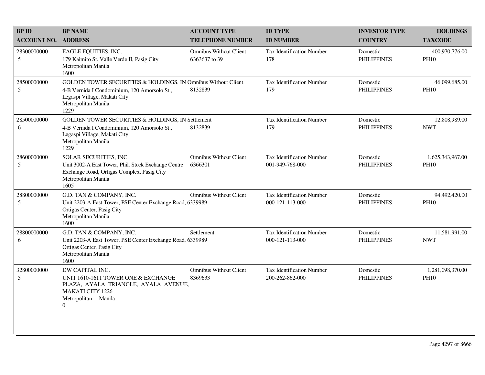| <b>BPID</b>                | <b>BP NAME</b>                                                                                                                                                               | <b>ACCOUNT TYPE</b>                            | <b>ID TYPE</b>                                      | <b>INVESTOR TYPE</b>           | <b>HOLDINGS</b>                 |
|----------------------------|------------------------------------------------------------------------------------------------------------------------------------------------------------------------------|------------------------------------------------|-----------------------------------------------------|--------------------------------|---------------------------------|
| <b>ACCOUNT NO. ADDRESS</b> |                                                                                                                                                                              | <b>TELEPHONE NUMBER</b>                        | <b>ID NUMBER</b>                                    | <b>COUNTRY</b>                 | <b>TAXCODE</b>                  |
| 28300000000<br>5           | EAGLE EQUITIES, INC.<br>179 Kaimito St. Valle Verde II, Pasig City<br>Metropolitan Manila<br>1600                                                                            | <b>Omnibus Without Client</b><br>6363637 to 39 | <b>Tax Identification Number</b><br>178             | Domestic<br><b>PHILIPPINES</b> | 400,970,776.00<br><b>PH10</b>   |
| 28500000000<br>5           | GOLDEN TOWER SECURITIES & HOLDINGS, IN Omnibus Without Client<br>4-B Vernida I Condominium, 120 Amorsolo St.,<br>Legaspi Village, Makati City<br>Metropolitan Manila<br>1229 | 8132839                                        | Tax Identification Number<br>179                    | Domestic<br><b>PHILIPPINES</b> | 46,099,685.00<br><b>PH10</b>    |
| 28500000000<br>6           | GOLDEN TOWER SECURITIES & HOLDINGS, IN Settlement<br>4-B Vernida I Condominium, 120 Amorsolo St.,<br>Legaspi Village, Makati City<br>Metropolitan Manila<br>1229             | 8132839                                        | <b>Tax Identification Number</b><br>179             | Domestic<br><b>PHILIPPINES</b> | 12,808,989.00<br><b>NWT</b>     |
| 28600000000<br>5           | SOLAR SECURITIES, INC.<br>Unit 3002-A East Tower, Phil. Stock Exchange Centre<br>Exchange Road, Ortigas Complex, Pasig City<br>Metropolitan Manila<br>1605                   | <b>Omnibus Without Client</b><br>6366301       | <b>Tax Identification Number</b><br>001-949-768-000 | Domestic<br><b>PHILIPPINES</b> | 1,625,343,967.00<br><b>PH10</b> |
| 28800000000<br>5           | G.D. TAN & COMPANY, INC.<br>Unit 2203-A East Tower, PSE Center Exchange Road, 6339989<br>Ortigas Center, Pasig City<br>Metropolitan Manila<br>1600                           | <b>Omnibus Without Client</b>                  | <b>Tax Identification Number</b><br>000-121-113-000 | Domestic<br><b>PHILIPPINES</b> | 94,492,420.00<br><b>PH10</b>    |
| 28800000000<br>6           | G.D. TAN & COMPANY, INC.<br>Unit 2203-A East Tower, PSE Center Exchange Road, 6339989<br>Ortigas Center, Pasig City<br>Metropolitan Manila<br>1600                           | Settlement                                     | <b>Tax Identification Number</b><br>000-121-113-000 | Domestic<br><b>PHILIPPINES</b> | 11,581,991.00<br><b>NWT</b>     |
| 32800000000<br>5           | DW CAPITAL INC.<br>UNIT 1610-1611 TOWER ONE & EXCHANGE<br>PLAZA, AYALA TRIANGLE, AYALA AVENUE,<br><b>MAKATI CITY 1226</b><br>Metropolitan Manila<br>$\boldsymbol{0}$         | <b>Omnibus Without Client</b><br>8369633       | <b>Tax Identification Number</b><br>200-262-862-000 | Domestic<br><b>PHILIPPINES</b> | 1,281,098,370.00<br><b>PH10</b> |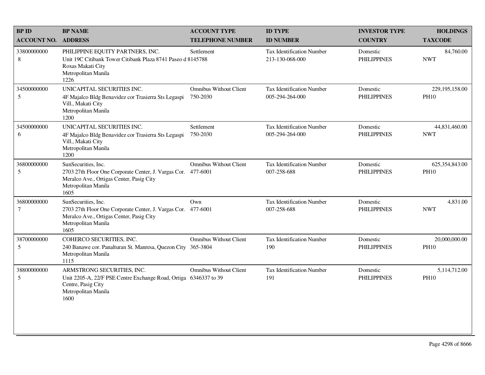| <b>BPID</b>                    | <b>BP NAME</b>                                                                                                                                                  | <b>ACCOUNT TYPE</b>                       | <b>ID TYPE</b>                                      | <b>INVESTOR TYPE</b>           | <b>HOLDINGS</b>                 |
|--------------------------------|-----------------------------------------------------------------------------------------------------------------------------------------------------------------|-------------------------------------------|-----------------------------------------------------|--------------------------------|---------------------------------|
| <b>ACCOUNT NO.</b>             | <b>ADDRESS</b>                                                                                                                                                  | <b>TELEPHONE NUMBER</b>                   | <b>ID NUMBER</b>                                    | <b>COUNTRY</b>                 | <b>TAXCODE</b>                  |
| 33800000000<br>$\,8\,$         | PHILIPPINE EQUITY PARTNERS, INC.<br>Unit 19C Citibank Tower Citibank Plaza 8741 Paseo d 8145788<br>Roxas Makati City<br>Metropolitan Manila<br>1226             | Settlement                                | <b>Tax Identification Number</b><br>213-130-068-000 | Domestic<br><b>PHILIPPINES</b> | 84,760.00<br><b>NWT</b>         |
| 34500000000<br>$5\overline{)}$ | UNICAPITAL SECURITIES INC.<br>4F Majalco Bldg Benavidez cor Trasierra Sts Legaspi<br>Vill., Makati City<br>Metropolitan Manila<br>1200                          | <b>Omnibus Without Client</b><br>750-2030 | Tax Identification Number<br>005-294-264-000        | Domestic<br><b>PHILIPPINES</b> | 229, 195, 158.00<br><b>PH10</b> |
| 34500000000<br>6               | UNICAPITAL SECURITIES INC.<br>4F Majalco Bldg Benavidez cor Trasierra Sts Legaspi<br>Vill., Makati City<br>Metropolitan Manila<br>1200                          | Settlement<br>750-2030                    | <b>Tax Identification Number</b><br>005-294-264-000 | Domestic<br><b>PHILIPPINES</b> | 44,831,460.00<br><b>NWT</b>     |
| 36800000000<br>5               | SunSecurities, Inc.<br>2703 27th Floor One Corporate Center, J. Vargas Cor. 477-6001<br>Meralco Ave., Ortigas Center, Pasig City<br>Metropolitan Manila<br>1605 | <b>Omnibus Without Client</b>             | Tax Identification Number<br>007-258-688            | Domestic<br><b>PHILIPPINES</b> | 625,354,843.00<br><b>PH10</b>   |
| 36800000000<br>$\tau$          | SunSecurities, Inc.<br>2703 27th Floor One Corporate Center, J. Vargas Cor. 477-6001<br>Meralco Ave., Ortigas Center, Pasig City<br>Metropolitan Manila<br>1605 | Own                                       | Tax Identification Number<br>007-258-688            | Domestic<br><b>PHILIPPINES</b> | 4,831.00<br><b>NWT</b>          |
| 38700000000<br>5               | COHERCO SECURITIES, INC.<br>240 Banawe cor. Panalturan St. Manresa, Quezon City 365-3804<br>Metropolitan Manila<br>1115                                         | <b>Omnibus Without Client</b>             | <b>Tax Identification Number</b><br>190             | Domestic<br><b>PHILIPPINES</b> | 20,000,000.00<br><b>PH10</b>    |
| 38800000000<br>$\mathfrak{S}$  | ARMSTRONG SECURITIES, INC.<br>Unit 2205-A, 22/F PSE Centre Exchange Road, Ortiga 6346337 to 39<br>Centre, Pasig City<br>Metropolitan Manila<br>1600             | <b>Omnibus Without Client</b>             | <b>Tax Identification Number</b><br>191             | Domestic<br><b>PHILIPPINES</b> | 5,114,712.00<br><b>PH10</b>     |
|                                |                                                                                                                                                                 |                                           |                                                     |                                |                                 |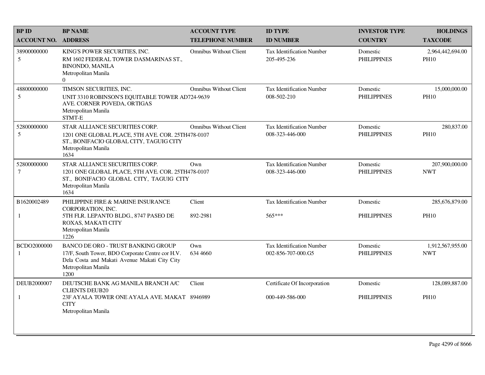| <b>BPID</b>                   | <b>BP NAME</b>                                                                                                                                                         | <b>ACCOUNT TYPE</b>           | <b>ID TYPE</b>                                         | <b>INVESTOR TYPE</b>           | <b>HOLDINGS</b>                 |
|-------------------------------|------------------------------------------------------------------------------------------------------------------------------------------------------------------------|-------------------------------|--------------------------------------------------------|--------------------------------|---------------------------------|
| <b>ACCOUNT NO.</b>            | <b>ADDRESS</b>                                                                                                                                                         | <b>TELEPHONE NUMBER</b>       | <b>ID NUMBER</b>                                       | <b>COUNTRY</b>                 | <b>TAXCODE</b>                  |
| 38900000000<br>5              | KING'S POWER SECURITIES, INC.<br>RM 1602 FEDERAL TOWER DASMARINAS ST.,<br><b>BINONDO, MANILA</b><br>Metropolitan Manila<br>$\overline{0}$                              | <b>Omnibus Without Client</b> | <b>Tax Identification Number</b><br>205-495-236        | Domestic<br><b>PHILIPPINES</b> | 2,964,442,694.00<br><b>PH10</b> |
| 48800000000<br>5              | TIMSON SECURITIES, INC.<br>UNIT 3310 ROBINSON'S EQUITABLE TOWER AD724-9639<br>AVE. CORNER POVEDA, ORTIGAS<br>Metropolitan Manila<br>STMT-E                             | <b>Omnibus Without Client</b> | Tax Identification Number<br>008-502-210               | Domestic<br><b>PHILIPPINES</b> | 15,000,000.00<br><b>PH10</b>    |
| 52800000000<br>5              | STAR ALLIANCE SECURITIES CORP.<br>1201 ONE GLOBAL PLACE, 5TH AVE. COR. 25TH478-0107<br>ST., BONIFACIO GLOBAL CITY, TAGUIG CITY<br>Metropolitan Manila<br>1634          | <b>Omnibus Without Client</b> | <b>Tax Identification Number</b><br>008-323-446-000    | Domestic<br><b>PHILIPPINES</b> | 280,837.00<br><b>PH10</b>       |
| 52800000000<br>$\overline{7}$ | STAR ALLIANCE SECURITIES CORP.<br>1201 ONE GLOBAL PLACE, 5TH AVE. COR. 25TH478-0107<br>ST., BONIFACIO GLOBAL CITY, TAGUIG CITY<br>Metropolitan Manila<br>1634          | Own                           | <b>Tax Identification Number</b><br>008-323-446-000    | Domestic<br><b>PHILIPPINES</b> | 207,900,000.00<br><b>NWT</b>    |
| B1620002489                   | PHILIPPINE FIRE & MARINE INSURANCE<br>CORPORATION, INC.                                                                                                                | Client                        | <b>Tax Identification Number</b>                       | Domestic                       | 285,676,879.00                  |
| 1                             | 5TH FLR. LEPANTO BLDG., 8747 PASEO DE<br>ROXAS, MAKATI CITY<br>Metropolitan Manila<br>1226                                                                             | 892-2981                      | 565***                                                 | <b>PHILIPPINES</b>             | <b>PH10</b>                     |
| BCDO2000000<br>$\mathbf{1}$   | BANCO DE ORO - TRUST BANKING GROUP<br>17/F, South Tower, BDO Corporate Centre cor H.V.<br>Dela Costa and Makati Avenue Makati City City<br>Metropolitan Manila<br>1200 | Own<br>634 4660               | <b>Tax Identification Number</b><br>002-856-707-000.G5 | Domestic<br><b>PHILIPPINES</b> | 1,912,567,955.00<br><b>NWT</b>  |
| DEUB2000007                   | DEUTSCHE BANK AG MANILA BRANCH A/C<br><b>CLIENTS DEUB20</b>                                                                                                            | Client                        | Certificate Of Incorporation                           | Domestic                       | 128,089,887.00                  |
| 1                             | 23F AYALA TOWER ONE AYALA AVE. MAKAT 8946989<br><b>CITY</b><br>Metropolitan Manila                                                                                     |                               | 000-449-586-000                                        | <b>PHILIPPINES</b>             | <b>PH10</b>                     |
|                               |                                                                                                                                                                        |                               |                                                        |                                |                                 |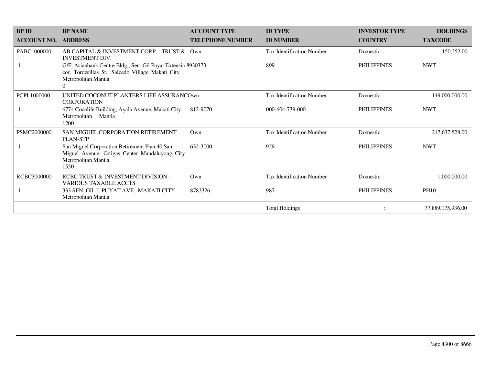| <b>BPID</b><br><b>ACCOUNT NO.</b> | <b>BP NAME</b><br><b>ADDRESS</b>                                                                                                                           | <b>ACCOUNT TYPE</b><br><b>TELEPHONE NUMBER</b> | <b>ID TYPE</b><br><b>ID NUMBER</b> | <b>INVESTOR TYPE</b><br><b>COUNTRY</b> | <b>HOLDINGS</b><br><b>TAXCODE</b> |
|-----------------------------------|------------------------------------------------------------------------------------------------------------------------------------------------------------|------------------------------------------------|------------------------------------|----------------------------------------|-----------------------------------|
| PABC1000000                       | AB CAPITAL & INVESTMENT CORP. - TRUST & Own<br><b>INVESTMENT DIV.</b>                                                                                      |                                                | <b>Tax Identification Number</b>   | Domestic                               | 150,252.00                        |
|                                   | G/F, Asianbank Centre Bldg., Sen. Gil Puyat Extensio 8930373<br>cor. Tordesillas St., Salcedo Village Makati City<br>Metropolitan Manila<br>$\overline{0}$ |                                                | 899                                | <b>PHILIPPINES</b>                     | <b>NWT</b>                        |
| PCPL1000000                       | UNITED COCONUT PLANTERS LIFE ASSURANCOwn<br><b>CORPORATION</b>                                                                                             |                                                | <b>Tax Identification Number</b>   | Domestic                               | 149,000,000.00                    |
|                                   | 6774 Cocolife Building, Ayala Avenue, Makati City<br>Metropolitan<br>Manila<br>1200                                                                        | 812-9070                                       | 000-604-739-000                    | <b>PHILIPPINES</b>                     | <b>NWT</b>                        |
| <b>PSMC2000000</b>                | SAN MIGUEL CORPORATION RETIREMENT<br><b>PLAN-STP</b>                                                                                                       | $Qw$ n                                         | <b>Tax Identification Number</b>   | Domestic                               | 217,637,528.00                    |
|                                   | San Miguel Corporation Retirement Plan 40 San<br>Miguel Avenue, Ortigas Center Mandaluyong City<br>Metropolitan Manila<br>1550                             | 632-3000                                       | 929                                | <b>PHILIPPINES</b>                     | <b>NWT</b>                        |
| RCBC3000000                       | RCBC TRUST & INVESTMENT DIVISION -<br><b>VARIOUS TAXABLE ACCTS</b>                                                                                         | Own                                            | <b>Tax Identification Number</b>   | Domestic                               | 1,000,000.00                      |
|                                   | 333 SEN. GIL J. PUYAT AVE., MAKATI CITY<br>Metropolitan Manila                                                                                             | 8783326                                        | 987.                               | <b>PHILIPPINES</b>                     | <b>PH10</b>                       |
|                                   |                                                                                                                                                            |                                                | <b>Total Holdings</b>              |                                        | 77,889,175,936.00                 |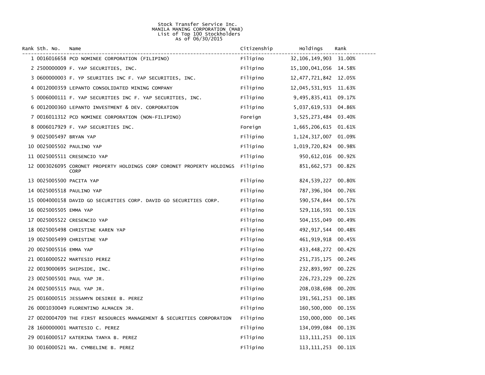## Stock Transfer Service Inc. MANILA MANING CORPORATION (MAB) List of Top 100 Stockholders As of 06/30/2015

| Rank Sth. No.            | Name                                                                                  | Citizenship | Holdings                 | Rank   |
|--------------------------|---------------------------------------------------------------------------------------|-------------|--------------------------|--------|
|                          | 1 0016016658 PCD NOMINEE CORPORATION (FILIPINO)                                       | Filipino    | 32, 106, 149, 903        | 31.00% |
|                          | 2 2500000009 F. YAP SECURITIES, INC.                                                  | Filipino    | 15, 100, 041, 056 14.58% |        |
|                          | 3 0600000003 F. YP SEURITIES INC F. YAP SECURITIES, INC.                              | Filipino    | 12,477,721,842           | 12.05% |
|                          | 4 0012000359 LEPANTO CONSOLIDATED MINING COMPANY                                      | Filipino    | 12,045,531,915           | 11.63% |
|                          | 5 0006000111 F. YAP SECURITIES INC F. YAP SECURITIES, INC.                            | Filipino    | 9,495,835,411            | 09.17% |
|                          | 6 0012000360 LEPANTO INVESTMENT & DEV. CORPORATION                                    | Filipino    | 5,037,619,533            | 04.86% |
|                          | 7 0016011312 PCD NOMINEE CORPORATION (NON-FILIPINO)                                   | Foreign     | 3, 525, 273, 484         | 03.40% |
|                          | 8 0006017929 F. YAP SECURITIES INC.                                                   | Foreign     | 1,665,206,615            | 01.61% |
| 9 0025005497 BRYAN YAP   |                                                                                       | Filipino    | 1, 124, 317, 007         | 01.09% |
|                          | 10 0025005502 PAULINO YAP                                                             | Filipino    | 1,019,720,824            | 00.98% |
|                          | 11 0025005511 CRESENCIO YAP                                                           | Filipino    | 950, 612, 016            | 00.92% |
|                          | 12 0003026095 CORONET PROPERTY HOLDINGS CORP CORONET PROPERTY HOLDINGS<br><b>CORP</b> | Filipino    | 851,662,573              | 00.82% |
| 13 0025005500 PACITA YAP |                                                                                       | Filipino    | 824, 539, 227            | 00.80% |
|                          | 14 0025005518 PAULINO YAP                                                             | Filipino    | 787, 396, 304            | 00.76% |
|                          | 15 0004000158 DAVID GO SECURITIES CORP. DAVID GO SECURITIES CORP.                     | Filipino    | 590, 574, 844            | 00.57% |
| 16 0025005505 EMMA YAP   |                                                                                       | Filipino    | 529, 116, 591            | 00.51% |
|                          | 17 0025005522 CRESENCIO YAP                                                           | Filipino    | 504,155,049              | 00.49% |
|                          | 18 0025005498 CHRISTINE KAREN YAP                                                     | Filipino    | 492, 917, 544            | 00.48% |
|                          | 19 0025005499 CHRISTINE YAP                                                           | Filipino    | 461,919,918              | 00.45% |
| 20 0025005516 EMMA YAP   |                                                                                       | Filipino    | 433,448,272              | 00.42% |
|                          | 21 0016000522 MARTESIO PEREZ                                                          | Filipino    | 251,735,175              | 00.24% |
|                          | 22 0019000695 SHIPSIDE, INC.                                                          | Filipino    | 232,893,997              | 00.22% |
|                          | 23 0025005501 PAUL YAP JR.                                                            | Filipino    | 226,723,229              | 00.22% |
|                          | 24 0025005515 PAUL YAP JR.                                                            | Filipino    | 208,038,698              | 00.20% |
|                          | 25 0016000515 JESSAMYN DESIREE B. PEREZ                                               | Filipino    | 191, 561, 253            | 00.18% |
|                          | 26 0001030049 FLORENTINO ALMACEN JR.                                                  | Filipino    | 160,500,000              | 00.15% |
|                          | 27 0020004709 THE FIRST RESOURCES MANAGEMENT & SECURITIES CORPORATION                 | Filipino    | 150,000,000              | 00.14% |
|                          | 28 1600000001 MARTESIO C. PEREZ                                                       | Filipino    | 134,099,084              | 00.13% |
|                          | 29 0016000517 KATERINA TANYA B. PEREZ                                                 | Filipino    | 113, 111, 253            | 00.11% |
|                          | 30 0016000521 MA. CYMBELINE B. PEREZ                                                  | Filipino    | 113, 111, 253            | 00.11% |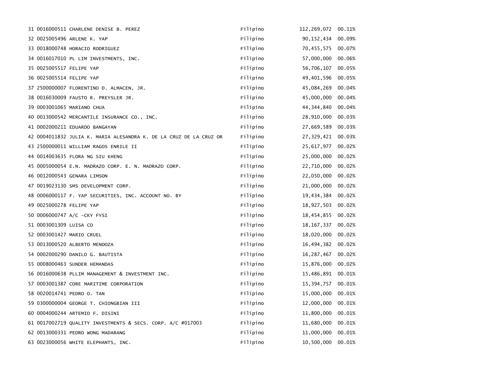| 31 0016000511 CHARLENE DENISE B. PEREZ                             | Filipino | 112, 269, 072 | 00.11% |
|--------------------------------------------------------------------|----------|---------------|--------|
| 32 0025005496 ARLENE K. YAP                                        | Filipino | 90, 152, 434  | 00.09% |
| 33 0018000748 HORACIO RODRIGUEZ                                    | Filipino | 70,455,575    | 00.07% |
| 34 0016017010 PL LIM INVESTMENTS, INC.                             | Filipino | 57,000,000    | 00.06% |
| 35 0025005517 FELIPE YAP                                           | Filipino | 56,706,107    | 00.05% |
| 36 0025005514 FELIPE YAP                                           | Filipino | 49,401,596    | 00.05% |
| 37 2500000007 FLORENTINO D. ALMACEN, JR.                           | Filipino | 45,084,269    | 00.04% |
| 38 0016030009 FAUSTO R. PREYSLER JR.                               | Filipino | 45,000,000    | 00.04% |
| 39 0003001065 MARIANO CHUA                                         | Filipino | 44,344,840    | 00.04% |
| 40 0013000542 MERCANTILE INSURANCE CO., INC.                       | Filipino | 28,910,000    | 00.03% |
| 41 0002000211 EDUARDO BANGAYAN                                     | Filipino | 27,669,589    | 00.03% |
| 42 0004011832 JULIA K. MARIA ALESANDRA K. DE LA CRUZ DE LA CRUZ OR | Filipino | 27,329,421    | 00.03% |
| 43 2500000011 WILLIAM RAGOS ENRILE II                              | Filipino | 25,617,977    | 00.02% |
| 44 0014003635 FLORA NG SIU KHENG                                   | Filipino | 25,000,000    | 00.02% |
| 45 0005000054 E.N. MADRAZO CORP. E. N. MADRAZO CORP.               | Filipino | 22,710,000    | 00.02% |
| 46 0012000543 GENARA LIMSON                                        | Filipino | 22,050,000    | 00.02% |
| 47 0019023130 SMS DEVELOPMENT CORP.                                | Filipino | 21,000,000    | 00.02% |
| 48 0006000117 F. YAP SECURITIES, INC. ACCOUNT NO. BY               | Filipino | 19,434,384    | 00.02% |
| 49 0025000278 FELIPE YAP                                           | Filipino | 18,927,503    | 00.02% |
| 50 0006000747 A/C -CKY FYSI                                        | Filipino | 18,454,855    | 00.02% |
| 51 0003001309 LUISA CO                                             | Filipino | 18, 167, 337  | 00.02% |
| 52 0003001427 MARIO CRUEL                                          | Filipino | 18,020,000    | 00.02% |
| 53 0013000520 ALBERTO MENDOZA                                      | Filipino | 16,494,382    | 00.02% |
| 54 0002000290 DANILO G. BAUTISTA                                   | Filipino | 16,287,467    | 00.02% |
| 55 0008000463 SUNDER HEMANDAS                                      | Filipino | 15,876,000    | 00.02% |
| 56 0016000638 PLLIM MANAGEMENT & INVESTMENT INC.                   | Filipino | 15,486,891    | 00.01% |
| 57 0003001387 CORE MARITIME CORPORATION                            | Filipino | 15,394,757    | 00.01% |
| 58 0020014741 PEDRO O. TAN                                         | Filipino | 15,000,000    | 00.01% |
| 59 0300000004 GEORGE T. CHIONGBIAN III                             | Filipino | 12,000,000    | 00.01% |
| 60 0004000244 ARTEMIO F. DISINI                                    | Filipino | 11,800,000    | 00.01% |
| 61 0017002719 QUALITY INVESTMENTS & SECS. CORP. A/C #017003        | Filipino | 11,680,000    | 00.01% |
| 62 0013000331 PEDRO WONG MADARANG                                  | Filipino | 11,000,000    | 00.01% |
| 63 0023000056 WHITE ELEPHANTS, INC.                                | Filipino | 10,500,000    | 00.01% |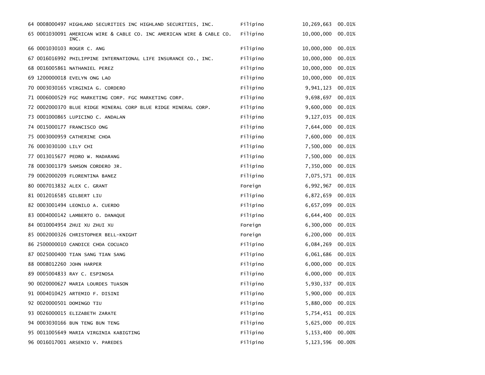| 64 0008000497 HIGHLAND SECURITIES INC HIGHLAND SECURITIES, INC.               | Filipino | 10,269,663  | 00.01% |
|-------------------------------------------------------------------------------|----------|-------------|--------|
| 65 0001030091 AMERICAN WIRE & CABLE CO. INC AMERICAN WIRE & CABLE CO.<br>INC. | Filipino | 10,000,000  | 00.01% |
| 66 0001030103 ROGER C. ANG                                                    | Filipino | 10,000,000  | 00.01% |
| 67 0016016992 PHILIPPINE INTERNATIONAL LIFE INSURANCE CO., INC.               | Filipino | 10,000,000  | 00.01% |
| 68 0016005861 NATHANIEL PEREZ                                                 | Filipino | 10,000,000  | 00.01% |
| 69 1200000018 EVELYN ONG LAO                                                  | Filipino | 10,000,000  | 00.01% |
| 70 0003030165 VIRGINIA G. CORDERO                                             | Filipino | 9,941,123   | 00.01% |
| 71 0006000529 FGC MARKETING CORP. FGC MARKETING CORP.                         | Filipino | 9,698,697   | 00.01% |
| 72 0002000370 BLUE RIDGE MINERAL CORP BLUE RIDGE MINERAL CORP.                | Filipino | 9,600,000   | 00.01% |
| 73 0001000865 LUPICINO C. ANDALAN                                             | Filipino | 9,127,035   | 00.01% |
| 74 0015000177 FRANCISCO ONG                                                   | Filipino | 7,644,000   | 00.01% |
| 75 0003000959 CATHERINE CHOA                                                  | Filipino | 7,600,000   | 00.01% |
| 76 0003030100 LILY CHI                                                        | Filipino | 7,500,000   | 00.01% |
| 77 0013015677 PEDRO W. MADARANG                                               | Filipino | 7,500,000   | 00.01% |
| 78 0003001379 SAMSON CORDERO JR.                                              | Filipino | 7,350,000   | 00.01% |
| 79 0002000209 FLORENTINA BANEZ                                                | Filipino | 7,075,571   | 00.01% |
| 80 0007013832 ALEX C. GRANT                                                   | Foreign  | 6,992,967   | 00.01% |
| 81 0012016585 GILBERT LIU                                                     | Filipino | 6,872,659   | 00.01% |
| 82 0003001494 LEONILO A. CUERDO                                               | Filipino | 6,657,099   | 00.01% |
| 83 0004000142 LAMBERTO O. DANAQUE                                             | Filipino | 6,644,400   | 00.01% |
| 84 0010004954 ZHUI XU ZHUI XU                                                 | Foreign  | 6,300,000   | 00.01% |
| 85 0002000326 CHRISTOPHER BELL-KNIGHT                                         | Foreign  | 6,200,000   | 00.01% |
| 86 2500000010 CANDICE CHOA COCUACO                                            | Filipino | 6,084,269   | 00.01% |
| 87 0025000400 TIAN SANG TIAN SANG                                             | Filipino | 6,061,686   | 00.01% |
| 88 0008012260 JOHN HARPER                                                     | Filipino | 6,000,000   | 00.01% |
| 89 0005004833 RAY C. ESPINOSA                                                 | Filipino | 6,000,000   | 00.01% |
| 90 0020000627 MARIA LOURDES TUASON                                            | Filipino | 5,930,337   | 00.01% |
| 91 0004010425 ARTEMIO F. DISINI                                               | Filipino | 5,900,000   | 00.01% |
| 92 0020000501 DOMINGO TIU                                                     | Filipino | 5,880,000   | 00.01% |
| 93 0026000015 ELIZABETH ZARATE                                                | Filipino | 5,754,451   | 00.01% |
| 94 0003030166 BUN TENG BUN TENG                                               | Filipino | 5,625,000   | 00.01% |
| 95 0011005649 MARIA VIRGINIA KABIGTING                                        | Filipino | 5, 153, 400 | 00.00% |
| 96 0016017001 ARSENIO V. PAREDES                                              | Filipino | 5,123,596   | 00.00% |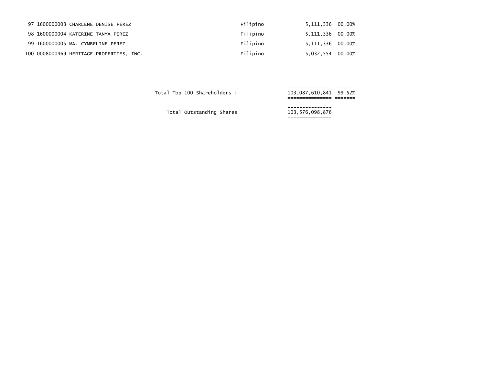| 97 1600000003 CHARLENE DENISE PEREZ      | Filipino | 5,111,336 00.00% |  |
|------------------------------------------|----------|------------------|--|
| 98 1600000004 KATERINE TANYA PEREZ       | Filipino | 5,111,336 00.00% |  |
| 99 1600000005 MA. CYMBELINE PEREZ        | Filipino | 5,111,336 00.00% |  |
| 100 0008000469 HERITAGE PROPERTIES, INC. | Filipino | 5,032,554 00.00% |  |

Total Top 100 Shareholders :

 --------------- ------- =============== =======

Total Outstanding Shares

 --------------- 103,576,098,876<br>================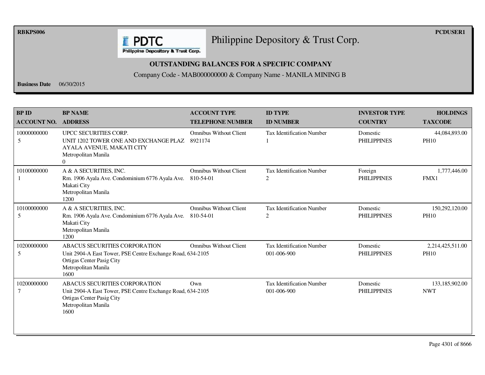**RBKPS006 PCDUSER1** 

## Philippine Depository & Trust Corp.

Philippine Depository & Trust Corp.

**E** PDTC

## **OUTSTANDING BALANCES FOR A SPECIFIC COMPANY**

Company Code - MAB000000000 & Company Name - MANILA MINING B

**Business Date** 06/30/2015

| <b>BP ID</b><br><b>ACCOUNT NO.</b> | <b>BP NAME</b><br><b>ADDRESS</b>                                                                                                                               | <b>ACCOUNT TYPE</b><br><b>TELEPHONE NUMBER</b> | <b>ID TYPE</b><br><b>ID NUMBER</b>              | <b>INVESTOR TYPE</b><br><b>COUNTRY</b> | <b>HOLDINGS</b><br><b>TAXCODE</b> |
|------------------------------------|----------------------------------------------------------------------------------------------------------------------------------------------------------------|------------------------------------------------|-------------------------------------------------|----------------------------------------|-----------------------------------|
| 10000000000<br>5                   | UPCC SECURITIES CORP.<br>UNIT 1202 TOWER ONE AND EXCHANGE PLAZ<br>AYALA AVENUE, MAKATI CITY<br>Metropolitan Manila<br>$\Omega$                                 | <b>Omnibus Without Client</b><br>8921174       | <b>Tax Identification Number</b>                | Domestic<br><b>PHILIPPINES</b>         | 44,084,893.00<br><b>PH10</b>      |
| 10100000000                        | A & A SECURITIES, INC.<br>Rm. 1906 Ayala Ave. Condominium 6776 Ayala Ave.<br>Makati City<br>Metropolitan Manila<br>1200                                        | <b>Omnibus Without Client</b><br>810-54-01     | <b>Tax Identification Number</b><br>2           | Foreign<br><b>PHILIPPINES</b>          | 1,777,446.00<br>FMX1              |
| 10100000000<br>5                   | A & A SECURITIES, INC.<br>Rm. 1906 Ayala Ave. Condominium 6776 Ayala Ave.<br>Makati City<br>Metropolitan Manila<br>1200                                        | <b>Omnibus Without Client</b><br>810-54-01     | <b>Tax Identification Number</b><br>2           | Domestic<br><b>PHILIPPINES</b>         | 150,292,120.00<br><b>PH10</b>     |
| 10200000000<br>5                   | <b>ABACUS SECURITIES CORPORATION</b><br>Unit 2904-A East Tower, PSE Centre Exchange Road, 634-2105<br>Ortigas Center Pasig City<br>Metropolitan Manila<br>1600 | <b>Omnibus Without Client</b>                  | <b>Tax Identification Number</b><br>001-006-900 | Domestic<br><b>PHILIPPINES</b>         | 2,214,425,511.00<br><b>PH10</b>   |
| 10200000000                        | <b>ABACUS SECURITIES CORPORATION</b><br>Unit 2904-A East Tower, PSE Centre Exchange Road, 634-2105<br>Ortigas Center Pasig City<br>Metropolitan Manila<br>1600 | Own                                            | <b>Tax Identification Number</b><br>001-006-900 | Domestic<br><b>PHILIPPINES</b>         | 133,185,902.00<br><b>NWT</b>      |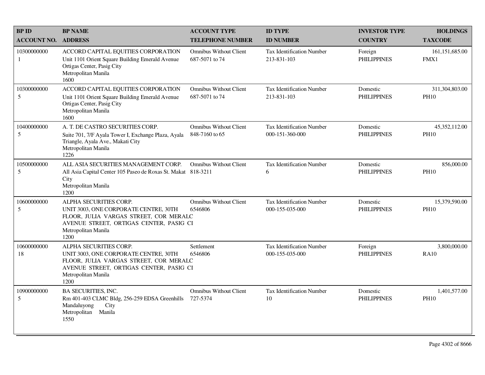| <b>BPID</b>        | <b>BP NAME</b>                                                                                                                                                                      | <b>ACCOUNT TYPE</b>                             | <b>ID TYPE</b>                                      | <b>INVESTOR TYPE</b>           | <b>HOLDINGS</b>               |
|--------------------|-------------------------------------------------------------------------------------------------------------------------------------------------------------------------------------|-------------------------------------------------|-----------------------------------------------------|--------------------------------|-------------------------------|
| <b>ACCOUNT NO.</b> | <b>ADDRESS</b>                                                                                                                                                                      | <b>TELEPHONE NUMBER</b>                         | <b>ID NUMBER</b>                                    | <b>COUNTRY</b>                 | <b>TAXCODE</b>                |
| 10300000000<br>-1  | ACCORD CAPITAL EQUITIES CORPORATION<br>Unit 1101 Orient Square Building Emerald Avenue<br>Ortigas Center, Pasig City<br>Metropolitan Manila<br>1600                                 | <b>Omnibus Without Client</b><br>687-5071 to 74 | <b>Tax Identification Number</b><br>213-831-103     | Foreign<br><b>PHILIPPINES</b>  | 161,151,685.00<br>FMX1        |
| 10300000000<br>5   | ACCORD CAPITAL EQUITIES CORPORATION<br>Unit 1101 Orient Square Building Emerald Avenue<br>Ortigas Center, Pasig City<br>Metropolitan Manila<br>1600                                 | <b>Omnibus Without Client</b><br>687-5071 to 74 | Tax Identification Number<br>213-831-103            | Domestic<br><b>PHILIPPINES</b> | 311,304,803.00<br><b>PH10</b> |
| 10400000000<br>5   | A. T. DE CASTRO SECURITIES CORP.<br>Suite 701, 7/F Ayala Tower I, Exchange Plaza, Ayala<br>Triangle, Ayala Ave., Makati City<br>Metropolitan Manila<br>1226                         | <b>Omnibus Without Client</b><br>848-7160 to 65 | <b>Tax Identification Number</b><br>000-151-360-000 | Domestic<br><b>PHILIPPINES</b> | 45,352,112.00<br><b>PH10</b>  |
| 10500000000<br>5   | ALL ASIA SECURITIES MANAGEMENT CORP.<br>All Asia Capital Center 105 Paseo de Roxas St. Makat 818-3211<br>City<br>Metropolitan Manila<br>1200                                        | <b>Omnibus Without Client</b>                   | <b>Tax Identification Number</b><br>6               | Domestic<br><b>PHILIPPINES</b> | 856,000.00<br><b>PH10</b>     |
| 10600000000<br>5   | ALPHA SECURITIES CORP.<br>UNIT 3003, ONE CORPORATE CENTRE, 30TH<br>FLOOR, JULIA VARGAS STREET, COR MERALC<br>AVENUE STREET, ORTIGAS CENTER, PASIG CI<br>Metropolitan Manila<br>1200 | <b>Omnibus Without Client</b><br>6546806        | <b>Tax Identification Number</b><br>000-155-035-000 | Domestic<br><b>PHILIPPINES</b> | 15,379,590.00<br><b>PH10</b>  |
| 10600000000<br>18  | ALPHA SECURITIES CORP.<br>UNIT 3003, ONE CORPORATE CENTRE, 30TH<br>FLOOR, JULIA VARGAS STREET, COR MERALC<br>AVENUE STREET, ORTIGAS CENTER, PASIG CI<br>Metropolitan Manila<br>1200 | Settlement<br>6546806                           | <b>Tax Identification Number</b><br>000-155-035-000 | Foreign<br><b>PHILIPPINES</b>  | 3,800,000.00<br><b>RA10</b>   |
| 10900000000<br>5   | <b>BA SECURITIES, INC.</b><br>Rm 401-403 CLMC Bldg, 256-259 EDSA Greenhills<br>Mandaluyong<br>City<br>Metropolitan Manila<br>1550                                                   | <b>Omnibus Without Client</b><br>727-5374       | Tax Identification Number<br>10                     | Domestic<br><b>PHILIPPINES</b> | 1,401,577.00<br><b>PH10</b>   |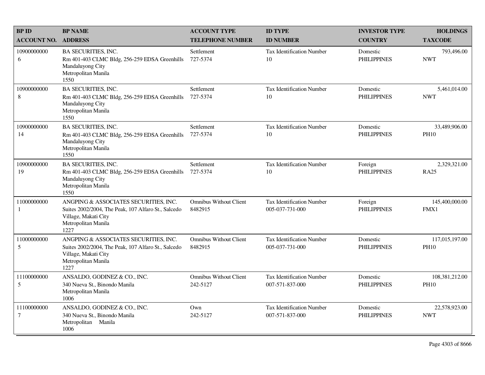| <b>BPID</b>                   | <b>BP NAME</b>                                                                                                                                      | <b>ACCOUNT TYPE</b>                       | <b>ID TYPE</b>                                      | <b>INVESTOR TYPE</b>           | <b>HOLDINGS</b>               |
|-------------------------------|-----------------------------------------------------------------------------------------------------------------------------------------------------|-------------------------------------------|-----------------------------------------------------|--------------------------------|-------------------------------|
| <b>ACCOUNT NO.</b>            | <b>ADDRESS</b>                                                                                                                                      | <b>TELEPHONE NUMBER</b>                   | <b>ID NUMBER</b>                                    | <b>COUNTRY</b>                 | <b>TAXCODE</b>                |
| 10900000000<br>6              | BA SECURITIES, INC.<br>Rm 401-403 CLMC Bldg, 256-259 EDSA Greenhills<br>Mandaluyong City<br>Metropolitan Manila<br>1550                             | Settlement<br>727-5374                    | <b>Tax Identification Number</b><br>10              | Domestic<br><b>PHILIPPINES</b> | 793,496.00<br><b>NWT</b>      |
| 10900000000<br>$\,8\,$        | <b>BA SECURITIES, INC.</b><br>Rm 401-403 CLMC Bldg, 256-259 EDSA Greenhills<br>Mandaluyong City<br>Metropolitan Manila<br>1550                      | Settlement<br>727-5374                    | <b>Tax Identification Number</b><br>10              | Domestic<br><b>PHILIPPINES</b> | 5,461,014.00<br><b>NWT</b>    |
| 10900000000<br>14             | <b>BA SECURITIES, INC.</b><br>Rm 401-403 CLMC Bldg, 256-259 EDSA Greenhills<br>Mandaluyong City<br>Metropolitan Manila<br>1550                      | Settlement<br>727-5374                    | <b>Tax Identification Number</b><br>10              | Domestic<br><b>PHILIPPINES</b> | 33,489,906.00<br><b>PH10</b>  |
| 10900000000<br>19             | BA SECURITIES, INC.<br>Rm 401-403 CLMC Bldg, 256-259 EDSA Greenhills<br>Mandaluyong City<br>Metropolitan Manila<br>1550                             | Settlement<br>727-5374                    | <b>Tax Identification Number</b><br>10              | Foreign<br><b>PHILIPPINES</b>  | 2,329,321.00<br><b>RA25</b>   |
| 11000000000<br>1              | ANGPING & ASSOCIATES SECURITIES, INC.<br>Suites 2002/2004, The Peak, 107 Alfaro St., Salcedo<br>Village, Makati City<br>Metropolitan Manila<br>1227 | <b>Omnibus Without Client</b><br>8482915  | <b>Tax Identification Number</b><br>005-037-731-000 | Foreign<br><b>PHILIPPINES</b>  | 145,400,000.00<br>FMX1        |
| 11000000000<br>5              | ANGPING & ASSOCIATES SECURITIES, INC.<br>Suites 2002/2004, The Peak, 107 Alfaro St., Salcedo<br>Village, Makati City<br>Metropolitan Manila<br>1227 | <b>Omnibus Without Client</b><br>8482915  | <b>Tax Identification Number</b><br>005-037-731-000 | Domestic<br><b>PHILIPPINES</b> | 117,015,197.00<br><b>PH10</b> |
| 11100000000<br>5              | ANSALDO, GODINEZ & CO., INC.<br>340 Nueva St., Binondo Manila<br>Metropolitan Manila<br>1006                                                        | <b>Omnibus Without Client</b><br>242-5127 | <b>Tax Identification Number</b><br>007-571-837-000 | Domestic<br><b>PHILIPPINES</b> | 108,381,212.00<br><b>PH10</b> |
| 11100000000<br>$\overline{7}$ | ANSALDO, GODINEZ & CO., INC.<br>340 Nueva St., Binondo Manila<br>Metropolitan Manila<br>1006                                                        | Own<br>242-5127                           | <b>Tax Identification Number</b><br>007-571-837-000 | Domestic<br><b>PHILIPPINES</b> | 22,578,923.00<br><b>NWT</b>   |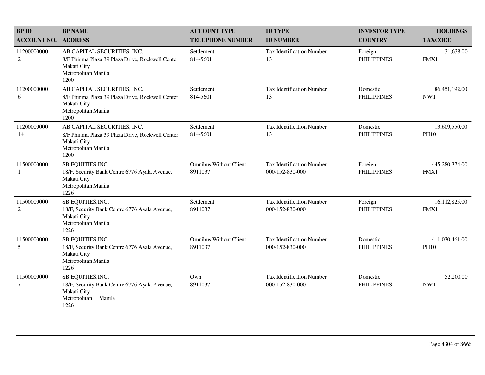| <b>BPID</b>                   | <b>BP NAME</b>                                                                                                                | <b>ACCOUNT TYPE</b>                      | <b>ID TYPE</b>                                      | <b>INVESTOR TYPE</b>           | <b>HOLDINGS</b>               |
|-------------------------------|-------------------------------------------------------------------------------------------------------------------------------|------------------------------------------|-----------------------------------------------------|--------------------------------|-------------------------------|
| <b>ACCOUNT NO.</b>            | <b>ADDRESS</b>                                                                                                                | <b>TELEPHONE NUMBER</b>                  | <b>ID NUMBER</b>                                    | <b>COUNTRY</b>                 | <b>TAXCODE</b>                |
| 11200000000<br>$\overline{2}$ | AB CAPITAL SECURITIES, INC.<br>8/F Phinma Plaza 39 Plaza Drive, Rockwell Center<br>Makati City<br>Metropolitan Manila<br>1200 | Settlement<br>814-5601                   | <b>Tax Identification Number</b><br>13              | Foreign<br><b>PHILIPPINES</b>  | 31,638.00<br>FMX1             |
| 11200000000<br>6              | AB CAPITAL SECURITIES, INC.<br>8/F Phinma Plaza 39 Plaza Drive, Rockwell Center<br>Makati City<br>Metropolitan Manila<br>1200 | Settlement<br>814-5601                   | Tax Identification Number<br>13                     | Domestic<br><b>PHILIPPINES</b> | 86,451,192.00<br><b>NWT</b>   |
| 11200000000<br>14             | AB CAPITAL SECURITIES, INC.<br>8/F Phinma Plaza 39 Plaza Drive, Rockwell Center<br>Makati City<br>Metropolitan Manila<br>1200 | Settlement<br>814-5601                   | <b>Tax Identification Number</b><br>13              | Domestic<br><b>PHILIPPINES</b> | 13,609,550.00<br><b>PH10</b>  |
| 11500000000<br>1              | SB EQUITIES, INC.<br>18/F, Security Bank Centre 6776 Ayala Avenue,<br>Makati City<br>Metropolitan Manila<br>1226              | <b>Omnibus Without Client</b><br>8911037 | Tax Identification Number<br>000-152-830-000        | Foreign<br><b>PHILIPPINES</b>  | 445,280,374.00<br>FMX1        |
| 11500000000<br>$\overline{2}$ | SB EQUITIES, INC.<br>18/F, Security Bank Centre 6776 Ayala Avenue,<br>Makati City<br>Metropolitan Manila<br>1226              | Settlement<br>8911037                    | <b>Tax Identification Number</b><br>000-152-830-000 | Foreign<br><b>PHILIPPINES</b>  | 16,112,825.00<br>FMX1         |
| 11500000000<br>5              | SB EQUITIES, INC.<br>18/F, Security Bank Centre 6776 Ayala Avenue,<br>Makati City<br>Metropolitan Manila<br>1226              | <b>Omnibus Without Client</b><br>8911037 | <b>Tax Identification Number</b><br>000-152-830-000 | Domestic<br><b>PHILIPPINES</b> | 411,030,461.00<br><b>PH10</b> |
| 11500000000<br>$\tau$         | SB EQUITIES, INC.<br>18/F, Security Bank Centre 6776 Ayala Avenue,<br>Makati City<br>Metropolitan<br>Manila<br>1226           | Own<br>8911037                           | <b>Tax Identification Number</b><br>000-152-830-000 | Domestic<br><b>PHILIPPINES</b> | 52,200.00<br><b>NWT</b>       |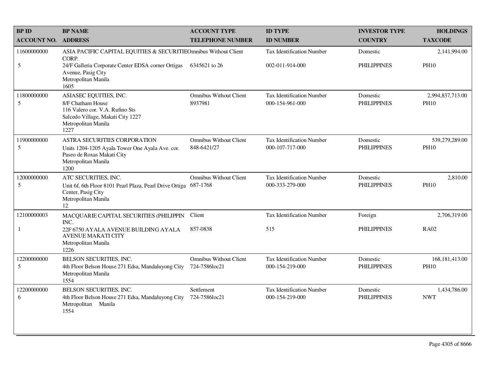| <b>BP ID</b>       | <b>BP NAME</b>                                                                                                                                     | <b>ACCOUNT TYPE</b>                          | <b>ID TYPE</b>                                      | <b>INVESTOR TYPE</b>           | <b>HOLDINGS</b>                 |
|--------------------|----------------------------------------------------------------------------------------------------------------------------------------------------|----------------------------------------------|-----------------------------------------------------|--------------------------------|---------------------------------|
| <b>ACCOUNT NO.</b> | <b>ADDRESS</b>                                                                                                                                     | <b>TELEPHONE NUMBER</b>                      | <b>ID NUMBER</b>                                    | <b>COUNTRY</b>                 | <b>TAXCODE</b>                  |
| 11600000000        | ASIA PACIFIC CAPITAL EQUITIES & SECURITIEOmnibus Without Client<br>CORP.                                                                           |                                              | <b>Tax Identification Number</b>                    | Domestic                       | 2,141,994.00                    |
| 5                  | 24/F Galleria Corporate Center EDSA corner Ortigas<br>Avenue, Pasig City<br>Metropolitan Manila<br>1605                                            | 6345621 to 26                                | 002-011-914-000                                     | <b>PHILIPPINES</b>             | <b>PH10</b>                     |
| 11800000000<br>5   | ASIASEC EQUITIES, INC.<br>8/F Chatham House<br>116 Valero cor. V.A. Rufino Sts<br>Salcedo Village, Makati City 1227<br>Metropolitan Manila<br>1227 | <b>Omnibus Without Client</b><br>8937981     | <b>Tax Identification Number</b><br>000-154-961-000 | Domestic<br><b>PHILIPPINES</b> | 2,994,837,713.00<br><b>PH10</b> |
| 11900000000<br>5   | ASTRA SECURITIES CORPORATION<br>Units 1204-1205 Ayala Tower One Ayala Ave. cor.<br>Paseo de Roxas Makati City<br>Metropolitan Manila<br>1200       | <b>Omnibus Without Client</b><br>848-6421/27 | <b>Tax Identification Number</b><br>000-107-717-000 | Domestic<br><b>PHILIPPINES</b> | 539,279,289.00<br><b>PH10</b>   |
| 12000000000<br>5   | ATC SECURITIES, INC.<br>Unit 6f, 6th Floor 8101 Pearl Plaza, Pearl Drive Ortiga<br>Center, Pasig City<br>Metropolitan Manila<br>12                 | <b>Omnibus Without Client</b><br>687-1768    | Tax Identification Number<br>000-333-279-000        | Domestic<br><b>PHILIPPINES</b> | 2,810.00<br><b>PH10</b>         |
| 12100000003        | MACQUARIE CAPITAL SECURITIES (PHILIPPIN<br>INC.                                                                                                    | Client                                       | Tax Identification Number                           | Foreign                        | 2,706,319.00                    |
| 1                  | 22F 6750 AYALA AVENUE BUILDING AYALA<br><b>AVENUE MAKATI CITY</b><br>Metropolitan Manila<br>1226                                                   | 857-0838                                     | 515                                                 | <b>PHILIPPINES</b>             | <b>RA02</b>                     |
| 12200000000<br>5   | BELSON SECURITIES, INC.<br>4th Floor Belson House 271 Edsa, Mandaluyong City<br>Metropolitan Manila<br>1554                                        | Omnibus Without Client<br>724-7586loc21      | Tax Identification Number<br>000-154-219-000        | Domestic<br><b>PHILIPPINES</b> | 168, 181, 413.00<br><b>PH10</b> |
| 12200000000<br>6   | BELSON SECURITIES, INC.<br>4th Floor Belson House 271 Edsa, Mandaluyong City<br>Metropolitan Manila<br>1554                                        | Settlement<br>724-7586loc21                  | <b>Tax Identification Number</b><br>000-154-219-000 | Domestic<br><b>PHILIPPINES</b> | 1,434,786.00<br><b>NWT</b>      |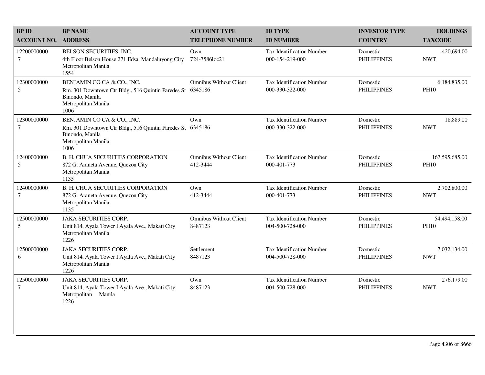| <b>BPID</b>                   | <b>BP NAME</b>                                                                                                                             | <b>ACCOUNT TYPE</b>                       | <b>ID TYPE</b>                                      | <b>INVESTOR TYPE</b>           | <b>HOLDINGS</b>               |
|-------------------------------|--------------------------------------------------------------------------------------------------------------------------------------------|-------------------------------------------|-----------------------------------------------------|--------------------------------|-------------------------------|
| <b>ACCOUNT NO.</b>            | <b>ADDRESS</b>                                                                                                                             | <b>TELEPHONE NUMBER</b>                   | <b>ID NUMBER</b>                                    | <b>COUNTRY</b>                 | <b>TAXCODE</b>                |
| 12200000000<br>$\tau$         | BELSON SECURITIES, INC.<br>4th Floor Belson House 271 Edsa, Mandaluyong City<br>Metropolitan Manila<br>1554                                | Own<br>724-7586loc21                      | <b>Tax Identification Number</b><br>000-154-219-000 | Domestic<br><b>PHILIPPINES</b> | 420,694.00<br><b>NWT</b>      |
| 12300000000<br>5              | BENJAMIN CO CA & CO., INC.<br>Rm. 301 Downtown Ctr Bldg., 516 Quintin Paredes St<br>Binondo, Manila<br>Metropolitan Manila<br>1006         | <b>Omnibus Without Client</b><br>6345186  | Tax Identification Number<br>000-330-322-000        | Domestic<br><b>PHILIPPINES</b> | 6,184,835.00<br><b>PH10</b>   |
| 12300000000<br>$\tau$         | BENJAMIN CO CA & CO., INC.<br>Rm. 301 Downtown Ctr Bldg., 516 Quintin Paredes St 6345186<br>Binondo, Manila<br>Metropolitan Manila<br>1006 | Own                                       | <b>Tax Identification Number</b><br>000-330-322-000 | Domestic<br><b>PHILIPPINES</b> | 18,889.00<br><b>NWT</b>       |
| 12400000000<br>$\sqrt{5}$     | <b>B. H. CHUA SECURITIES CORPORATION</b><br>872 G. Araneta Avenue, Quezon City<br>Metropolitan Manila<br>1135                              | <b>Omnibus Without Client</b><br>412-3444 | Tax Identification Number<br>000-401-773            | Domestic<br><b>PHILIPPINES</b> | 167,595,685.00<br><b>PH10</b> |
| 12400000000<br>$\tau$         | <b>B. H. CHUA SECURITIES CORPORATION</b><br>872 G. Araneta Avenue, Quezon City<br>Metropolitan Manila<br>1135                              | Own<br>412-3444                           | Tax Identification Number<br>000-401-773            | Domestic<br><b>PHILIPPINES</b> | 2,702,800.00<br><b>NWT</b>    |
| 12500000000<br>5              | <b>JAKA SECURITIES CORP.</b><br>Unit 814, Ayala Tower I Ayala Ave., Makati City<br>Metropolitan Manila<br>1226                             | <b>Omnibus Without Client</b><br>8487123  | Tax Identification Number<br>004-500-728-000        | Domestic<br><b>PHILIPPINES</b> | 54,494,158.00<br><b>PH10</b>  |
| 12500000000<br>6              | <b>JAKA SECURITIES CORP.</b><br>Unit 814, Ayala Tower I Ayala Ave., Makati City<br>Metropolitan Manila<br>1226                             | Settlement<br>8487123                     | Tax Identification Number<br>004-500-728-000        | Domestic<br><b>PHILIPPINES</b> | 7,032,134.00<br><b>NWT</b>    |
| 12500000000<br>$\overline{7}$ | <b>JAKA SECURITIES CORP.</b><br>Unit 814, Ayala Tower I Ayala Ave., Makati City<br>Metropolitan Manila<br>1226                             | Own<br>8487123                            | Tax Identification Number<br>004-500-728-000        | Domestic<br><b>PHILIPPINES</b> | 276,179.00<br><b>NWT</b>      |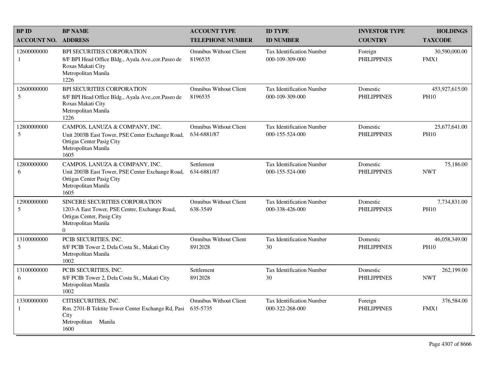| <b>BPID</b>                 | <b>BP NAME</b>                                                                                                                                         | <b>ACCOUNT TYPE</b>                          | <b>ID TYPE</b>                                      | <b>INVESTOR TYPE</b>           | <b>HOLDINGS</b>               |
|-----------------------------|--------------------------------------------------------------------------------------------------------------------------------------------------------|----------------------------------------------|-----------------------------------------------------|--------------------------------|-------------------------------|
| <b>ACCOUNT NO.</b>          | <b>ADDRESS</b>                                                                                                                                         | <b>TELEPHONE NUMBER</b>                      | <b>ID NUMBER</b>                                    | <b>COUNTRY</b>                 | <b>TAXCODE</b>                |
| 12600000000<br>1            | BPI SECURITIES CORPORATION<br>8/F BPI Head Office Bldg., Ayala Ave., cor. Paseo de<br>Roxas Makati City<br>Metropolitan Manila<br>1226                 | <b>Omnibus Without Client</b><br>8196535     | Tax Identification Number<br>000-109-309-000        | Foreign<br><b>PHILIPPINES</b>  | 30,590,000.00<br>FMX1         |
| 12600000000<br>5            | BPI SECURITIES CORPORATION<br>8/F BPI Head Office Bldg., Ayala Ave., cor. Paseo de<br>Roxas Makati City<br>Metropolitan Manila<br>1226                 | <b>Omnibus Without Client</b><br>8196535     | <b>Tax Identification Number</b><br>000-109-309-000 | Domestic<br><b>PHILIPPINES</b> | 453,927,615.00<br><b>PH10</b> |
| 12800000000<br>5            | CAMPOS, LANUZA & COMPANY, INC.<br>Unit 2003B East Tower, PSE Center Exchange Road,<br>Ortigas Center Pasig City<br>Metropolitan Manila<br>1605         | <b>Omnibus Without Client</b><br>634-6881/87 | <b>Tax Identification Number</b><br>000-155-524-000 | Domestic<br><b>PHILIPPINES</b> | 25,677,641.00<br><b>PH10</b>  |
| 12800000000<br>6            | CAMPOS, LANUZA & COMPANY, INC.<br>Unit 2003B East Tower, PSE Center Exchange Road,<br>Ortigas Center Pasig City<br>Metropolitan Manila<br>1605         | Settlement<br>634-6881/87                    | <b>Tax Identification Number</b><br>000-155-524-000 | Domestic<br><b>PHILIPPINES</b> | 75,186.00<br><b>NWT</b>       |
| 12900000000<br>5            | SINCERE SECURITIES CORPORATION<br>1203-A East Tower, PSE Centre, Exchange Road,<br>Ortigas Center, Pasig City<br>Metropolitan Manila<br>$\overline{0}$ | Omnibus Without Client<br>638-3549           | <b>Tax Identification Number</b><br>000-338-426-000 | Domestic<br><b>PHILIPPINES</b> | 7,734,831.00<br><b>PH10</b>   |
| 13100000000<br>5            | PCIB SECURITIES, INC.<br>8/F PCIB Tower 2, Dela Costa St., Makati City<br>Metropolitan Manila<br>1002                                                  | <b>Omnibus Without Client</b><br>8912028     | <b>Tax Identification Number</b><br>30              | Domestic<br><b>PHILIPPINES</b> | 46,058,349.00<br><b>PH10</b>  |
| 13100000000<br>6            | PCIB SECURITIES, INC.<br>8/F PCIB Tower 2, Dela Costa St., Makati City<br>Metropolitan Manila<br>1002                                                  | Settlement<br>8912028                        | Tax Identification Number<br>30                     | Domestic<br><b>PHILIPPINES</b> | 262,199.00<br><b>NWT</b>      |
| 13300000000<br>$\mathbf{1}$ | CITISECURITIES, INC.<br>Rm. 2701-B Tektite Tower Center Exchange Rd, Pasi<br>City<br>Metropolitan Manila<br>1600                                       | <b>Omnibus Without Client</b><br>635-5735    | <b>Tax Identification Number</b><br>000-322-268-000 | Foreign<br><b>PHILIPPINES</b>  | 376,584.00<br>FMX1            |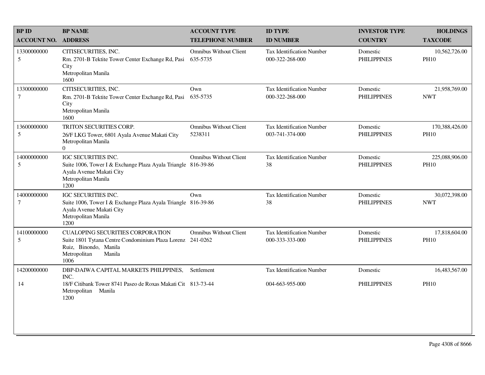| <b>BPID</b>           | <b>BP NAME</b>                                                                                                                                                   | <b>ACCOUNT TYPE</b>                       | <b>ID TYPE</b>                                      | <b>INVESTOR TYPE</b>           | <b>HOLDINGS</b>               |
|-----------------------|------------------------------------------------------------------------------------------------------------------------------------------------------------------|-------------------------------------------|-----------------------------------------------------|--------------------------------|-------------------------------|
| <b>ACCOUNT NO.</b>    | <b>ADDRESS</b>                                                                                                                                                   | <b>TELEPHONE NUMBER</b>                   | <b>ID NUMBER</b>                                    | <b>COUNTRY</b>                 | <b>TAXCODE</b>                |
| 13300000000<br>5      | CITISECURITIES, INC.<br>Rm. 2701-B Tektite Tower Center Exchange Rd, Pasi<br>City<br>Metropolitan Manila<br>1600                                                 | <b>Omnibus Without Client</b><br>635-5735 | Tax Identification Number<br>000-322-268-000        | Domestic<br><b>PHILIPPINES</b> | 10,562,726.00<br><b>PH10</b>  |
| 13300000000<br>$\tau$ | CITISECURITIES, INC.<br>Rm. 2701-B Tektite Tower Center Exchange Rd, Pasi<br>City<br>Metropolitan Manila<br>1600                                                 | Own<br>635-5735                           | Tax Identification Number<br>000-322-268-000        | Domestic<br><b>PHILIPPINES</b> | 21,958,769.00<br><b>NWT</b>   |
| 13600000000<br>5      | TRITON SECURITIES CORP.<br>26/F LKG Tower, 6801 Ayala Avenue Makati City<br>Metropolitan Manila<br>$\Omega$                                                      | <b>Omnibus Without Client</b><br>5238311  | <b>Tax Identification Number</b><br>003-741-374-000 | Domestic<br><b>PHILIPPINES</b> | 170,388,426.00<br><b>PH10</b> |
| 14000000000<br>5      | IGC SECURITIES INC.<br>Suite 1006, Tower I & Exchange Plaza Ayala Triangle 816-39-86<br>Ayala Avenue Makati City<br>Metropolitan Manila<br>1200                  | <b>Omnibus Without Client</b>             | Tax Identification Number<br>38                     | Domestic<br><b>PHILIPPINES</b> | 225,088,906.00<br><b>PH10</b> |
| 14000000000<br>7      | IGC SECURITIES INC.<br>Suite 1006, Tower I & Exchange Plaza Ayala Triangle 816-39-86<br>Ayala Avenue Makati City<br>Metropolitan Manila<br>1200                  | Own                                       | <b>Tax Identification Number</b><br>38              | Domestic<br><b>PHILIPPINES</b> | 30,072,398.00<br><b>NWT</b>   |
| 14100000000<br>5      | <b>CUALOPING SECURITIES CORPORATION</b><br>Suite 1801 Tytana Centre Condominium Plaza Lorenz 241-0262<br>Ruiz, Binondo, Manila<br>Metropolitan<br>Manila<br>1006 | <b>Omnibus Without Client</b>             | Tax Identification Number<br>000-333-333-000        | Domestic<br><b>PHILIPPINES</b> | 17,818,604.00<br><b>PH10</b>  |
| 14200000000           | DBP-DAIWA CAPITAL MARKETS PHILPPINES,<br>INC.                                                                                                                    | Settlement                                | Tax Identification Number                           | Domestic                       | 16,483,567.00                 |
| 14                    | 18/F Citibank Tower 8741 Paseo de Roxas Makati Cit 813-73-44<br>Metropolitan Manila<br>1200                                                                      |                                           | 004-663-955-000                                     | <b>PHILIPPINES</b>             | <b>PH10</b>                   |
|                       |                                                                                                                                                                  |                                           |                                                     |                                |                               |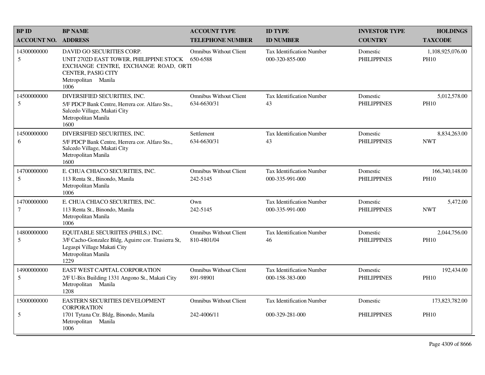| <b>BP ID</b>          | <b>BP NAME</b>                                                                                                                                                           | <b>ACCOUNT TYPE</b>                          | <b>ID TYPE</b>                                      | <b>INVESTOR TYPE</b>           | <b>HOLDINGS</b>                 |
|-----------------------|--------------------------------------------------------------------------------------------------------------------------------------------------------------------------|----------------------------------------------|-----------------------------------------------------|--------------------------------|---------------------------------|
| <b>ACCOUNT NO.</b>    | <b>ADDRESS</b>                                                                                                                                                           | <b>TELEPHONE NUMBER</b>                      | <b>ID NUMBER</b>                                    | <b>COUNTRY</b>                 | <b>TAXCODE</b>                  |
| 14300000000<br>5      | DAVID GO SECURITIES CORP.<br>UNIT 2702D EAST TOWER, PHILIPPINE STOCK<br>EXCHANGE CENTRE, EXCHANGE ROAD, ORTI<br><b>CENTER, PASIG CITY</b><br>Metropolitan Manila<br>1006 | <b>Omnibus Without Client</b><br>650-6588    | <b>Tax Identification Number</b><br>000-320-855-000 | Domestic<br><b>PHILIPPINES</b> | 1,108,925,076.00<br><b>PH10</b> |
| 14500000000<br>5      | DIVERSIFIED SECURITIES, INC.<br>5/F PDCP Bank Centre, Herrera cor. Alfaro Sts.,<br>Salcedo Village, Makati City<br>Metropolitan Manila<br>1600                           | <b>Omnibus Without Client</b><br>634-6630/31 | <b>Tax Identification Number</b><br>43              | Domestic<br><b>PHILIPPINES</b> | 5,012,578.00<br><b>PH10</b>     |
| 14500000000<br>6      | DIVERSIFIED SECURITIES, INC.<br>5/F PDCP Bank Centre, Herrera cor. Alfaro Sts.,<br>Salcedo Village, Makati City<br>Metropolitan Manila<br>1600                           | <b>Settlement</b><br>634-6630/31             | Tax Identification Number<br>43                     | Domestic<br><b>PHILIPPINES</b> | 8,834,263.00<br><b>NWT</b>      |
| 14700000000<br>5      | E. CHUA CHIACO SECURITIES, INC.<br>113 Renta St., Binondo, Manila<br>Metropolitan Manila<br>1006                                                                         | <b>Omnibus Without Client</b><br>242-5145    | <b>Tax Identification Number</b><br>000-335-991-000 | Domestic<br><b>PHILIPPINES</b> | 166,340,148.00<br><b>PH10</b>   |
| 14700000000<br>$\tau$ | E. CHUA CHIACO SECURITIES, INC.<br>113 Renta St., Binondo, Manila<br>Metropolitan Manila<br>1006                                                                         | Own<br>242-5145                              | <b>Tax Identification Number</b><br>000-335-991-000 | Domestic<br><b>PHILIPPINES</b> | 5,472.00<br><b>NWT</b>          |
| 14800000000<br>5      | EQUITABLE SECURIITES (PHILS.) INC.<br>3/F Cacho-Gonzalez Bldg, Aguirre cor. Trasierra St,<br>Legaspi Village Makati City<br>Metropolitan Manila<br>1229                  | <b>Omnibus Without Client</b><br>810-4801/04 | Tax Identification Number<br>46                     | Domestic<br><b>PHILIPPINES</b> | 2,044,756.00<br><b>PH10</b>     |
| 14900000000<br>5      | EAST WEST CAPITAL CORPORATION<br>2/F U-Bix Building 1331 Angono St., Makati City<br>Metropolitan Manila<br>1208                                                          | <b>Omnibus Without Client</b><br>891-98901   | Tax Identification Number<br>000-158-383-000        | Domestic<br><b>PHILIPPINES</b> | 192,434.00<br><b>PH10</b>       |
| 15000000000           | EASTERN SECURITIES DEVELOPMENT<br><b>CORPORATION</b>                                                                                                                     | <b>Omnibus Without Client</b>                | Tax Identification Number                           | Domestic                       | 173,823,782.00                  |
| 5                     | 1701 Tytana Ctr. Bldg, Binondo, Manila<br>Metropolitan Manila<br>1006                                                                                                    | 242-4006/11                                  | 000-329-281-000                                     | <b>PHILIPPINES</b>             | <b>PH10</b>                     |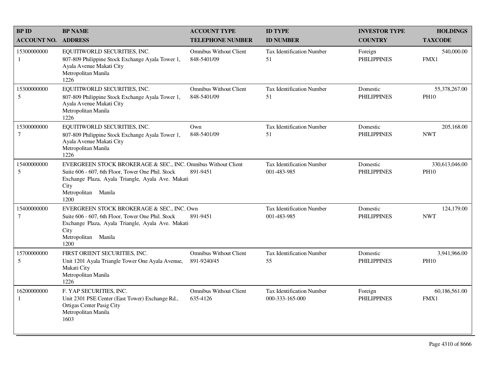| <b>BPID</b>                   | <b>BP NAME</b>                                                                                                                                                                                                 | <b>ACCOUNT TYPE</b>                          | <b>ID TYPE</b>                                      | <b>INVESTOR TYPE</b>           | <b>HOLDINGS</b>               |
|-------------------------------|----------------------------------------------------------------------------------------------------------------------------------------------------------------------------------------------------------------|----------------------------------------------|-----------------------------------------------------|--------------------------------|-------------------------------|
| <b>ACCOUNT NO.</b>            | <b>ADDRESS</b>                                                                                                                                                                                                 | <b>TELEPHONE NUMBER</b>                      | <b>ID NUMBER</b>                                    | <b>COUNTRY</b>                 | <b>TAXCODE</b>                |
| 15300000000<br>1              | EQUITIWORLD SECURITIES, INC.<br>807-809 Philippine Stock Exchange Ayala Tower 1,<br>Ayala Avenue Makati City<br>Metropolitan Manila<br>1226                                                                    | <b>Omnibus Without Client</b><br>848-5401/09 | <b>Tax Identification Number</b><br>51              | Foreign<br><b>PHILIPPINES</b>  | 540,000.00<br>FMX1            |
| 15300000000<br>5              | EQUITIWORLD SECURITIES, INC.<br>807-809 Philippine Stock Exchange Ayala Tower 1,<br>Ayala Avenue Makati City<br>Metropolitan Manila<br>1226                                                                    | <b>Omnibus Without Client</b><br>848-5401/09 | <b>Tax Identification Number</b><br>51              | Domestic<br><b>PHILIPPINES</b> | 55,378,267.00<br><b>PH10</b>  |
| 15300000000<br>7              | EQUITIWORLD SECURITIES, INC.<br>807-809 Philippine Stock Exchange Ayala Tower 1,<br>Ayala Avenue Makati City<br>Metropolitan Manila<br>1226                                                                    | Own<br>848-5401/09                           | Tax Identification Number<br>51                     | Domestic<br><b>PHILIPPINES</b> | 205,168.00<br><b>NWT</b>      |
| 15400000000<br>5              | EVERGREEN STOCK BROKERAGE & SEC., INC. Omnibus Without Client<br>Suite 606 - 607, 6th Floor, Tower One Phil. Stock<br>Exchange Plaza, Ayala Triangle, Ayala Ave. Makati<br>City<br>Metropolitan Manila<br>1200 | 891-9451                                     | <b>Tax Identification Number</b><br>001-483-985     | Domestic<br><b>PHILIPPINES</b> | 330,613,046.00<br><b>PH10</b> |
| 15400000000<br>$\overline{7}$ | EVERGREEN STOCK BROKERAGE & SEC., INC. Own<br>Suite 606 - 607, 6th Floor, Tower One Phil. Stock<br>Exchange Plaza, Ayala Triangle, Ayala Ave. Makati<br>City<br>Metropolitan Manila<br>1200                    | 891-9451                                     | <b>Tax Identification Number</b><br>001-483-985     | Domestic<br><b>PHILIPPINES</b> | 124,179.00<br><b>NWT</b>      |
| 15700000000<br>5              | FIRST ORIENT SECURITIES, INC.<br>Unit 1201 Ayala Triangle Tower One Ayala Avenue,<br>Makati City<br>Metropolitan Manila<br>1226                                                                                | <b>Omnibus Without Client</b><br>891-9240/45 | Tax Identification Number<br>55                     | Domestic<br><b>PHILIPPINES</b> | 3,941,966.00<br><b>PH10</b>   |
| 16200000000<br>1              | F. YAP SECURITIES, INC.<br>Unit 2301 PSE Center (East Tower) Exchange Rd.,<br>Ortigas Center Pasig City<br>Metropolitan Manila<br>1603                                                                         | <b>Omnibus Without Client</b><br>635-4126    | <b>Tax Identification Number</b><br>000-333-165-000 | Foreign<br><b>PHILIPPINES</b>  | 60,186,561.00<br>FMX1         |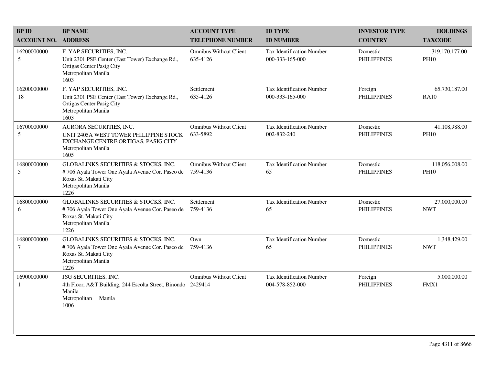| <b>BPID</b>                    | <b>BP NAME</b>                                                                                                                                  | <b>ACCOUNT TYPE</b>                       | <b>ID TYPE</b>                                      | <b>INVESTOR TYPE</b>           | <b>HOLDINGS</b>                 |
|--------------------------------|-------------------------------------------------------------------------------------------------------------------------------------------------|-------------------------------------------|-----------------------------------------------------|--------------------------------|---------------------------------|
| <b>ACCOUNT NO.</b>             | <b>ADDRESS</b>                                                                                                                                  | <b>TELEPHONE NUMBER</b>                   | <b>ID NUMBER</b>                                    | <b>COUNTRY</b>                 | <b>TAXCODE</b>                  |
| 16200000000<br>$5\overline{)}$ | F. YAP SECURITIES, INC.<br>Unit 2301 PSE Center (East Tower) Exchange Rd.,<br>Ortigas Center Pasig City<br>Metropolitan Manila<br>1603          | <b>Omnibus Without Client</b><br>635-4126 | Tax Identification Number<br>000-333-165-000        | Domestic<br><b>PHILIPPINES</b> | 319, 170, 177.00<br><b>PH10</b> |
| 16200000000<br>18              | F. YAP SECURITIES, INC.<br>Unit 2301 PSE Center (East Tower) Exchange Rd.,<br>Ortigas Center Pasig City<br>Metropolitan Manila<br>1603          | Settlement<br>635-4126                    | <b>Tax Identification Number</b><br>000-333-165-000 | Foreign<br><b>PHILIPPINES</b>  | 65,730,187.00<br><b>RA10</b>    |
| 16700000000<br>5               | AURORA SECURITIES, INC.<br>UNIT 2405A WEST TOWER PHILIPPINE STOCK<br>EXCHANGE CENTRE ORTIGAS, PASIG CITY<br>Metropolitan Manila<br>1605         | <b>Omnibus Without Client</b><br>633-5892 | Tax Identification Number<br>002-832-240            | Domestic<br><b>PHILIPPINES</b> | 41,108,988.00<br><b>PH10</b>    |
| 16800000000<br>5               | GLOBALINKS SECURITIES & STOCKS, INC.<br>#706 Ayala Tower One Ayala Avenue Cor. Paseo de<br>Roxas St. Makati City<br>Metropolitan Manila<br>1226 | <b>Omnibus Without Client</b><br>759-4136 | <b>Tax Identification Number</b><br>65              | Domestic<br><b>PHILIPPINES</b> | 118,056,008.00<br><b>PH10</b>   |
| 16800000000<br>6               | GLOBALINKS SECURITIES & STOCKS, INC.<br>#706 Ayala Tower One Ayala Avenue Cor. Paseo de<br>Roxas St. Makati City<br>Metropolitan Manila<br>1226 | Settlement<br>759-4136                    | Tax Identification Number<br>65                     | Domestic<br><b>PHILIPPINES</b> | 27,000,000.00<br><b>NWT</b>     |
| 16800000000<br>$\overline{7}$  | GLOBALINKS SECURITIES & STOCKS, INC.<br>#706 Ayala Tower One Ayala Avenue Cor. Paseo de<br>Roxas St. Makati City<br>Metropolitan Manila<br>1226 | Own<br>759-4136                           | <b>Tax Identification Number</b><br>65              | Domestic<br><b>PHILIPPINES</b> | 1,348,429.00<br><b>NWT</b>      |
| 16900000000<br>$\mathbf{1}$    | JSG SECURITIES, INC.<br>4th Floor, A&T Building, 244 Escolta Street, Binondo 2429414<br>Manila<br>Manila<br>Metropolitan<br>1006                | <b>Omnibus Without Client</b>             | Tax Identification Number<br>004-578-852-000        | Foreign<br><b>PHILIPPINES</b>  | 5,000,000.00<br>FMX1            |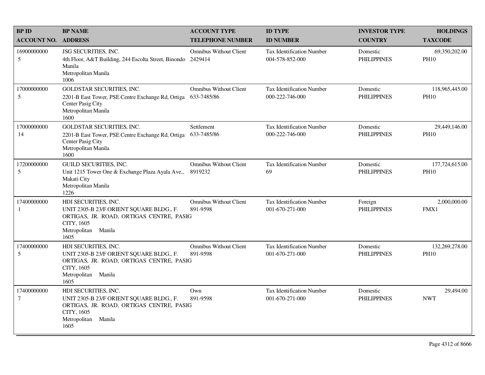| <b>BP ID</b>                  | <b>BP NAME</b>                                                                                                                                               | <b>ACCOUNT TYPE</b>                          | <b>ID TYPE</b>                                      | <b>INVESTOR TYPE</b>           | <b>HOLDINGS</b>               |
|-------------------------------|--------------------------------------------------------------------------------------------------------------------------------------------------------------|----------------------------------------------|-----------------------------------------------------|--------------------------------|-------------------------------|
| <b>ACCOUNT NO.</b>            | <b>ADDRESS</b>                                                                                                                                               | <b>TELEPHONE NUMBER</b>                      | <b>ID NUMBER</b>                                    | <b>COUNTRY</b>                 | <b>TAXCODE</b>                |
| 16900000000<br>5              | JSG SECURITIES, INC.<br>4th Floor, A&T Building, 244 Escolta Street, Binondo 2429414<br>Manila<br>Metropolitan Manila<br>1006                                | <b>Omnibus Without Client</b>                | <b>Tax Identification Number</b><br>004-578-852-000 | Domestic<br><b>PHILIPPINES</b> | 69,350,202.00<br><b>PH10</b>  |
| 17000000000<br>5              | GOLDSTAR SECURITIES, INC.<br>2201-B East Tower, PSE Centre Exchange Rd, Ortiga<br>Center Pasig City<br>Metropolitan Manila<br>1600                           | <b>Omnibus Without Client</b><br>633-7485/86 | Tax Identification Number<br>000-222-746-000        | Domestic<br><b>PHILIPPINES</b> | 118,965,445.00<br><b>PH10</b> |
| 17000000000<br>14             | GOLDSTAR SECURITIES, INC.<br>2201-B East Tower, PSE Centre Exchange Rd, Ortiga<br>Center Pasig City<br>Metropolitan Manila<br>1600                           | <b>Settlement</b><br>633-7485/86             | <b>Tax Identification Number</b><br>000-222-746-000 | Domestic<br><b>PHILIPPINES</b> | 29,449,146.00<br><b>PH10</b>  |
| 17200000000<br>5              | GUILD SECURITIES, INC.<br>Unit 1215 Tower One & Exchange Plaza Ayala Ave.,<br>Makati City<br>Metropolitan Manila<br>1226                                     | <b>Omnibus Without Client</b><br>8919232     | <b>Tax Identification Number</b><br>69              | Domestic<br><b>PHILIPPINES</b> | 177,724,615.00<br><b>PH10</b> |
| 17400000000<br>$\mathbf{1}$   | HDI SECURITIES, INC.<br>UNIT 2305-B 23/F ORIENT SQUARE BLDG., F.<br>ORTIGAS, JR. ROAD, ORTIGAS CENTRE, PASIG<br>CITY, 1605<br>Metropolitan<br>Manila<br>1605 | <b>Omnibus Without Client</b><br>891-9598    | <b>Tax Identification Number</b><br>001-670-271-000 | Foreign<br><b>PHILIPPINES</b>  | 2,000,000.00<br>FMX1          |
| 17400000000<br>5              | HDI SECURITIES, INC.<br>UNIT 2305-B 23/F ORIENT SQUARE BLDG., F.<br>ORTIGAS, JR. ROAD, ORTIGAS CENTRE, PASIG<br>CITY, 1605<br>Metropolitan<br>Manila<br>1605 | <b>Omnibus Without Client</b><br>891-9598    | <b>Tax Identification Number</b><br>001-670-271-000 | Domestic<br><b>PHILIPPINES</b> | 132,269,278.00<br><b>PH10</b> |
| 17400000000<br>$\overline{7}$ | HDI SECURITIES, INC.<br>UNIT 2305-B 23/F ORIENT SQUARE BLDG., F.<br>ORTIGAS, JR. ROAD, ORTIGAS CENTRE, PASIG<br>CITY, 1605<br>Metropolitan<br>Manila<br>1605 | Own<br>891-9598                              | <b>Tax Identification Number</b><br>001-670-271-000 | Domestic<br><b>PHILIPPINES</b> | 29,494.00<br><b>NWT</b>       |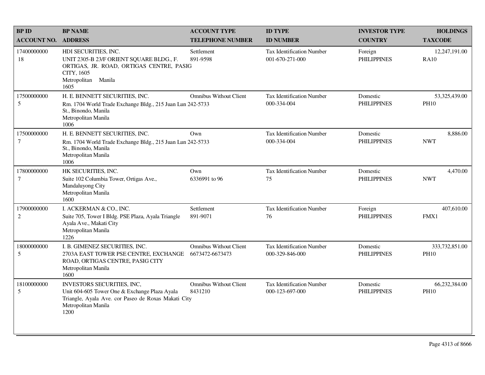| <b>BPID</b>                   | <b>BP NAME</b>                                                                                                                                                    | <b>ACCOUNT TYPE</b>                              | <b>ID TYPE</b>                                      | <b>INVESTOR TYPE</b>           | <b>HOLDINGS</b>               |
|-------------------------------|-------------------------------------------------------------------------------------------------------------------------------------------------------------------|--------------------------------------------------|-----------------------------------------------------|--------------------------------|-------------------------------|
| <b>ACCOUNT NO.</b>            | <b>ADDRESS</b>                                                                                                                                                    | <b>TELEPHONE NUMBER</b>                          | <b>ID NUMBER</b>                                    | <b>COUNTRY</b>                 | <b>TAXCODE</b>                |
| 17400000000<br>18             | HDI SECURITIES, INC.<br>UNIT 2305-B 23/F ORIENT SQUARE BLDG., F.<br>ORTIGAS, JR. ROAD, ORTIGAS CENTRE, PASIG<br>CITY, 1605<br>Manila<br>Metropolitan<br>1605      | Settlement<br>891-9598                           | <b>Tax Identification Number</b><br>001-670-271-000 | Foreign<br><b>PHILIPPINES</b>  | 12,247,191.00<br><b>RA10</b>  |
| 17500000000<br>5              | H. E. BENNETT SECURITIES, INC.<br>Rm. 1704 World Trade Exchange Bldg., 215 Juan Lun 242-5733<br>St., Binondo, Manila<br>Metropolitan Manila<br>1006               | <b>Omnibus Without Client</b>                    | <b>Tax Identification Number</b><br>000-334-004     | Domestic<br><b>PHILIPPINES</b> | 53,325,439.00<br><b>PH10</b>  |
| 17500000000<br>7              | H. E. BENNETT SECURITIES, INC.<br>Rm. 1704 World Trade Exchange Bldg., 215 Juan Lun 242-5733<br>St., Binondo, Manila<br>Metropolitan Manila<br>1006               | Own                                              | <b>Tax Identification Number</b><br>000-334-004     | Domestic<br><b>PHILIPPINES</b> | 8,886.00<br><b>NWT</b>        |
| 17800000000<br>$\tau$         | HK SECURITIES, INC.<br>Suite 102 Columbia Tower, Ortigas Ave.,<br>Mandaluyong City<br>Metropolitan Manila<br>1600                                                 | Own<br>6336991 to 96                             | Tax Identification Number<br>75                     | Domestic<br><b>PHILIPPINES</b> | 4,470.00<br><b>NWT</b>        |
| 17900000000<br>$\overline{2}$ | I. ACKERMAN & CO., INC.<br>Suite 705, Tower I Bldg. PSE Plaza, Ayala Triangle<br>Ayala Ave., Makati City<br>Metropolitan Manila<br>1226                           | Settlement<br>891-9071                           | <b>Tax Identification Number</b><br>76              | Foreign<br><b>PHILIPPINES</b>  | 407,610.00<br>FMX1            |
| 18000000000<br>5              | I. B. GIMENEZ SECURITIES, INC.<br>2703A EAST TOWER PSE CENTRE, EXCHANGE<br>ROAD, ORTIGAS CENTRE, PASIG CITY<br>Metropolitan Manila<br>1600                        | <b>Omnibus Without Client</b><br>6673472-6673473 | <b>Tax Identification Number</b><br>000-329-846-000 | Domestic<br><b>PHILIPPINES</b> | 333,732,851.00<br><b>PH10</b> |
| 18100000000<br>5              | INVESTORS SECURITIES, INC,<br>Unit 604-605 Tower One & Exchange Plaza Ayala<br>Triangle, Ayala Ave. cor Paseo de Roxas Makati City<br>Metropolitan Manila<br>1200 | <b>Omnibus Without Client</b><br>8431210         | Tax Identification Number<br>000-123-697-000        | Domestic<br><b>PHILIPPINES</b> | 66,232,384.00<br><b>PH10</b>  |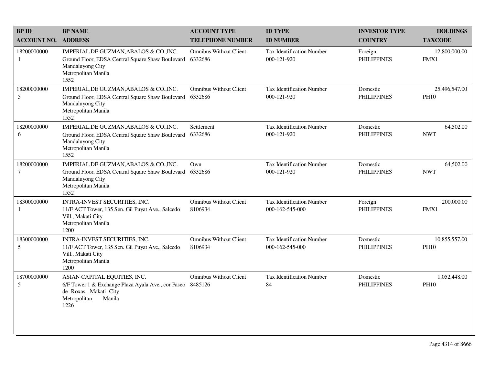| <b>BPID</b>                 | <b>BP NAME</b>                                                                                                                                        | <b>ACCOUNT TYPE</b>                      | <b>ID TYPE</b>                                      | <b>INVESTOR TYPE</b>           | <b>HOLDINGS</b>              |
|-----------------------------|-------------------------------------------------------------------------------------------------------------------------------------------------------|------------------------------------------|-----------------------------------------------------|--------------------------------|------------------------------|
| <b>ACCOUNT NO.</b>          | <b>ADDRESS</b>                                                                                                                                        | <b>TELEPHONE NUMBER</b>                  | <b>ID NUMBER</b>                                    | <b>COUNTRY</b>                 | <b>TAXCODE</b>               |
| 18200000000<br>$\mathbf{1}$ | IMPERIAL, DE GUZMAN, ABALOS & CO., INC.<br>Ground Floor, EDSA Central Square Shaw Boulevard<br>Mandaluyong City<br>Metropolitan Manila<br>1552        | <b>Omnibus Without Client</b><br>6332686 | <b>Tax Identification Number</b><br>000-121-920     | Foreign<br><b>PHILIPPINES</b>  | 12,800,000.00<br>FMX1        |
| 18200000000<br>5            | IMPERIAL, DE GUZMAN, ABALOS & CO., INC.<br>Ground Floor, EDSA Central Square Shaw Boulevard<br>Mandaluyong City<br>Metropolitan Manila<br>1552        | <b>Omnibus Without Client</b><br>6332686 | Tax Identification Number<br>000-121-920            | Domestic<br><b>PHILIPPINES</b> | 25,496,547.00<br><b>PH10</b> |
| 18200000000<br>6            | IMPERIAL, DE GUZMAN, ABALOS & CO., INC.<br>Ground Floor, EDSA Central Square Shaw Boulevard<br>Mandaluyong City<br>Metropolitan Manila<br>1552        | Settlement<br>6332686                    | Tax Identification Number<br>000-121-920            | Domestic<br><b>PHILIPPINES</b> | 64,502.00<br><b>NWT</b>      |
| 18200000000<br>$\tau$       | IMPERIAL, DE GUZMAN, ABALOS & CO., INC.<br>Ground Floor, EDSA Central Square Shaw Boulevard<br>Mandaluyong City<br>Metropolitan Manila<br>1552        | Own<br>6332686                           | <b>Tax Identification Number</b><br>000-121-920     | Domestic<br><b>PHILIPPINES</b> | 64,502.00<br><b>NWT</b>      |
| 18300000000<br>-1           | INTRA-INVEST SECURITIES, INC.<br>11/F ACT Tower, 135 Sen. Gil Puyat Ave., Salcedo<br>Vill., Makati City<br>Metropolitan Manila<br>1200                | <b>Omnibus Without Client</b><br>8106934 | <b>Tax Identification Number</b><br>000-162-545-000 | Foreign<br><b>PHILIPPINES</b>  | 200,000.00<br>FMX1           |
| 18300000000<br>$\sqrt{5}$   | INTRA-INVEST SECURITIES, INC.<br>11/F ACT Tower, 135 Sen. Gil Puyat Ave., Salcedo<br>Vill., Makati City<br>Metropolitan Manila<br>1200                | <b>Omnibus Without Client</b><br>8106934 | <b>Tax Identification Number</b><br>000-162-545-000 | Domestic<br><b>PHILIPPINES</b> | 10,855,557.00<br><b>PH10</b> |
| 18700000000<br>5            | ASIAN CAPITAL EQUITIES, INC.<br>6/F Tower 1 & Exchange Plaza Ayala Ave., cor Paseo 8485126<br>de Roxas, Makati City<br>Metropolitan<br>Manila<br>1226 | <b>Omnibus Without Client</b>            | Tax Identification Number<br>84                     | Domestic<br><b>PHILIPPINES</b> | 1,052,448.00<br><b>PH10</b>  |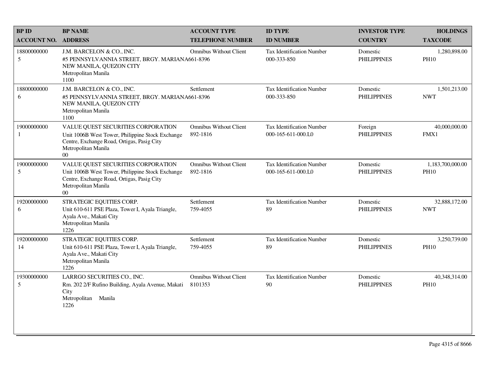| <b>BPID</b>        | <b>BP NAME</b>                                                                                                                                                        | <b>ACCOUNT TYPE</b>                       | <b>ID TYPE</b>                                         | <b>INVESTOR TYPE</b>           | <b>HOLDINGS</b>                 |
|--------------------|-----------------------------------------------------------------------------------------------------------------------------------------------------------------------|-------------------------------------------|--------------------------------------------------------|--------------------------------|---------------------------------|
| <b>ACCOUNT NO.</b> | <b>ADDRESS</b>                                                                                                                                                        | <b>TELEPHONE NUMBER</b>                   | <b>ID NUMBER</b>                                       | <b>COUNTRY</b>                 | <b>TAXCODE</b>                  |
| 18800000000<br>5   | J.M. BARCELON & CO., INC.<br>#5 PENNSYLVANNIA STREET, BRGY. MARIANA661-8396<br>NEW MANILA, QUEZON CITY<br>Metropolitan Manila<br>1100                                 | <b>Omnibus Without Client</b>             | <b>Tax Identification Number</b><br>000-333-850        | Domestic<br><b>PHILIPPINES</b> | 1,280,898.00<br><b>PH10</b>     |
| 18800000000<br>6   | J.M. BARCELON & CO., INC.<br>#5 PENNSYLVANNIA STREET, BRGY. MARIANA661-8396<br>NEW MANILA, QUEZON CITY<br>Metropolitan Manila<br>1100                                 | Settlement                                | Tax Identification Number<br>000-333-850               | Domestic<br><b>PHILIPPINES</b> | 1,501,213.00<br><b>NWT</b>      |
| 19000000000<br>1   | VALUE QUEST SECURITIES CORPORATION<br>Unit 1006B West Tower, Philippine Stock Exchange<br>Centre, Exchange Road, Ortigas, Pasig City<br>Metropolitan Manila<br>$00\,$ | <b>Omnibus Without Client</b><br>892-1816 | Tax Identification Number<br>000-165-611-000.L0        | Foreign<br><b>PHILIPPINES</b>  | 40,000,000.00<br>FMX1           |
| 19000000000<br>5   | VALUE QUEST SECURITIES CORPORATION<br>Unit 1006B West Tower, Philippine Stock Exchange<br>Centre, Exchange Road, Ortigas, Pasig City<br>Metropolitan Manila<br>$00\,$ | <b>Omnibus Without Client</b><br>892-1816 | <b>Tax Identification Number</b><br>000-165-611-000.L0 | Domestic<br><b>PHILIPPINES</b> | 1,183,700,000.00<br><b>PH10</b> |
| 19200000000<br>6   | STRATEGIC EQUITIES CORP.<br>Unit 610-611 PSE Plaza, Tower I, Ayala Triangle,<br>Ayala Ave., Makati City<br>Metropolitan Manila<br>1226                                | Settlement<br>759-4055                    | Tax Identification Number<br>89                        | Domestic<br><b>PHILIPPINES</b> | 32,888,172.00<br><b>NWT</b>     |
| 19200000000<br>14  | STRATEGIC EQUITIES CORP.<br>Unit 610-611 PSE Plaza, Tower I, Ayala Triangle,<br>Ayala Ave., Makati City<br>Metropolitan Manila<br>1226                                | Settlement<br>759-4055                    | <b>Tax Identification Number</b><br>89                 | Domestic<br><b>PHILIPPINES</b> | 3,250,739.00<br><b>PH10</b>     |
| 19300000000<br>5   | LARRGO SECURITIES CO., INC.<br>Rm. 202 2/F Rufino Building, Ayala Avenue, Makati<br>City<br>Metropolitan<br>Manila<br>1226                                            | <b>Omnibus Without Client</b><br>8101353  | <b>Tax Identification Number</b><br>90                 | Domestic<br><b>PHILIPPINES</b> | 40,348,314.00<br><b>PH10</b>    |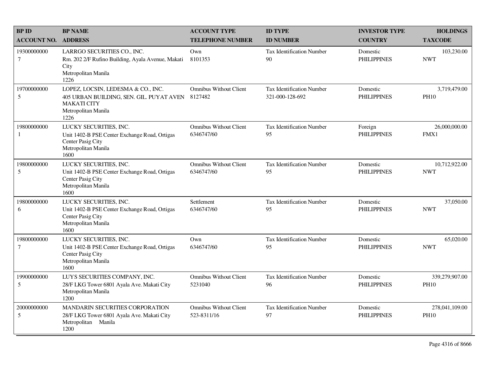| <b>BPID</b>                   | <b>BP NAME</b>                                                                                                                      | <b>ACCOUNT TYPE</b>                          | <b>ID TYPE</b>                                      | <b>INVESTOR TYPE</b>           | <b>HOLDINGS</b>               |
|-------------------------------|-------------------------------------------------------------------------------------------------------------------------------------|----------------------------------------------|-----------------------------------------------------|--------------------------------|-------------------------------|
| <b>ACCOUNT NO. ADDRESS</b>    |                                                                                                                                     | <b>TELEPHONE NUMBER</b>                      | <b>ID NUMBER</b>                                    | <b>COUNTRY</b>                 | <b>TAXCODE</b>                |
| 19300000000<br>$\overline{7}$ | LARRGO SECURITIES CO., INC.<br>Rm. 202 2/F Rufino Building, Ayala Avenue, Makati<br>City<br>Metropolitan Manila<br>1226             | Own<br>8101353                               | <b>Tax Identification Number</b><br>90              | Domestic<br><b>PHILIPPINES</b> | 103,230.00<br><b>NWT</b>      |
| 19700000000<br>5              | LOPEZ, LOCSIN, LEDESMA & CO., INC.<br>405 URBAN BUILDING, SEN. GIL. PUYAT AVEN<br><b>MAKATI CITY</b><br>Metropolitan Manila<br>1226 | <b>Omnibus Without Client</b><br>8127482     | <b>Tax Identification Number</b><br>321-000-128-692 | Domestic<br><b>PHILIPPINES</b> | 3,719,479.00<br><b>PH10</b>   |
| 19800000000<br>1              | LUCKY SECURITIES, INC.<br>Unit 1402-B PSE Center Exchange Road, Ortigas<br>Center Pasig City<br>Metropolitan Manila<br>1600         | <b>Omnibus Without Client</b><br>6346747/60  | <b>Tax Identification Number</b><br>95              | Foreign<br><b>PHILIPPINES</b>  | 26,000,000.00<br>FMX1         |
| 19800000000<br>5              | LUCKY SECURITIES, INC.<br>Unit 1402-B PSE Center Exchange Road, Ortigas<br>Center Pasig City<br>Metropolitan Manila<br>1600         | <b>Omnibus Without Client</b><br>6346747/60  | <b>Tax Identification Number</b><br>95              | Domestic<br><b>PHILIPPINES</b> | 10,712,922.00<br><b>NWT</b>   |
| 19800000000<br>6              | LUCKY SECURITIES, INC.<br>Unit 1402-B PSE Center Exchange Road, Ortigas<br>Center Pasig City<br>Metropolitan Manila<br>1600         | Settlement<br>6346747/60                     | <b>Tax Identification Number</b><br>95              | Domestic<br><b>PHILIPPINES</b> | 37,050.00<br><b>NWT</b>       |
| 19800000000<br>$\tau$         | LUCKY SECURITIES, INC.<br>Unit 1402-B PSE Center Exchange Road, Ortigas<br>Center Pasig City<br>Metropolitan Manila<br>1600         | Own<br>6346747/60                            | <b>Tax Identification Number</b><br>95              | Domestic<br><b>PHILIPPINES</b> | 65,020.00<br><b>NWT</b>       |
| 19900000000<br>5              | LUYS SECURITIES COMPANY, INC.<br>28/F LKG Tower 6801 Ayala Ave. Makati City<br>Metropolitan Manila<br>1200                          | <b>Omnibus Without Client</b><br>5231040     | <b>Tax Identification Number</b><br>96              | Domestic<br><b>PHILIPPINES</b> | 339,279,907.00<br><b>PH10</b> |
| 20000000000<br>5              | MANDARIN SECURITIES CORPORATION<br>28/F LKG Tower 6801 Ayala Ave. Makati City<br>Metropolitan<br>Manila<br>1200                     | <b>Omnibus Without Client</b><br>523-8311/16 | Tax Identification Number<br>97                     | Domestic<br><b>PHILIPPINES</b> | 278,041,109.00<br><b>PH10</b> |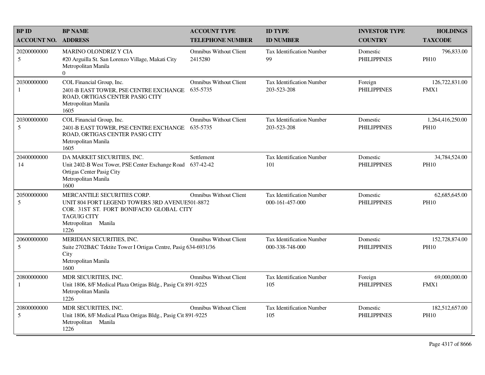| <b>BPID</b>        | <b>BP NAME</b>                                                                                                                                                                 | <b>ACCOUNT TYPE</b>                       | <b>ID TYPE</b>                                      | <b>INVESTOR TYPE</b>           | <b>HOLDINGS</b>                 |
|--------------------|--------------------------------------------------------------------------------------------------------------------------------------------------------------------------------|-------------------------------------------|-----------------------------------------------------|--------------------------------|---------------------------------|
| <b>ACCOUNT NO.</b> | <b>ADDRESS</b>                                                                                                                                                                 | <b>TELEPHONE NUMBER</b>                   | <b>ID NUMBER</b>                                    | <b>COUNTRY</b>                 | <b>TAXCODE</b>                  |
| 20200000000<br>5   | <b>MARINO OLONDRIZ Y CIA</b><br>#20 Arguilla St. San Lorenzo Village, Makati City<br>Metropolitan Manila<br>$\Omega$                                                           | <b>Omnibus Without Client</b><br>2415280  | Tax Identification Number<br>99                     | Domestic<br><b>PHILIPPINES</b> | 796,833.00<br><b>PH10</b>       |
| 20300000000<br>1   | COL Financial Group, Inc.<br>2401-B EAST TOWER, PSE CENTRE EXCHANGE<br>ROAD, ORTIGAS CENTER PASIG CITY<br>Metropolitan Manila<br>1605                                          | <b>Omnibus Without Client</b><br>635-5735 | Tax Identification Number<br>203-523-208            | Foreign<br><b>PHILIPPINES</b>  | 126,722,831.00<br>FMX1          |
| 20300000000<br>5   | COL Financial Group, Inc.<br>2401-B EAST TOWER, PSE CENTRE EXCHANGE<br>ROAD, ORTIGAS CENTER PASIG CITY<br>Metropolitan Manila<br>1605                                          | <b>Omnibus Without Client</b><br>635-5735 | Tax Identification Number<br>203-523-208            | Domestic<br><b>PHILIPPINES</b> | 1,264,416,250.00<br><b>PH10</b> |
| 20400000000<br>14  | DA MARKET SECURITIES, INC.<br>Unit 2402-B West Tower, PSE Center Exchange Road<br>Ortigas Center Pasig City<br>Metropolitan Manila<br>1600                                     | Settlement<br>637-42-42                   | Tax Identification Number<br>101                    | Domestic<br><b>PHILIPPINES</b> | 34,784,524.00<br><b>PH10</b>    |
| 20500000000<br>5   | MERCANTILE SECURITIES CORP.<br>UNIT 804 FORT LEGEND TOWERS 3RD AVENUE501-8872<br>COR. 31ST ST. FORT BONIFACIO GLOBAL CITY<br><b>TAGUIG CITY</b><br>Metropolitan Manila<br>1226 | <b>Omnibus Without Client</b>             | <b>Tax Identification Number</b><br>000-161-457-000 | Domestic<br><b>PHILIPPINES</b> | 62,685,645.00<br><b>PH10</b>    |
| 20600000000<br>5   | MERIDIAN SECURITIES, INC.<br>Suite 2702B&C Tektite Tower I Ortigas Centre, Pasig 634-6931/36<br>City<br>Metropolitan Manila<br>1600                                            | <b>Omnibus Without Client</b>             | <b>Tax Identification Number</b><br>000-338-748-000 | Domestic<br><b>PHILIPPINES</b> | 152,728,874.00<br><b>PH10</b>   |
| 20800000000<br>1   | MDR SECURITIES, INC.<br>Unit 1806, 8/F Medical Plaza Ortigas Bldg., Pasig Cit 891-9225<br>Metropolitan Manila<br>1226                                                          | <b>Omnibus Without Client</b>             | Tax Identification Number<br>105                    | Foreign<br><b>PHILIPPINES</b>  | 69,000,000.00<br>FMX1           |
| 20800000000<br>5   | MDR SECURITIES, INC.<br>Unit 1806, 8/F Medical Plaza Ortigas Bldg., Pasig Cit 891-9225<br>Metropolitan Manila<br>1226                                                          | <b>Omnibus Without Client</b>             | Tax Identification Number<br>105                    | Domestic<br><b>PHILIPPINES</b> | 182,512,657.00<br><b>PH10</b>   |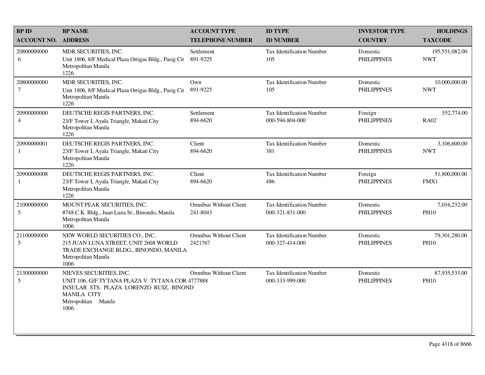| <b>BP ID</b>                  | <b>BP NAME</b>                                                                                                                                                              | <b>ACCOUNT TYPE</b>                       | <b>ID TYPE</b>                                      | <b>INVESTOR TYPE</b>           | <b>HOLDINGS</b>              |
|-------------------------------|-----------------------------------------------------------------------------------------------------------------------------------------------------------------------------|-------------------------------------------|-----------------------------------------------------|--------------------------------|------------------------------|
| <b>ACCOUNT NO.</b>            | <b>ADDRESS</b>                                                                                                                                                              | <b>TELEPHONE NUMBER</b>                   | <b>ID NUMBER</b>                                    | <b>COUNTRY</b>                 | <b>TAXCODE</b>               |
| 20800000000<br>6              | MDR SECURITIES, INC.<br>Unit 1806, 8/F Medical Plaza Ortigas Bldg., Pasig Cit<br>Metropolitan Manila<br>1226                                                                | Settlement<br>891-9225                    | Tax Identification Number<br>105                    | Domestic<br><b>PHILIPPINES</b> | 195,551,082.00<br><b>NWT</b> |
| 20800000000<br>$\tau$         | MDR SECURITIES, INC.<br>Unit 1806, 8/F Medical Plaza Ortigas Bldg., Pasig Cit<br>Metropolitan Manila<br>1226                                                                | Own<br>891-9225                           | Tax Identification Number<br>105                    | Domestic<br><b>PHILIPPINES</b> | 10,000,000.00<br><b>NWT</b>  |
| 20900000000<br>$\overline{4}$ | DEUTSCHE REGIS PARTNERS, INC.<br>23/F Tower I, Ayala Triangle, Makati City<br>Metropolitan Manila<br>1226                                                                   | Settlement<br>894-6620                    | <b>Tax Identification Number</b><br>000-594-804-000 | Foreign<br><b>PHILIPPINES</b>  | 552,774.00<br><b>RA02</b>    |
| 20900000001<br>1              | DEUTSCHE REGIS PARTNERS, INC.<br>23/F Tower I, Ayala Triangle, Makati City<br>Metropolitan Manila<br>1226                                                                   | Client<br>894-6620                        | <b>Tax Identification Number</b><br>381             | Domestic<br><b>PHILIPPINES</b> | 3,106,600.00<br><b>NWT</b>   |
| 20900000008<br>1              | DEUTSCHE REGIS PARTNERS, INC.<br>23/F Tower I, Ayala Triangle, Makati City<br>Metropolitan Manila<br>1226                                                                   | Client<br>894-6620                        | Tax Identification Number<br>486                    | Foreign<br><b>PHILIPPINES</b>  | 51,800,000.00<br>FMX1        |
| 21000000000<br>5              | MOUNT PEAK SECURITIES, INC.<br>#748 C.K. Bldg., Juan Luna St., Binondo, Manila<br>Metropolitan Manila<br>1006                                                               | <b>Omnibus Without Client</b><br>241-8043 | Tax Identification Number<br>000-321-831-000        | Domestic<br><b>PHILIPPINES</b> | 7,016,232.00<br><b>PH10</b>  |
| 21100000000<br>5              | NEW WORLD SECURITIES CO., INC.<br>215 JUAN LUNA STREET, UNIT 2608 WORLD<br>TRADE EXCHANGE BLDG., BINONDO, MANILA<br>Metropolitan Manila<br>1006                             | <b>Omnibus Without Client</b><br>2421767  | Tax Identification Number<br>000-327-414-000        | Domestic<br><b>PHILIPPINES</b> | 79,301,280.00<br><b>PH10</b> |
| 21300000000<br>5              | NIEVES SECURITIES, INC.<br>UNIT 106, G/F TYTANA PLAZA V. TYTANA COR 4777888<br>INSULAR STS. PLAZA LORENZO RUIZ, BINOND<br><b>MANILA CITY</b><br>Metropolitan Manila<br>1006 | <b>Omnibus Without Client</b>             | <b>Tax Identification Number</b><br>000-333-999-000 | Domestic<br><b>PHILIPPINES</b> | 87,935,533.00<br><b>PH10</b> |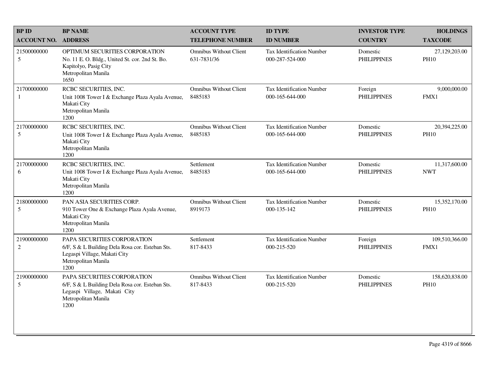| <b>BP ID</b>                  | <b>BP NAME</b>                                                                                                                                | <b>ACCOUNT TYPE</b>                          | <b>ID TYPE</b>                                      | <b>INVESTOR TYPE</b>           | <b>HOLDINGS</b>               |
|-------------------------------|-----------------------------------------------------------------------------------------------------------------------------------------------|----------------------------------------------|-----------------------------------------------------|--------------------------------|-------------------------------|
| <b>ACCOUNT NO.</b>            | <b>ADDRESS</b>                                                                                                                                | <b>TELEPHONE NUMBER</b>                      | <b>ID NUMBER</b>                                    | <b>COUNTRY</b>                 | <b>TAXCODE</b>                |
| 21500000000<br>5              | OPTIMUM SECURITIES CORPORATION<br>No. 11 E. O. Bldg., United St. cor. 2nd St. Bo.<br>Kapitolyo, Pasig City<br>Metropolitan Manila<br>1650     | <b>Omnibus Without Client</b><br>631-7831/36 | <b>Tax Identification Number</b><br>000-287-524-000 | Domestic<br><b>PHILIPPINES</b> | 27,129,203.00<br><b>PH10</b>  |
| 21700000000<br>1              | RCBC SECURITIES, INC.<br>Unit 1008 Tower I & Exchange Plaza Ayala Avenue,<br>Makati City<br>Metropolitan Manila<br>1200                       | <b>Omnibus Without Client</b><br>8485183     | <b>Tax Identification Number</b><br>000-165-644-000 | Foreign<br><b>PHILIPPINES</b>  | 9,000,000.00<br>FMX1          |
| 21700000000<br>5              | RCBC SECURITIES, INC.<br>Unit 1008 Tower I & Exchange Plaza Ayala Avenue,<br>Makati City<br>Metropolitan Manila<br>1200                       | <b>Omnibus Without Client</b><br>8485183     | <b>Tax Identification Number</b><br>000-165-644-000 | Domestic<br><b>PHILIPPINES</b> | 20,394,225.00<br><b>PH10</b>  |
| 21700000000<br>6              | RCBC SECURITIES, INC.<br>Unit 1008 Tower I & Exchange Plaza Ayala Avenue,<br>Makati City<br>Metropolitan Manila<br>1200                       | Settlement<br>8485183                        | Tax Identification Number<br>000-165-644-000        | Domestic<br><b>PHILIPPINES</b> | 11,317,600.00<br><b>NWT</b>   |
| 21800000000<br>5              | PAN ASIA SECURITIES CORP.<br>910 Tower One & Exchange Plaza Ayala Avenue,<br>Makati City<br>Metropolitan Manila<br>1200                       | <b>Omnibus Without Client</b><br>8919173     | <b>Tax Identification Number</b><br>000-135-142     | Domestic<br><b>PHILIPPINES</b> | 15,352,170.00<br><b>PH10</b>  |
| 21900000000<br>$\overline{2}$ | PAPA SECURITIES CORPORATION<br>6/F, S & L Building Dela Rosa cor. Esteban Sts.<br>Legaspi Village, Makati City<br>Metropolitan Manila<br>1200 | Settlement<br>817-8433                       | <b>Tax Identification Number</b><br>000-215-520     | Foreign<br><b>PHILIPPINES</b>  | 109,510,366.00<br>FMX1        |
| 21900000000<br>5              | PAPA SECURITIES CORPORATION<br>6/F, S & L Building Dela Rosa cor. Esteban Sts.<br>Legaspi Village, Makati City<br>Metropolitan Manila<br>1200 | <b>Omnibus Without Client</b><br>817-8433    | Tax Identification Number<br>000-215-520            | Domestic<br><b>PHILIPPINES</b> | 158,620,838.00<br><b>PH10</b> |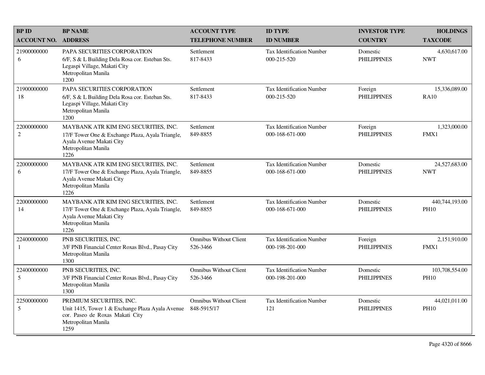| <b>BPID</b>                 | <b>BP NAME</b>                                                                                                                                      | <b>ACCOUNT TYPE</b>                          | <b>ID TYPE</b>                                      | <b>INVESTOR TYPE</b>           | <b>HOLDINGS</b>               |
|-----------------------------|-----------------------------------------------------------------------------------------------------------------------------------------------------|----------------------------------------------|-----------------------------------------------------|--------------------------------|-------------------------------|
| <b>ACCOUNT NO.</b>          | <b>ADDRESS</b>                                                                                                                                      | <b>TELEPHONE NUMBER</b>                      | <b>ID NUMBER</b>                                    | <b>COUNTRY</b>                 | <b>TAXCODE</b>                |
| 21900000000<br>6            | PAPA SECURITIES CORPORATION<br>6/F, S & L Building Dela Rosa cor. Esteban Sts.<br>Legaspi Village, Makati City<br>Metropolitan Manila<br>1200       | Settlement<br>817-8433                       | <b>Tax Identification Number</b><br>000-215-520     | Domestic<br><b>PHILIPPINES</b> | 4,630,617.00<br><b>NWT</b>    |
| 21900000000<br>18           | PAPA SECURITIES CORPORATION<br>6/F, S & L Building Dela Rosa cor. Esteban Sts.<br>Legaspi Village, Makati City<br>Metropolitan Manila<br>1200       | Settlement<br>817-8433                       | Tax Identification Number<br>000-215-520            | Foreign<br><b>PHILIPPINES</b>  | 15,336,089.00<br><b>RA10</b>  |
| 22000000000<br>2            | MAYBANK ATR KIM ENG SECURITIES, INC.<br>17/F Tower One & Exchange Plaza, Ayala Triangle,<br>Ayala Avenue Makati City<br>Metropolitan Manila<br>1226 | Settlement<br>849-8855                       | <b>Tax Identification Number</b><br>000-168-671-000 | Foreign<br><b>PHILIPPINES</b>  | 1,323,000.00<br>FMX1          |
| 22000000000<br>6            | MAYBANK ATR KIM ENG SECURITIES, INC.<br>17/F Tower One & Exchange Plaza, Ayala Triangle,<br>Ayala Avenue Makati City<br>Metropolitan Manila<br>1226 | Settlement<br>849-8855                       | Tax Identification Number<br>000-168-671-000        | Domestic<br><b>PHILIPPINES</b> | 24,527,683.00<br><b>NWT</b>   |
| 22000000000<br>14           | MAYBANK ATR KIM ENG SECURITIES, INC.<br>17/F Tower One & Exchange Plaza, Ayala Triangle,<br>Ayala Avenue Makati City<br>Metropolitan Manila<br>1226 | Settlement<br>849-8855                       | <b>Tax Identification Number</b><br>000-168-671-000 | Domestic<br><b>PHILIPPINES</b> | 440,744,193.00<br><b>PH10</b> |
| 22400000000<br>$\mathbf{1}$ | PNB SECURITIES, INC.<br>3/F PNB Financial Center Roxas Blvd., Pasay City<br>Metropolitan Manila<br>1300                                             | <b>Omnibus Without Client</b><br>526-3466    | Tax Identification Number<br>000-198-201-000        | Foreign<br><b>PHILIPPINES</b>  | 2,151,910.00<br>FMX1          |
| 22400000000<br>5            | PNB SECURITIES, INC.<br>3/F PNB Financial Center Roxas Blvd., Pasay City<br>Metropolitan Manila<br>1300                                             | <b>Omnibus Without Client</b><br>526-3466    | <b>Tax Identification Number</b><br>000-198-201-000 | Domestic<br><b>PHILIPPINES</b> | 103,708,554.00<br><b>PH10</b> |
| 22500000000<br>5            | PREMIUM SECURITIES, INC.<br>Unit 1415, Tower 1 & Exchange Plaza Ayala Avenue<br>cor. Paseo de Roxas Makati City<br>Metropolitan Manila<br>1259      | <b>Omnibus Without Client</b><br>848-5915/17 | <b>Tax Identification Number</b><br>121             | Domestic<br><b>PHILIPPINES</b> | 44,021,011.00<br><b>PH10</b>  |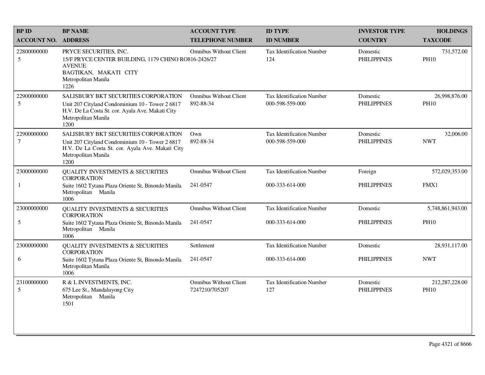| <b>BPID</b>           | <b>BP NAME</b>                                                                                                                                                             | <b>ACCOUNT TYPE</b>                             | <b>ID TYPE</b>                                      | <b>INVESTOR TYPE</b>           | <b>HOLDINGS</b>               |
|-----------------------|----------------------------------------------------------------------------------------------------------------------------------------------------------------------------|-------------------------------------------------|-----------------------------------------------------|--------------------------------|-------------------------------|
| <b>ACCOUNT NO.</b>    | <b>ADDRESS</b>                                                                                                                                                             | <b>TELEPHONE NUMBER</b>                         | <b>ID NUMBER</b>                                    | <b>COUNTRY</b>                 | <b>TAXCODE</b>                |
| 22800000000<br>5      | PRYCE SECURITIES, INC.<br>15/F PRYCE CENTER BUILDING, 1179 CHINO RO816-2426/27<br><b>AVENUE</b><br>BAGTIKAN, MAKATI CITY<br>Metropolitan Manila<br>1226                    | <b>Omnibus Without Client</b>                   | <b>Tax Identification Number</b><br>124             | Domestic<br><b>PHILIPPINES</b> | 731,572.00<br><b>PH10</b>     |
| 22900000000<br>5      | SALISBURY BKT SECURITIES CORPORATION<br>Unit 207 Cityland Condominium 10 - Tower 2 6817<br>H.V. De La Costa St. cor. Ayala Ave. Makati City<br>Metropolitan Manila<br>1200 | <b>Omnibus Without Client</b><br>892-88-34      | <b>Tax Identification Number</b><br>000-598-559-000 | Domestic<br><b>PHILIPPINES</b> | 26,998,876.00<br><b>PH10</b>  |
| 22900000000<br>$\tau$ | SALISBURY BKT SECURITIES CORPORATION<br>Unit 207 Cityland Condominium 10 - Tower 2 6817<br>H.V. De La Costa St. cor. Ayala Ave. Makati City<br>Metropolitan Manila<br>1200 | Own<br>892-88-34                                | <b>Tax Identification Number</b><br>000-598-559-000 | Domestic<br><b>PHILIPPINES</b> | 32,006.00<br><b>NWT</b>       |
| 23000000000           | <b>QUALITY INVESTMENTS &amp; SECURITIES</b><br><b>CORPORATION</b>                                                                                                          | <b>Omnibus Without Client</b>                   | Tax Identification Number                           | Foreign                        | 572,029,353.00                |
| 1                     | Suite 1602 Tytana Plaza Oriente St, Binondo Manila<br>Metropolitan Manila<br>1006                                                                                          | 241-0547                                        | 000-333-614-000                                     | <b>PHILIPPINES</b>             | FMX1                          |
| 23000000000           | QUALITY INVESTMENTS $\&$ SECURITIES<br><b>CORPORATION</b>                                                                                                                  | <b>Omnibus Without Client</b>                   | <b>Tax Identification Number</b>                    | Domestic                       | 5,748,861,943.00              |
| $\sqrt{5}$            | Suite 1602 Tytana Plaza Oriente St, Binondo Manila<br>Metropolitan Manila<br>1006                                                                                          | 241-0547                                        | 000-333-614-000                                     | <b>PHILIPPINES</b>             | <b>PH10</b>                   |
| 23000000000           | <b>QUALITY INVESTMENTS &amp; SECURITIES</b><br><b>CORPORATION</b>                                                                                                          | Settlement                                      | Tax Identification Number                           | Domestic                       | 28,931,117.00                 |
| 6                     | Suite 1602 Tytana Plaza Oriente St, Binondo Manila<br>Metropolitan Manila<br>1006                                                                                          | 241-0547                                        | 000-333-614-000                                     | <b>PHILIPPINES</b>             | <b>NWT</b>                    |
| 23100000000<br>5      | R & L INVESTMENTS, INC.<br>675 Lee St., Mandaluyong City<br>Metropolitan Manila<br>1501                                                                                    | <b>Omnibus Without Client</b><br>7247210/705207 | Tax Identification Number<br>127                    | Domestic<br><b>PHILIPPINES</b> | 212,287,228.00<br><b>PH10</b> |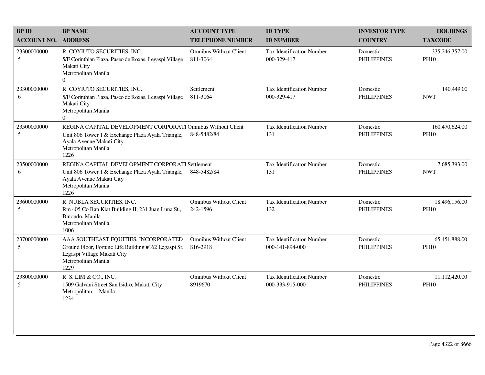| <b>BP ID</b>       | <b>BP NAME</b>                                                                                                                                                              | <b>ACCOUNT TYPE</b>                       | <b>ID TYPE</b>                                      | <b>INVESTOR TYPE</b>           | <b>HOLDINGS</b>               |
|--------------------|-----------------------------------------------------------------------------------------------------------------------------------------------------------------------------|-------------------------------------------|-----------------------------------------------------|--------------------------------|-------------------------------|
| <b>ACCOUNT NO.</b> | <b>ADDRESS</b>                                                                                                                                                              | <b>TELEPHONE NUMBER</b>                   | <b>ID NUMBER</b>                                    | <b>COUNTRY</b>                 | <b>TAXCODE</b>                |
| 23300000000<br>5   | R. COYIUTO SECURITIES, INC.<br>5/F Corinthian Plaza, Paseo de Roxas, Legaspi Village<br>Makati City<br>Metropolitan Manila<br>$\Omega$                                      | <b>Omnibus Without Client</b><br>811-3064 | Tax Identification Number<br>000-329-417            | Domestic<br><b>PHILIPPINES</b> | 335,246,357.00<br><b>PH10</b> |
| 23300000000<br>6   | R. COYIUTO SECURITIES, INC.<br>5/F Corinthian Plaza, Paseo de Roxas, Legaspi Village<br>Makati City<br>Metropolitan Manila<br>$\overline{0}$                                | Settlement<br>811-3064                    | Tax Identification Number<br>000-329-417            | Domestic<br><b>PHILIPPINES</b> | 140,449.00<br><b>NWT</b>      |
| 23500000000<br>5   | REGINA CAPITAL DEVELOPMENT CORPORATI Omnibus Without Client<br>Unit 806 Tower 1 & Exchange Plaza Ayala Triangle,<br>Ayala Avenue Makati City<br>Metropolitan Manila<br>1226 | 848-5482/84                               | <b>Tax Identification Number</b><br>131             | Domestic<br><b>PHILIPPINES</b> | 160,470,624.00<br><b>PH10</b> |
| 23500000000<br>6   | REGINA CAPITAL DEVELOPMENT CORPORATI Settlement<br>Unit 806 Tower 1 & Exchange Plaza Ayala Triangle,<br>Ayala Avenue Makati City<br>Metropolitan Manila<br>1226             | 848-5482/84                               | <b>Tax Identification Number</b><br>131             | Domestic<br><b>PHILIPPINES</b> | 7,685,393.00<br><b>NWT</b>    |
| 23600000000<br>5   | R. NUBLA SECURITIES, INC.<br>Rm 405 Co Ban Kiat Building II, 231 Juan Luna St.,<br>Binondo, Manila<br>Metropolitan Manila<br>1006                                           | <b>Omnibus Without Client</b><br>242-1596 | <b>Tax Identification Number</b><br>132             | Domestic<br><b>PHILIPPINES</b> | 18,496,156.00<br><b>PH10</b>  |
| 23700000000<br>5   | AAA SOUTHEAST EQUITIES, INCORPORATED<br>Ground Floor, Fortune Life Building #162 Legaspi St.<br>Legaspi Village Makati City<br>Metropolitan Manila<br>1229                  | <b>Omnibus Without Client</b><br>816-2918 | <b>Tax Identification Number</b><br>000-141-894-000 | Domestic<br><b>PHILIPPINES</b> | 65,451,888.00<br><b>PH10</b>  |
| 23800000000<br>5   | R. S. LIM & CO., INC.<br>1509 Galvani Street San Isidro, Makati City<br>Metropolitan Manila<br>1234                                                                         | <b>Omnibus Without Client</b><br>8919670  | <b>Tax Identification Number</b><br>000-333-915-000 | Domestic<br><b>PHILIPPINES</b> | 11,112,420.00<br><b>PH10</b>  |
|                    |                                                                                                                                                                             |                                           |                                                     |                                |                               |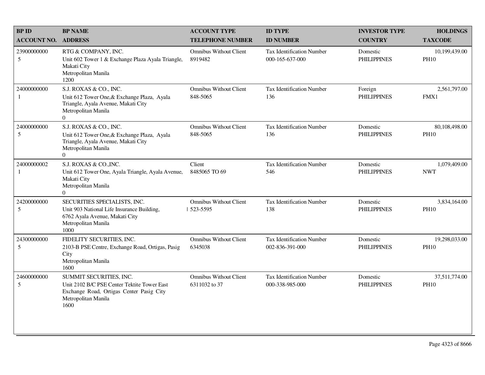| <b>BPID</b>        | <b>BP NAME</b>                                                                                                                                        | <b>ACCOUNT TYPE</b>                            | <b>ID TYPE</b>                                      | <b>INVESTOR TYPE</b>           | <b>HOLDINGS</b>              |
|--------------------|-------------------------------------------------------------------------------------------------------------------------------------------------------|------------------------------------------------|-----------------------------------------------------|--------------------------------|------------------------------|
| <b>ACCOUNT NO.</b> | <b>ADDRESS</b>                                                                                                                                        | <b>TELEPHONE NUMBER</b>                        | <b>ID NUMBER</b>                                    | <b>COUNTRY</b>                 | <b>TAXCODE</b>               |
| 23900000000<br>5   | RTG & COMPANY, INC.<br>Unit 602 Tower 1 & Exchange Plaza Ayala Triangle,<br>Makati City<br>Metropolitan Manila<br>1200                                | <b>Omnibus Without Client</b><br>8919482       | <b>Tax Identification Number</b><br>000-165-637-000 | Domestic<br><b>PHILIPPINES</b> | 10,199,439.00<br><b>PH10</b> |
| 24000000000<br>1   | S.J. ROXAS & CO., INC.<br>Unit 612 Tower One, & Exchange Plaza, Ayala<br>Triangle, Ayala Avenue, Makati City<br>Metropolitan Manila<br>$\overline{0}$ | <b>Omnibus Without Client</b><br>848-5065      | Tax Identification Number<br>136                    | Foreign<br><b>PHILIPPINES</b>  | 2,561,797.00<br>FMX1         |
| 24000000000<br>5   | S.J. ROXAS & CO., INC.<br>Unit 612 Tower One, & Exchange Plaza, Ayala<br>Triangle, Ayala Avenue, Makati City<br>Metropolitan Manila<br>$\Omega$       | <b>Omnibus Without Client</b><br>848-5065      | <b>Tax Identification Number</b><br>136             | Domestic<br><b>PHILIPPINES</b> | 80,108,498.00<br><b>PH10</b> |
| 24000000002<br>1   | S.J. ROXAS & CO., INC.<br>Unit 612 Tower One, Ayala Triangle, Ayala Avenue,<br>Makati City<br>Metropolitan Manila<br>$\Omega$                         | Client<br>8485065 TO 69                        | Tax Identification Number<br>546                    | Domestic<br><b>PHILIPPINES</b> | 1,079,409.00<br><b>NWT</b>   |
| 24200000000<br>5   | SECURITIES SPECIALISTS, INC.<br>Unit 903 National Life Insurance Building,<br>6762 Ayala Avenue, Makati City<br>Metropolitan Manila<br>1000           | <b>Omnibus Without Client</b><br>  523-5595    | <b>Tax Identification Number</b><br>138             | Domestic<br><b>PHILIPPINES</b> | 3,834,164.00<br><b>PH10</b>  |
| 24300000000<br>5   | FIDELITY SECURITIES, INC.<br>2103-B PSE Centre, Exchange Road, Ortigas, Pasig<br>City<br>Metropolitan Manila<br>1600                                  | <b>Omnibus Without Client</b><br>6345038       | <b>Tax Identification Number</b><br>002-836-391-000 | Domestic<br><b>PHILIPPINES</b> | 19,298,033.00<br><b>PH10</b> |
| 24600000000<br>5   | SUMMIT SECURITIES, INC.<br>Unit 2102 B/C PSE Center Tektite Tower East<br>Exchange Road, Ortigas Center Pasig City<br>Metropolitan Manila<br>1600     | <b>Omnibus Without Client</b><br>6311032 to 37 | Tax Identification Number<br>000-338-985-000        | Domestic<br><b>PHILIPPINES</b> | 37,511,774.00<br><b>PH10</b> |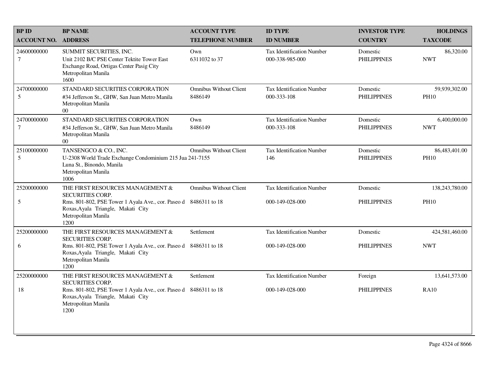| <b>BP ID</b>          | <b>BP NAME</b>                                                                                                                                    | <b>ACCOUNT TYPE</b>                      | <b>ID TYPE</b>                                      | <b>INVESTOR TYPE</b>           | <b>HOLDINGS</b>              |
|-----------------------|---------------------------------------------------------------------------------------------------------------------------------------------------|------------------------------------------|-----------------------------------------------------|--------------------------------|------------------------------|
| <b>ACCOUNT NO.</b>    | <b>ADDRESS</b>                                                                                                                                    | <b>TELEPHONE NUMBER</b>                  | <b>ID NUMBER</b>                                    | <b>COUNTRY</b>                 | <b>TAXCODE</b>               |
| 24600000000<br>$\tau$ | SUMMIT SECURITIES, INC.<br>Unit 2102 B/C PSE Center Tektite Tower East<br>Exchange Road, Ortigas Center Pasig City<br>Metropolitan Manila<br>1600 | Own<br>6311032 to 37                     | <b>Tax Identification Number</b><br>000-338-985-000 | Domestic<br><b>PHILIPPINES</b> | 86,320.00<br><b>NWT</b>      |
| 24700000000<br>5      | STANDARD SECURITIES CORPORATION<br>#34 Jefferson St., GHW, San Juan Metro Manila<br>Metropolitan Manila<br>$00\,$                                 | <b>Omnibus Without Client</b><br>8486149 | <b>Tax Identification Number</b><br>000-333-108     | Domestic<br><b>PHILIPPINES</b> | 59,939,302.00<br><b>PH10</b> |
| 24700000000<br>$\tau$ | STANDARD SECURITIES CORPORATION<br>#34 Jefferson St., GHW, San Juan Metro Manila<br>Metropolitan Manila<br>$00\,$                                 | Own<br>8486149                           | <b>Tax Identification Number</b><br>000-333-108     | Domestic<br><b>PHILIPPINES</b> | 6,400,000.00<br><b>NWT</b>   |
| 25100000000<br>5      | TANSENGCO & CO., INC.<br>U-2308 World Trade Exchange Condominium 215 Jua 241-7155<br>Luna St., Binondo, Manila<br>Metropolitan Manila<br>1006     | <b>Omnibus Without Client</b>            | <b>Tax Identification Number</b><br>146             | Domestic<br><b>PHILIPPINES</b> | 86,483,401.00<br><b>PH10</b> |
| 25200000000           | THE FIRST RESOURCES MANAGEMENT &<br><b>SECURITIES CORP.</b>                                                                                       | <b>Omnibus Without Client</b>            | Tax Identification Number                           | Domestic                       | 138,243,780.00               |
| $\sqrt{5}$            | Rms. 801-802, PSE Tower 1 Ayala Ave., cor. Paseo d 8486311 to 18<br>Roxas, Ayala Triangle, Makati City<br>Metropolitan Manila<br>1200             |                                          | 000-149-028-000                                     | <b>PHILIPPINES</b>             | <b>PH10</b>                  |
| 25200000000           | THE FIRST RESOURCES MANAGEMENT $\&$<br>SECURITIES CORP.                                                                                           | Settlement                               | Tax Identification Number                           | Domestic                       | 424,581,460.00               |
| 6                     | Rms. 801-802, PSE Tower 1 Ayala Ave., cor. Paseo d 8486311 to 18<br>Roxas, Ayala Triangle, Makati City<br>Metropolitan Manila<br>1200             |                                          | 000-149-028-000                                     | <b>PHILIPPINES</b>             | <b>NWT</b>                   |
| 25200000000           | THE FIRST RESOURCES MANAGEMENT &<br><b>SECURITIES CORP.</b>                                                                                       | Settlement                               | <b>Tax Identification Number</b>                    | Foreign                        | 13,641,573.00                |
| 18                    | Rms. 801-802, PSE Tower 1 Ayala Ave., cor. Paseo d 8486311 to 18<br>Roxas, Ayala Triangle, Makati City<br>Metropolitan Manila<br>1200             |                                          | 000-149-028-000                                     | <b>PHILIPPINES</b>             | <b>RA10</b>                  |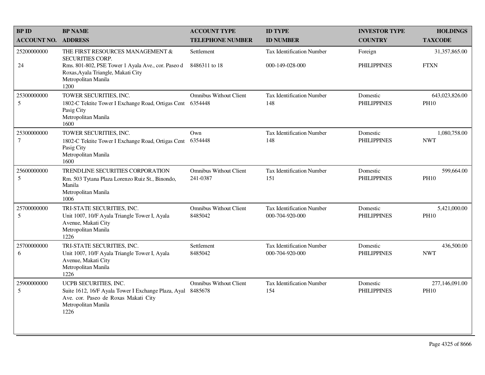| <b>BPID</b>           | <b>BP NAME</b>                                                                                                                                      | <b>ACCOUNT TYPE</b>                       | <b>ID TYPE</b>                                      | <b>INVESTOR TYPE</b>           | <b>HOLDINGS</b>               |
|-----------------------|-----------------------------------------------------------------------------------------------------------------------------------------------------|-------------------------------------------|-----------------------------------------------------|--------------------------------|-------------------------------|
| <b>ACCOUNT NO.</b>    | <b>ADDRESS</b>                                                                                                                                      | <b>TELEPHONE NUMBER</b>                   | <b>ID NUMBER</b>                                    | <b>COUNTRY</b>                 | <b>TAXCODE</b>                |
| 25200000000           | THE FIRST RESOURCES MANAGEMENT &<br><b>SECURITIES CORP.</b>                                                                                         | Settlement                                | <b>Tax Identification Number</b>                    | Foreign                        | 31,357,865.00                 |
| 24                    | Rms. 801-802, PSE Tower 1 Ayala Ave., cor. Paseo d<br>Roxas, Ayala Triangle, Makati City<br>Metropolitan Manila<br>1200                             | 8486311 to 18                             | 000-149-028-000                                     | <b>PHILIPPINES</b>             | <b>FTXN</b>                   |
| 25300000000<br>5      | TOWER SECURITIES, INC.<br>1802-C Tektite Tower I Exchange Road, Ortigas Cent<br>Pasig City<br>Metropolitan Manila<br>1600                           | <b>Omnibus Without Client</b><br>6354448  | <b>Tax Identification Number</b><br>148             | Domestic<br><b>PHILIPPINES</b> | 643,023,826.00<br><b>PH10</b> |
| 25300000000<br>$\tau$ | TOWER SECURITIES, INC.<br>1802-C Tektite Tower I Exchange Road, Ortigas Cent<br>Pasig City<br>Metropolitan Manila<br>1600                           | Own<br>6354448                            | <b>Tax Identification Number</b><br>148             | Domestic<br><b>PHILIPPINES</b> | 1,080,758.00<br><b>NWT</b>    |
| 25600000000<br>5      | <b>TRENDLINE SECURITIES CORPORATION</b><br>Rm. 503 Tytana Plaza Lorenzo Ruiz St., Binondo,<br>Manila<br>Metropolitan Manila<br>1006                 | <b>Omnibus Without Client</b><br>241-0387 | Tax Identification Number<br>151                    | Domestic<br><b>PHILIPPINES</b> | 599,664.00<br><b>PH10</b>     |
| 25700000000<br>5      | TRI-STATE SECURITIES, INC.<br>Unit 1007, 10/F Ayala Triangle Tower I, Ayala<br>Avenue, Makati City<br>Metropolitan Manila<br>1226                   | <b>Omnibus Without Client</b><br>8485042  | <b>Tax Identification Number</b><br>000-704-920-000 | Domestic<br><b>PHILIPPINES</b> | 5,421,000.00<br><b>PH10</b>   |
| 25700000000<br>6      | TRI-STATE SECURITIES, INC.<br>Unit 1007, 10/F Ayala Triangle Tower I, Ayala<br>Avenue, Makati City<br>Metropolitan Manila<br>1226                   | Settlement<br>8485042                     | Tax Identification Number<br>000-704-920-000        | Domestic<br><b>PHILIPPINES</b> | 436,500.00<br><b>NWT</b>      |
| 25900000000<br>5      | UCPB SECURITIES, INC.<br>Suite 1612, 16/F Ayala Tower I Exchange Plaza, Ayal<br>Ave. cor. Paseo de Roxas Makati City<br>Metropolitan Manila<br>1226 | <b>Omnibus Without Client</b><br>8485678  | <b>Tax Identification Number</b><br>154             | Domestic<br><b>PHILIPPINES</b> | 277,146,091.00<br><b>PH10</b> |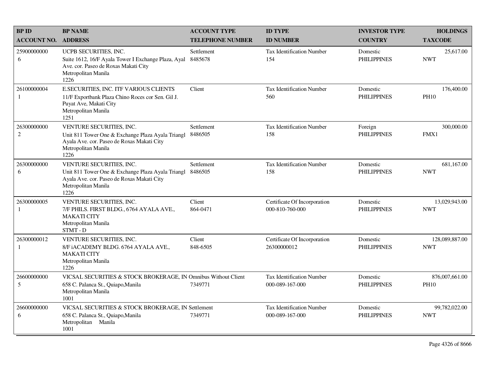| <b>BPID</b>                   | <b>BP NAME</b>                                                                                                                                              | <b>ACCOUNT TYPE</b>     | <b>ID TYPE</b>                                  | <b>INVESTOR TYPE</b>           | <b>HOLDINGS</b>               |
|-------------------------------|-------------------------------------------------------------------------------------------------------------------------------------------------------------|-------------------------|-------------------------------------------------|--------------------------------|-------------------------------|
| <b>ACCOUNT NO. ADDRESS</b>    |                                                                                                                                                             | <b>TELEPHONE NUMBER</b> | <b>ID NUMBER</b>                                | <b>COUNTRY</b>                 | <b>TAXCODE</b>                |
| 25900000000<br>6              | UCPB SECURITIES, INC.<br>Suite 1612, 16/F Ayala Tower I Exchange Plaza, Ayal<br>Ave. cor. Paseo de Roxas Makati City<br>Metropolitan Manila<br>1226         | Settlement<br>8485678   | <b>Tax Identification Number</b><br>154         | Domestic<br><b>PHILIPPINES</b> | 25,617.00<br><b>NWT</b>       |
| 26100000004<br>1              | <b>E.SECURITIES. INC. ITF VARIOUS CLIENTS</b><br>11/F Exportbank Plaza Chino Roces cor Sen. Gil J.<br>Puyat Ave, Makati City<br>Metropolitan Manila<br>1251 | Client                  | Tax Identification Number<br>560                | Domestic<br><b>PHILIPPINES</b> | 176,400.00<br><b>PH10</b>     |
| 26300000000<br>$\overline{2}$ | VENTURE SECURITIES, INC.<br>Unit 811 Tower One & Exchange Plaza Ayala Triangl<br>Ayala Ave. cor. Paseo de Roxas Makati City<br>Metropolitan Manila<br>1226  | Settlement<br>8486505   | <b>Tax Identification Number</b><br>158         | Foreign<br><b>PHILIPPINES</b>  | 300,000.00<br>FMX1            |
| 26300000000<br>6              | VENTURE SECURITIES, INC.<br>Unit 811 Tower One & Exchange Plaza Ayala Triangl<br>Ayala Ave. cor. Paseo de Roxas Makati City<br>Metropolitan Manila<br>1226  | Settlement<br>8486505   | Tax Identification Number<br>158                | Domestic<br><b>PHILIPPINES</b> | 681,167.00<br><b>NWT</b>      |
| 26300000005<br>1              | VENTURE SECURITIES, INC.<br>7/F PHILS. FIRST BLDG., 6764 AYALA AVE.,<br><b>MAKATI CITY</b><br>Metropolitan Manila<br>STMT-D                                 | Client<br>864-0471      | Certificate Of Incorporation<br>000-810-760-000 | Domestic<br><b>PHILIPPINES</b> | 13,029,943.00<br><b>NWT</b>   |
| 26300000012<br>1              | VENTURE SECURITIES, INC.<br>8/F iACADEMY BLDG. 6764 AYALA AVE.,<br><b>MAKATI CITY</b><br>Metropolitan Manila<br>1226                                        | Client<br>848-6505      | Certificate Of Incorporation<br>26300000012     | Domestic<br><b>PHILIPPINES</b> | 128,089,887.00<br><b>NWT</b>  |
| 26600000000<br>5              | VICSAL SECURITIES & STOCK BROKERAGE, IN Omnibus Without Client<br>658 C. Palanca St., Quiapo, Manila<br>Metropolitan Manila<br>1001                         | 7349771                 | Tax Identification Number<br>000-089-167-000    | Domestic<br><b>PHILIPPINES</b> | 876,007,661.00<br><b>PH10</b> |
| 26600000000<br>6              | VICSAL SECURITIES & STOCK BROKERAGE, IN Settlement<br>658 C. Palanca St., Quiapo, Manila<br>Metropolitan Manila<br>1001                                     | 7349771                 | Tax Identification Number<br>000-089-167-000    | Domestic<br><b>PHILIPPINES</b> | 99,782,022.00<br><b>NWT</b>   |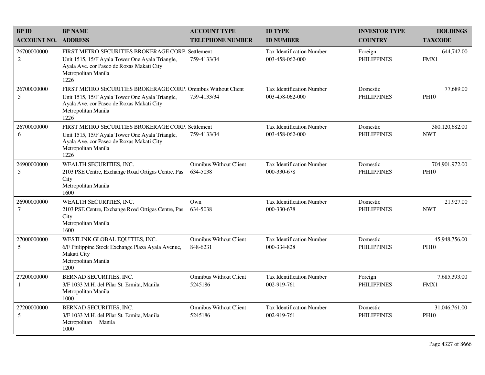| <b>BP ID</b>                  | <b>BP NAME</b>                                                                                                                                                                               | <b>ACCOUNT TYPE</b>                       | <b>ID TYPE</b>                                      | <b>INVESTOR TYPE</b>           | <b>HOLDINGS</b>               |
|-------------------------------|----------------------------------------------------------------------------------------------------------------------------------------------------------------------------------------------|-------------------------------------------|-----------------------------------------------------|--------------------------------|-------------------------------|
| <b>ACCOUNT NO. ADDRESS</b>    |                                                                                                                                                                                              | <b>TELEPHONE NUMBER</b>                   | <b>ID NUMBER</b>                                    | <b>COUNTRY</b>                 | <b>TAXCODE</b>                |
| 26700000000<br>$\overline{2}$ | FIRST METRO SECURITIES BROKERAGE CORP. Settlement<br>Unit 1515, 15/F Ayala Tower One Ayala Triangle,<br>Ayala Ave. cor Paseo de Roxas Makati City<br>Metropolitan Manila<br>1226             | 759-4133/34                               | <b>Tax Identification Number</b><br>003-458-062-000 | Foreign<br><b>PHILIPPINES</b>  | 644,742.00<br>FMX1            |
| 26700000000<br>5              | FIRST METRO SECURITIES BROKERAGE CORP. Omnibus Without Client<br>Unit 1515, 15/F Ayala Tower One Ayala Triangle,<br>Ayala Ave. cor Paseo de Roxas Makati City<br>Metropolitan Manila<br>1226 | 759-4133/34                               | Tax Identification Number<br>003-458-062-000        | Domestic<br><b>PHILIPPINES</b> | 77,689.00<br><b>PH10</b>      |
| 26700000000<br>6              | FIRST METRO SECURITIES BROKERAGE CORP. Settlement<br>Unit 1515, 15/F Ayala Tower One Ayala Triangle,<br>Ayala Ave. cor Paseo de Roxas Makati City<br>Metropolitan Manila<br>1226             | 759-4133/34                               | <b>Tax Identification Number</b><br>003-458-062-000 | Domestic<br><b>PHILIPPINES</b> | 380,120,682.00<br><b>NWT</b>  |
| 26900000000<br>5              | WEALTH SECURITIES, INC.<br>2103 PSE Centre, Exchange Road Ortigas Centre, Pas<br>City<br>Metropolitan Manila<br>1600                                                                         | <b>Omnibus Without Client</b><br>634-5038 | <b>Tax Identification Number</b><br>000-330-678     | Domestic<br><b>PHILIPPINES</b> | 704,901,972.00<br><b>PH10</b> |
| 26900000000<br>$\overline{7}$ | WEALTH SECURITIES, INC.<br>2103 PSE Centre, Exchange Road Ortigas Centre, Pas<br>City<br>Metropolitan Manila<br>1600                                                                         | Own<br>634-5038                           | <b>Tax Identification Number</b><br>000-330-678     | Domestic<br><b>PHILIPPINES</b> | 21,927.00<br><b>NWT</b>       |
| 27000000000<br>5              | WESTLINK GLOBAL EQUITIES, INC.<br>6/F Philippine Stock Exchange Plaza Ayala Avenue,<br>Makati City<br>Metropolitan Manila<br>1200                                                            | <b>Omnibus Without Client</b><br>848-6231 | Tax Identification Number<br>000-334-828            | Domestic<br><b>PHILIPPINES</b> | 45,948,756.00<br><b>PH10</b>  |
| 27200000000<br>-1             | BERNAD SECURITIES, INC.<br>3/F 1033 M.H. del Pilar St. Ermita, Manila<br>Metropolitan Manila<br>1000                                                                                         | <b>Omnibus Without Client</b><br>5245186  | <b>Tax Identification Number</b><br>002-919-761     | Foreign<br><b>PHILIPPINES</b>  | 7,685,393.00<br>FMX1          |
| 27200000000<br>5              | BERNAD SECURITIES, INC.<br>3/F 1033 M.H. del Pilar St. Ermita, Manila<br>Metropolitan Manila<br>1000                                                                                         | <b>Omnibus Without Client</b><br>5245186  | Tax Identification Number<br>002-919-761            | Domestic<br><b>PHILIPPINES</b> | 31,046,761.00<br><b>PH10</b>  |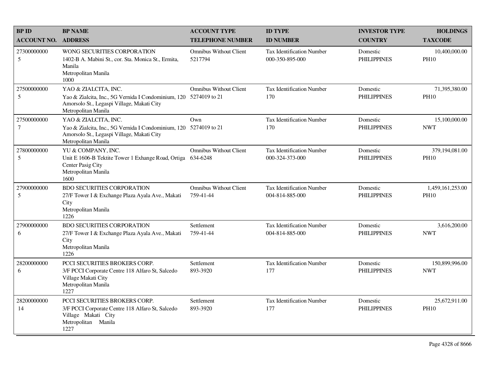| <b>BPID</b>                   | <b>BP NAME</b>                                                                                                                                   | <b>ACCOUNT TYPE</b>                            | <b>ID TYPE</b>                                      | <b>INVESTOR TYPE</b>           | <b>HOLDINGS</b>                 |
|-------------------------------|--------------------------------------------------------------------------------------------------------------------------------------------------|------------------------------------------------|-----------------------------------------------------|--------------------------------|---------------------------------|
| <b>ACCOUNT NO.</b>            | <b>ADDRESS</b>                                                                                                                                   | <b>TELEPHONE NUMBER</b>                        | <b>ID NUMBER</b>                                    | <b>COUNTRY</b>                 | <b>TAXCODE</b>                  |
| 27300000000<br>5              | WONG SECURITIES CORPORATION<br>1402-B A. Mabini St., cor. Sta. Monica St., Ermita,<br>Manila<br>Metropolitan Manila<br>1000                      | <b>Omnibus Without Client</b><br>5217794       | <b>Tax Identification Number</b><br>000-350-895-000 | Domestic<br><b>PHILIPPINES</b> | 10,400,000.00<br><b>PH10</b>    |
| 27500000000<br>5              | YAO & ZIALCITA, INC.<br>Yao & Zialcita, Inc., 5G Vernida I Condominium, 120<br>Amorsolo St., Legaspi Village, Makati City<br>Metropolitan Manila | <b>Omnibus Without Client</b><br>5274019 to 21 | <b>Tax Identification Number</b><br>170             | Domestic<br><b>PHILIPPINES</b> | 71,395,380.00<br><b>PH10</b>    |
| 27500000000<br>$\overline{7}$ | YAO & ZIALCITA, INC.<br>Yao & Zialcita, Inc., 5G Vernida I Condominium, 120<br>Amorsolo St., Legaspi Village, Makati City<br>Metropolitan Manila | Own<br>5274019 to 21                           | <b>Tax Identification Number</b><br>170             | Domestic<br><b>PHILIPPINES</b> | 15,100,000.00<br><b>NWT</b>     |
| 27800000000<br>5              | YU & COMPANY, INC.<br>Unit E 1606-B Tektite Tower 1 Exhange Road, Ortiga<br>Center Pasig City<br>Metropolitan Manila<br>1600                     | <b>Omnibus Without Client</b><br>634-6248      | <b>Tax Identification Number</b><br>000-324-373-000 | Domestic<br><b>PHILIPPINES</b> | 379,194,081.00<br><b>PH10</b>   |
| 27900000000<br>5              | <b>BDO SECURITIES CORPORATION</b><br>27/F Tower I & Exchange Plaza Ayala Ave., Makati<br>City<br>Metropolitan Manila<br>1226                     | <b>Omnibus Without Client</b><br>759-41-44     | Tax Identification Number<br>004-814-885-000        | Domestic<br><b>PHILIPPINES</b> | 1,459,161,253.00<br><b>PH10</b> |
| 27900000000<br>6              | <b>BDO SECURITIES CORPORATION</b><br>27/F Tower I & Exchange Plaza Ayala Ave., Makati<br>City<br>Metropolitan Manila<br>1226                     | Settlement<br>759-41-44                        | <b>Tax Identification Number</b><br>004-814-885-000 | Domestic<br><b>PHILIPPINES</b> | 3,616,200.00<br><b>NWT</b>      |
| 28200000000<br>6              | PCCI SECURITIES BROKERS CORP.<br>3/F PCCI Corporate Centre 118 Alfaro St, Salcedo<br>Village Makati City<br>Metropolitan Manila<br>1227          | Settlement<br>893-3920                         | <b>Tax Identification Number</b><br>177             | Domestic<br><b>PHILIPPINES</b> | 150,899,996.00<br><b>NWT</b>    |
| 28200000000<br>14             | <b>PCCI SECURITIES BROKERS CORP.</b><br>3/F PCCI Corporate Centre 118 Alfaro St, Salcedo<br>Village Makati City<br>Metropolitan Manila<br>1227   | Settlement<br>893-3920                         | <b>Tax Identification Number</b><br>177             | Domestic<br><b>PHILIPPINES</b> | 25,672,911.00<br><b>PH10</b>    |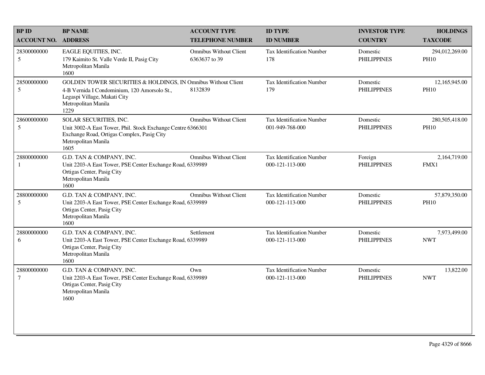| <b>ADDRESS</b><br>EAGLE EQUITIES, INC.<br>179 Kaimito St. Valle Verde II, Pasig City<br>Metropolitan Manila<br>1600 | <b>TELEPHONE NUMBER</b><br><b>Omnibus Without Client</b><br>6363637 to 39 | <b>ID NUMBER</b><br><b>Tax Identification Number</b>                                                                                                                                                                                                                                                                                                                                                                                                                                                         | <b>COUNTRY</b>                 | <b>TAXCODE</b>                |
|---------------------------------------------------------------------------------------------------------------------|---------------------------------------------------------------------------|--------------------------------------------------------------------------------------------------------------------------------------------------------------------------------------------------------------------------------------------------------------------------------------------------------------------------------------------------------------------------------------------------------------------------------------------------------------------------------------------------------------|--------------------------------|-------------------------------|
|                                                                                                                     |                                                                           |                                                                                                                                                                                                                                                                                                                                                                                                                                                                                                              |                                |                               |
|                                                                                                                     |                                                                           | 178                                                                                                                                                                                                                                                                                                                                                                                                                                                                                                          | Domestic<br><b>PHILIPPINES</b> | 294,012,269.00<br><b>PH10</b> |
| 4-B Vernida I Condominium, 120 Amorsolo St.,<br>Legaspi Village, Makati City<br>Metropolitan Manila<br>1229         |                                                                           | <b>Tax Identification Number</b><br>179                                                                                                                                                                                                                                                                                                                                                                                                                                                                      | Domestic<br><b>PHILIPPINES</b> | 12,165,945.00<br><b>PH10</b>  |
| SOLAR SECURITIES, INC.<br>Exchange Road, Ortigas Complex, Pasig City<br>Metropolitan Manila<br>1605                 |                                                                           | <b>Tax Identification Number</b><br>001-949-768-000                                                                                                                                                                                                                                                                                                                                                                                                                                                          | Domestic<br><b>PHILIPPINES</b> | 280,505,418.00<br><b>PH10</b> |
| G.D. TAN & COMPANY, INC.<br>Ortigas Center, Pasig City<br>Metropolitan Manila<br>1600                               |                                                                           | <b>Tax Identification Number</b><br>000-121-113-000                                                                                                                                                                                                                                                                                                                                                                                                                                                          | Foreign<br><b>PHILIPPINES</b>  | 2,164,719.00<br>FMX1          |
| G.D. TAN & COMPANY, INC.<br>Ortigas Center, Pasig City<br>Metropolitan Manila<br>1600                               |                                                                           | Tax Identification Number<br>000-121-113-000                                                                                                                                                                                                                                                                                                                                                                                                                                                                 | Domestic<br><b>PHILIPPINES</b> | 57,879,350.00<br><b>PH10</b>  |
| G.D. TAN & COMPANY, INC.<br>Ortigas Center, Pasig City<br>Metropolitan Manila<br>1600                               |                                                                           | <b>Tax Identification Number</b><br>000-121-113-000                                                                                                                                                                                                                                                                                                                                                                                                                                                          | Domestic<br><b>PHILIPPINES</b> | 7,973,499.00<br><b>NWT</b>    |
| G.D. TAN & COMPANY, INC.<br>Ortigas Center, Pasig City<br>Metropolitan Manila<br>1600                               | Own                                                                       | <b>Tax Identification Number</b><br>000-121-113-000                                                                                                                                                                                                                                                                                                                                                                                                                                                          | Domestic<br><b>PHILIPPINES</b> | 13,822.00<br><b>NWT</b>       |
|                                                                                                                     |                                                                           | GOLDEN TOWER SECURITIES & HOLDINGS, IN Omnibus Without Client<br>8132839<br><b>Omnibus Without Client</b><br>Unit 3002-A East Tower, Phil. Stock Exchange Centre 6366301<br><b>Omnibus Without Client</b><br>Unit 2203-A East Tower, PSE Center Exchange Road, 6339989<br><b>Omnibus Without Client</b><br>Unit 2203-A East Tower, PSE Center Exchange Road, 6339989<br>Settlement<br>Unit 2203-A East Tower, PSE Center Exchange Road, 6339989<br>Unit 2203-A East Tower, PSE Center Exchange Road, 6339989 |                                |                               |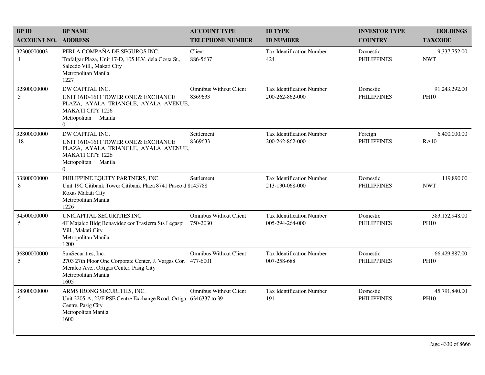| <b>BPID</b>        | <b>BP NAME</b>                                                                                                                                                     | <b>ACCOUNT TYPE</b>                       | <b>ID TYPE</b>                                      | <b>INVESTOR TYPE</b>           | <b>HOLDINGS</b>               |
|--------------------|--------------------------------------------------------------------------------------------------------------------------------------------------------------------|-------------------------------------------|-----------------------------------------------------|--------------------------------|-------------------------------|
| <b>ACCOUNT NO.</b> | <b>ADDRESS</b>                                                                                                                                                     | <b>TELEPHONE NUMBER</b>                   | <b>ID NUMBER</b>                                    | <b>COUNTRY</b>                 | <b>TAXCODE</b>                |
| 32300000003<br>1   | PERLA COMPAÑA DE SEGUROS INC.<br>Trafalgar Plaza, Unit 17-D, 105 H.V. dela Costa St.,<br>Salcedo Vill., Makati City<br>Metropolitan Manila<br>1227                 | Client<br>886-5637                        | <b>Tax Identification Number</b><br>424             | Domestic<br><b>PHILIPPINES</b> | 9,337,752.00<br><b>NWT</b>    |
| 32800000000<br>5   | DW CAPITAL INC.<br>UNIT 1610-1611 TOWER ONE & EXCHANGE<br>PLAZA, AYALA TRIANGLE, AYALA AVENUE,<br><b>MAKATI CITY 1226</b><br>Metropolitan Manila<br>$\overline{0}$ | <b>Omnibus Without Client</b><br>8369633  | <b>Tax Identification Number</b><br>200-262-862-000 | Domestic<br><b>PHILIPPINES</b> | 91,243,292.00<br><b>PH10</b>  |
| 32800000000<br>18  | DW CAPITAL INC.<br>UNIT 1610-1611 TOWER ONE & EXCHANGE<br>PLAZA, AYALA TRIANGLE, AYALA AVENUE,<br><b>MAKATI CITY 1226</b><br>Metropolitan Manila<br>$\Omega$       | Settlement<br>8369633                     | <b>Tax Identification Number</b><br>200-262-862-000 | Foreign<br><b>PHILIPPINES</b>  | 6,400,000.00<br><b>RA10</b>   |
| 33800000000<br>8   | PHILIPPINE EQUITY PARTNERS, INC.<br>Unit 19C Citibank Tower Citibank Plaza 8741 Paseo d 8145788<br>Roxas Makati City<br>Metropolitan Manila<br>1226                | Settlement                                | <b>Tax Identification Number</b><br>213-130-068-000 | Domestic<br><b>PHILIPPINES</b> | 119,890.00<br><b>NWT</b>      |
| 34500000000<br>5   | UNICAPITAL SECURITIES INC.<br>4F Majalco Bldg Benavidez cor Trasierra Sts Legaspi<br>Vill., Makati City<br>Metropolitan Manila<br>1200                             | <b>Omnibus Without Client</b><br>750-2030 | <b>Tax Identification Number</b><br>005-294-264-000 | Domestic<br><b>PHILIPPINES</b> | 383,152,948.00<br><b>PH10</b> |
| 36800000000<br>5   | SunSecurities, Inc.<br>2703 27th Floor One Corporate Center, J. Vargas Cor. 477-6001<br>Meralco Ave., Ortigas Center, Pasig City<br>Metropolitan Manila<br>1605    | <b>Omnibus Without Client</b>             | <b>Tax Identification Number</b><br>007-258-688     | Domestic<br><b>PHILIPPINES</b> | 66,429,887.00<br><b>PH10</b>  |
| 38800000000<br>5   | ARMSTRONG SECURITIES, INC.<br>Unit 2205-A, 22/F PSE Centre Exchange Road, Ortiga 6346337 to 39<br>Centre, Pasig City<br>Metropolitan Manila<br>1600                | <b>Omnibus Without Client</b>             | <b>Tax Identification Number</b><br>191             | Domestic<br><b>PHILIPPINES</b> | 45,791,840.00<br><b>PH10</b>  |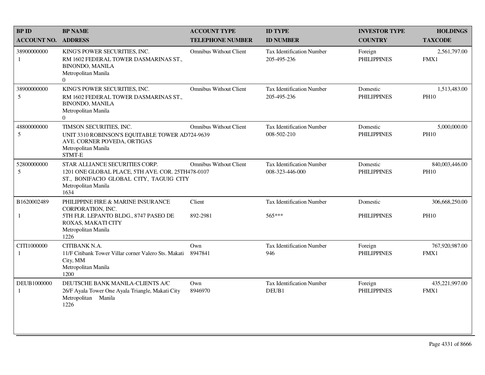| <b>BPID</b>        | <b>BP NAME</b>                                                                                                                                                | <b>ACCOUNT TYPE</b>           | <b>ID TYPE</b>                                      | <b>INVESTOR TYPE</b>           | <b>HOLDINGS</b>               |
|--------------------|---------------------------------------------------------------------------------------------------------------------------------------------------------------|-------------------------------|-----------------------------------------------------|--------------------------------|-------------------------------|
| <b>ACCOUNT NO.</b> | <b>ADDRESS</b>                                                                                                                                                | <b>TELEPHONE NUMBER</b>       | <b>ID NUMBER</b>                                    | <b>COUNTRY</b>                 | <b>TAXCODE</b>                |
| 38900000000<br>1   | KING'S POWER SECURITIES, INC.<br>RM 1602 FEDERAL TOWER DASMARINAS ST.,<br><b>BINONDO, MANILA</b><br>Metropolitan Manila<br>$\Omega$                           | <b>Omnibus Without Client</b> | Tax Identification Number<br>205-495-236            | Foreign<br><b>PHILIPPINES</b>  | 2,561,797.00<br>FMX1          |
| 38900000000<br>5   | KING'S POWER SECURITIES, INC.<br>RM 1602 FEDERAL TOWER DASMARINAS ST.,<br><b>BINONDO, MANILA</b><br>Metropolitan Manila<br>$\overline{0}$                     | <b>Omnibus Without Client</b> | Tax Identification Number<br>205-495-236            | Domestic<br><b>PHILIPPINES</b> | 1,513,483.00<br><b>PH10</b>   |
| 48800000000<br>5   | TIMSON SECURITIES, INC.<br>UNIT 3310 ROBINSON'S EQUITABLE TOWER AD724-9639<br>AVE. CORNER POVEDA, ORTIGAS<br>Metropolitan Manila<br>STMT-E                    | <b>Omnibus Without Client</b> | Tax Identification Number<br>008-502-210            | Domestic<br><b>PHILIPPINES</b> | 5,000,000.00<br><b>PH10</b>   |
| 52800000000<br>5   | STAR ALLIANCE SECURITIES CORP.<br>1201 ONE GLOBAL PLACE, 5TH AVE. COR. 25TH478-0107<br>ST., BONIFACIO GLOBAL CITY, TAGUIG CITY<br>Metropolitan Manila<br>1634 | <b>Omnibus Without Client</b> | <b>Tax Identification Number</b><br>008-323-446-000 | Domestic<br><b>PHILIPPINES</b> | 840,003,446.00<br><b>PH10</b> |
| B1620002489        | PHILIPPINE FIRE & MARINE INSURANCE<br>CORPORATION, INC.                                                                                                       | Client                        | <b>Tax Identification Number</b>                    | Domestic                       | 306,668,250.00                |
| 1                  | 5TH FLR. LEPANTO BLDG., 8747 PASEO DE<br>ROXAS, MAKATI CITY<br>Metropolitan Manila<br>1226                                                                    | 892-2981                      | 565***                                              | <b>PHILIPPINES</b>             | <b>PH10</b>                   |
| CITI1000000<br>-1  | CITIBANK N.A.<br>11/F Citibank Tower Villar corner Valero Sts. Makati<br>City, MM<br>Metropolitan Manila<br>1200                                              | Own<br>8947841                | Tax Identification Number<br>946                    | Foreign<br><b>PHILIPPINES</b>  | 767,920,987.00<br>FMX1        |
| DEUB1000000<br>1   | DEUTSCHE BANK MANILA-CLIENTS A/C<br>26/F Ayala Tower One Ayala Triangle, Makati City<br>Metropolitan Manila<br>1226                                           | Own<br>8946970                | <b>Tax Identification Number</b><br>DEUB1           | Foreign<br><b>PHILIPPINES</b>  | 435,221,997.00<br>FMX1        |